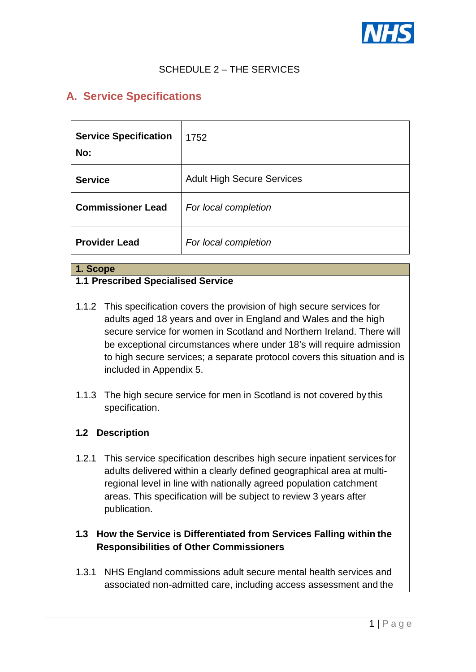

# SCHEDULE 2 – THE SERVICES

# **A. Service Specifications**

| <b>Service Specification</b><br>No: | 1752                              |
|-------------------------------------|-----------------------------------|
| <b>Service</b>                      | <b>Adult High Secure Services</b> |
| <b>Commissioner Lead</b>            | For local completion              |
| <b>Provider Lead</b>                | For local completion              |

#### **1. Scope**

#### **1.1 Prescribed Specialised Service**

- 1.1.2 This specification covers the provision of high secure services for adults aged 18 years and over in England and Wales and the high secure service for women in Scotland and Northern Ireland. There will be exceptional circumstances where under 18's will require admission to high secure services; a separate protocol covers this situation and is included in Appendix 5.
- 1.1.3 The high secure service for men in Scotland is not covered by this specification.

#### **1.2 Description**

- 1.2.1 This service specification describes high secure inpatient services for adults delivered within a clearly defined geographical area at multiregional level in line with nationally agreed population catchment areas. This specification will be subject to review 3 years after publication.
- **1.3 How the Service is Differentiated from Services Falling within the Responsibilities of Other Commissioners**
- 1.3.1 NHS England commissions adult secure mental health services and associated non-admitted care, including access assessment and the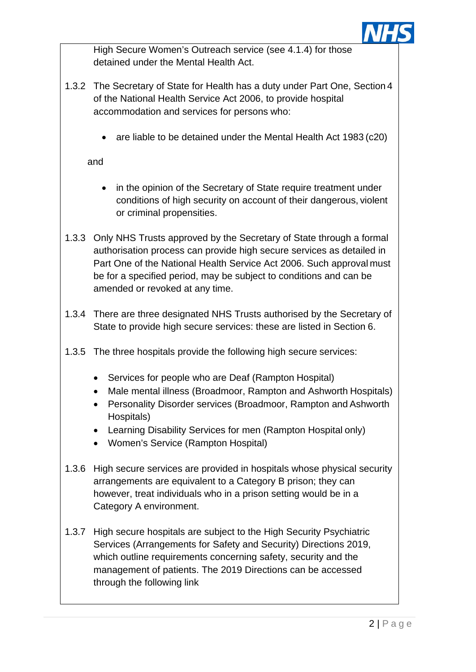

High Secure Women's Outreach service (see 4.1.4) for those detained under the Mental Health Act.

- 1.3.2 The Secretary of State for Health has a duty under Part One, Section 4 of the National Health Service Act 2006, to provide hospital accommodation and services for persons who:
	- are liable to be detained under the Mental Health Act 1983 (c20)

and

- in the opinion of the Secretary of State require treatment under conditions of high security on account of their dangerous, violent or criminal propensities.
- 1.3.3 Only NHS Trusts approved by the Secretary of State through a formal authorisation process can provide high secure services as detailed in Part One of the National Health Service Act 2006. Such approval must be for a specified period, may be subject to conditions and can be amended or revoked at any time.
- 1.3.4 There are three designated NHS Trusts authorised by the Secretary of State to provide high secure services: these are listed in Section 6.
- 1.3.5 The three hospitals provide the following high secure services:
	- Services for people who are Deaf (Rampton Hospital)
	- Male mental illness (Broadmoor, Rampton and Ashworth Hospitals)
	- Personality Disorder services (Broadmoor, Rampton and Ashworth Hospitals)
	- Learning Disability Services for men (Rampton Hospital only)
	- Women's Service (Rampton Hospital)
- 1.3.6 High secure services are provided in hospitals whose physical security arrangements are equivalent to a Category B prison; they can however, treat individuals who in a prison setting would be in a Category A environment.
- 1.3.7 High secure hospitals are subject to the High Security Psychiatric Services (Arrangements for Safety and Security) Directions 2019, which outline requirements concerning safety, security and the management of patients. The 2019 Directions can be accessed through the following link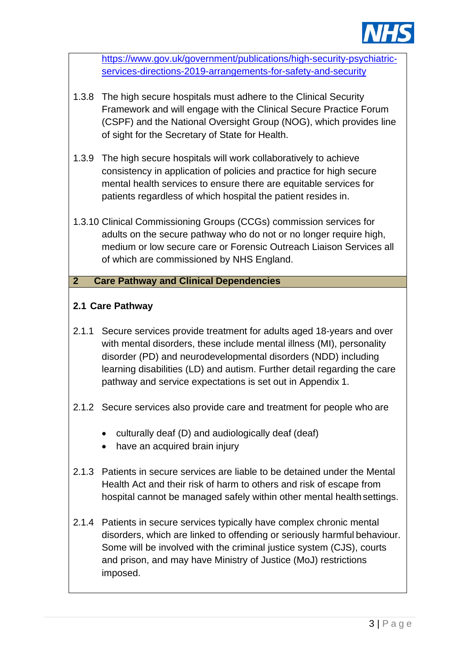

[https://www.gov.uk/government/publications/high-security-psychiatric](https://www.gov.uk/government/publications/high-security-psychiatric-services-directions-2019-arrangements-for-safety-and-security)[services-directions-2019-arrangements-for-safety-and-security](https://www.gov.uk/government/publications/high-security-psychiatric-services-directions-2019-arrangements-for-safety-and-security)

- 1.3.8 The high secure hospitals must adhere to the Clinical Security Framework and will engage with the Clinical Secure Practice Forum (CSPF) and the National Oversight Group (NOG), which provides line of sight for the Secretary of State for Health.
- 1.3.9 The high secure hospitals will work collaboratively to achieve consistency in application of policies and practice for high secure mental health services to ensure there are equitable services for patients regardless of which hospital the patient resides in.
- 1.3.10 Clinical Commissioning Groups (CCGs) commission services for adults on the secure pathway who do not or no longer require high, medium or low secure care or Forensic Outreach Liaison Services all of which are commissioned by NHS England.

#### **2 Care Pathway and Clinical Dependencies**

# **2.1 Care Pathway**

- 2.1.1 Secure services provide treatment for adults aged 18-years and over with mental disorders, these include mental illness (MI), personality disorder (PD) and neurodevelopmental disorders (NDD) including learning disabilities (LD) and autism. Further detail regarding the care pathway and service expectations is set out in Appendix 1.
- 2.1.2 Secure services also provide care and treatment for people who are
	- culturally deaf (D) and audiologically deaf (deaf)
	- have an acquired brain injury
- 2.1.3 Patients in secure services are liable to be detained under the Mental Health Act and their risk of harm to others and risk of escape from hospital cannot be managed safely within other mental health settings.
- 2.1.4 Patients in secure services typically have complex chronic mental disorders, which are linked to offending or seriously harmful behaviour. Some will be involved with the criminal justice system (CJS), courts and prison, and may have Ministry of Justice (MoJ) restrictions imposed.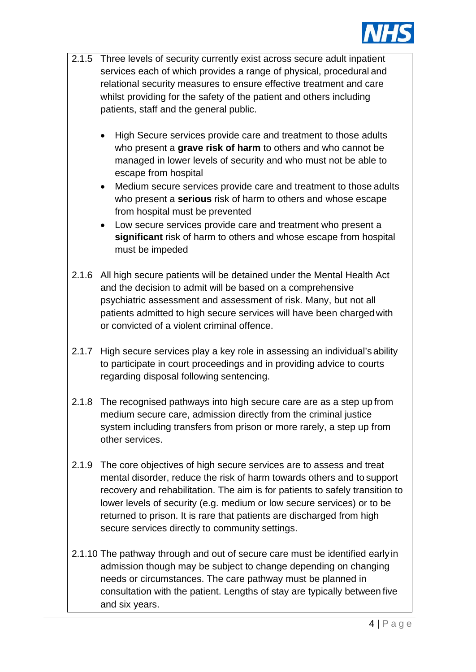

|       | 2.1.5 Three levels of security currently exist across secure adult inpatient<br>services each of which provides a range of physical, procedural and<br>relational security measures to ensure effective treatment and care<br>whilst providing for the safety of the patient and others including<br>patients, staff and the general public.                                                                                        |
|-------|-------------------------------------------------------------------------------------------------------------------------------------------------------------------------------------------------------------------------------------------------------------------------------------------------------------------------------------------------------------------------------------------------------------------------------------|
|       | High Secure services provide care and treatment to those adults<br>who present a grave risk of harm to others and who cannot be<br>managed in lower levels of security and who must not be able to<br>escape from hospital                                                                                                                                                                                                          |
|       | Medium secure services provide care and treatment to those adults<br>$\bullet$<br>who present a serious risk of harm to others and whose escape<br>from hospital must be prevented                                                                                                                                                                                                                                                  |
|       | Low secure services provide care and treatment who present a<br>$\bullet$<br>significant risk of harm to others and whose escape from hospital<br>must be impeded                                                                                                                                                                                                                                                                   |
| 2.1.6 | All high secure patients will be detained under the Mental Health Act<br>and the decision to admit will be based on a comprehensive<br>psychiatric assessment and assessment of risk. Many, but not all<br>patients admitted to high secure services will have been charged with<br>or convicted of a violent criminal offence.                                                                                                     |
| 2.1.7 | High secure services play a key role in assessing an individual's ability<br>to participate in court proceedings and in providing advice to courts<br>regarding disposal following sentencing.                                                                                                                                                                                                                                      |
| 2.1.8 | The recognised pathways into high secure care are as a step up from<br>medium secure care, admission directly from the criminal justice<br>system including transfers from prison or more rarely, a step up from<br>other services.                                                                                                                                                                                                 |
| 2.1.9 | The core objectives of high secure services are to assess and treat<br>mental disorder, reduce the risk of harm towards others and to support<br>recovery and rehabilitation. The aim is for patients to safely transition to<br>lower levels of security (e.g. medium or low secure services) or to be<br>returned to prison. It is rare that patients are discharged from high<br>secure services directly to community settings. |
|       | 2.1.10 The pathway through and out of secure care must be identified early in<br>admission though may be subject to change depending on changing<br>needs or circumstances. The care pathway must be planned in                                                                                                                                                                                                                     |

consultation with the patient. Lengths of stay are typically between five

and six years.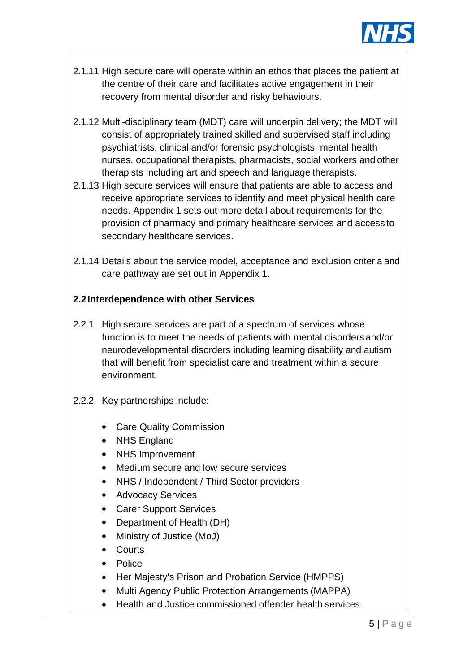

- 2.1.11 High secure care will operate within an ethos that places the patient at the centre of their care and facilitates active engagement in their recovery from mental disorder and risky behaviours.
- 2.1.12 Multi-disciplinary team (MDT) care will underpin delivery; the MDT will consist of appropriately trained skilled and supervised staff including psychiatrists, clinical and/or forensic psychologists, mental health nurses, occupational therapists, pharmacists, social workers and other therapists including art and speech and language therapists.
- 2.1.13 High secure services will ensure that patients are able to access and receive appropriate services to identify and meet physical health care needs. Appendix 1 sets out more detail about requirements for the provision of pharmacy and primary healthcare services and access to secondary healthcare services.
- 2.1.14 Details about the service model, acceptance and exclusion criteria and care pathway are set out in Appendix 1.

# **2.2Interdependence with other Services**

- 2.2.1 High secure services are part of a spectrum of services whose function is to meet the needs of patients with mental disorders and/or neurodevelopmental disorders including learning disability and autism that will benefit from specialist care and treatment within a secure environment.
- 2.2.2 Key partnerships include:
	- Care Quality Commission
	- NHS England
	- NHS Improvement
	- Medium secure and low secure services
	- NHS / Independent / Third Sector providers
	- Advocacy Services
	- Carer Support Services
	- Department of Health (DH)
	- Ministry of Justice (MoJ)
	- Courts
	- Police
	- Her Majesty's Prison and Probation Service (HMPPS)
	- Multi Agency Public Protection Arrangements (MAPPA)
	- Health and Justice commissioned offender health services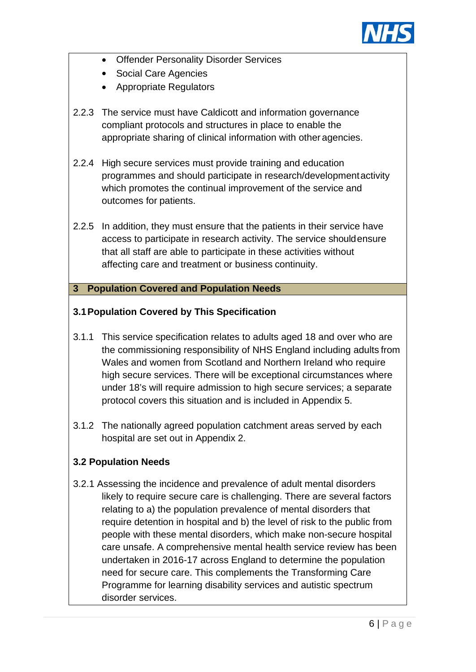

- Offender Personality Disorder Services
- Social Care Agencies
- Appropriate Regulators
- 2.2.3 The service must have Caldicott and information governance compliant protocols and structures in place to enable the appropriate sharing of clinical information with other agencies.
- 2.2.4 High secure services must provide training and education programmes and should participate in research/developmentactivity which promotes the continual improvement of the service and outcomes for patients.
- 2.2.5 In addition, they must ensure that the patients in their service have access to participate in research activity. The service shouldensure that all staff are able to participate in these activities without affecting care and treatment or business continuity.

# **3 Population Covered and Population Needs**

# **3.1Population Covered by This Specification**

- 3.1.1 This service specification relates to adults aged 18 and over who are the commissioning responsibility of NHS England including adults from Wales and women from Scotland and Northern Ireland who require high secure services. There will be exceptional circumstances where under 18's will require admission to high secure services; a separate protocol covers this situation and is included in Appendix 5.
- 3.1.2 The nationally agreed population catchment areas served by each hospital are set out in Appendix 2.

# **3.2 Population Needs**

3.2.1 Assessing the incidence and prevalence of adult mental disorders likely to require secure care is challenging. There are several factors relating to a) the population prevalence of mental disorders that require detention in hospital and b) the level of risk to the public from people with these mental disorders, which make non-secure hospital care unsafe. A comprehensive mental health service review has been undertaken in 2016-17 across England to determine the population need for secure care. This complements the Transforming Care Programme for learning disability services and autistic spectrum disorder services.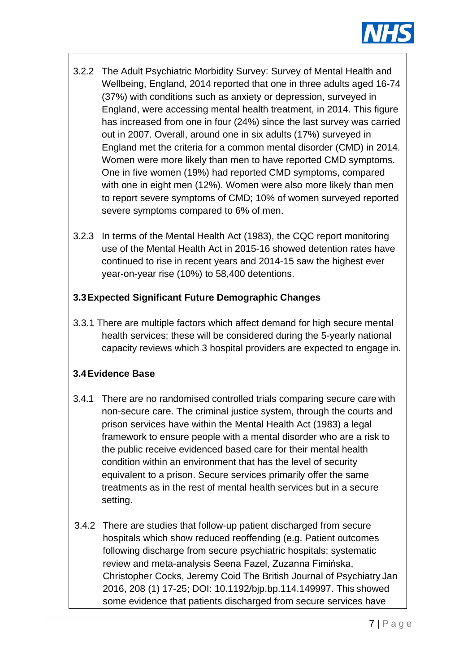

- 3.2.2 The Adult Psychiatric Morbidity Survey: Survey of Mental Health and Wellbeing, England, 2014 reported that one in three adults aged 16-74 (37%) with conditions such as anxiety or depression, surveyed in England, were accessing mental health treatment, in 2014. This figure has increased from one in four (24%) since the last survey was carried out in 2007. Overall, around one in six adults (17%) surveyed in England met the criteria for a common mental disorder (CMD) in 2014. Women were more likely than men to have reported CMD symptoms. One in five women (19%) had reported CMD symptoms, compared with one in eight men (12%). Women were also more likely than men to report severe symptoms of CMD; 10% of women surveyed reported severe symptoms compared to 6% of men.
- 3.2.3 In terms of the Mental Health Act (1983), the CQC report monitoring use of the Mental Health Act in 2015-16 showed detention rates have continued to rise in recent years and 2014-15 saw the highest ever year-on-year rise (10%) to 58,400 detentions.

# **3.3Expected Significant Future Demographic Changes**

3.3.1 There are multiple factors which affect demand for high secure mental health services; these will be considered during the 5-yearly national capacity reviews which 3 hospital providers are expected to engage in.

# **3.4Evidence Base**

- 3.4.1 There are no randomised controlled trials comparing secure care with non-secure care. The criminal justice system, through the courts and prison services have within the Mental Health Act (1983) a legal framework to ensure people with a mental disorder who are a risk to the public receive evidenced based care for their mental health condition within an environment that has the level of security equivalent to a prison. Secure services primarily offer the same treatments as in the rest of mental health services but in a secure setting.
- 3.4.2 There are studies that follow-up patient discharged from secure hospitals which show reduced reoffending (e.g. Patient outcomes following discharge from secure psychiatric hospitals: systematic review and meta-analysis Seena Fazel, Zuzanna Fimińska, Christopher Cocks, Jeremy Coid The British Journal of Psychiatry Jan 2016, 208 (1) 17-25; DOI: 10.1192/bjp.bp.114.149997. This showed some evidence that patients discharged from secure services have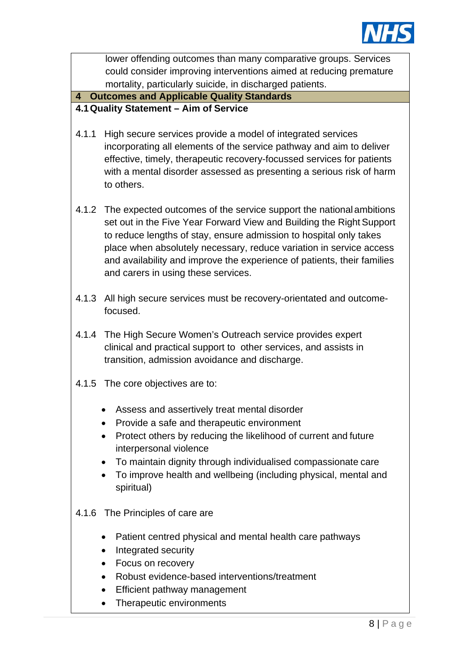

lower offending outcomes than many comparative groups. Services could consider improving interventions aimed at reducing premature mortality, particularly suicide, in discharged patients.

# **4 Outcomes and Applicable Quality Standards**

# **4.1Quality Statement – Aim of Service**

- 4.1.1 High secure services provide a model of integrated services incorporating all elements of the service pathway and aim to deliver effective, timely, therapeutic recovery-focussed services for patients with a mental disorder assessed as presenting a serious risk of harm to others.
- 4.1.2 The expected outcomes of the service support the national ambitions set out in the Five Year Forward View and Building the Right Support to reduce lengths of stay, ensure admission to hospital only takes place when absolutely necessary, reduce variation in service access and availability and improve the experience of patients, their families and carers in using these services.
- 4.1.3 All high secure services must be recovery-orientated and outcomefocused.
- 4.1.4 The High Secure Women's Outreach service provides expert clinical and practical support to other services, and assists in transition, admission avoidance and discharge.
- 4.1.5 The core objectives are to:
	- Assess and assertively treat mental disorder
	- Provide a safe and therapeutic environment
	- Protect others by reducing the likelihood of current and future interpersonal violence
	- To maintain dignity through individualised compassionate care
	- To improve health and wellbeing (including physical, mental and spiritual)

# 4.1.6 The Principles of care are

- Patient centred physical and mental health care pathways
- Integrated security
- Focus on recovery
- Robust evidence-based interventions/treatment
- Efficient pathway management
- Therapeutic environments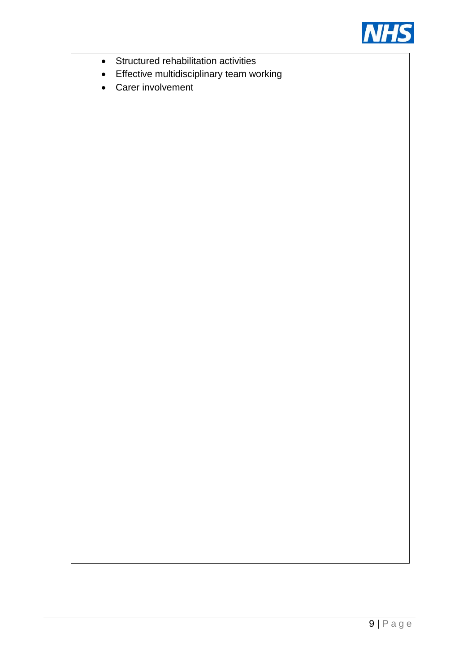

- Structured rehabilitation activities
- Effective multidisciplinary team working
- Carer involvement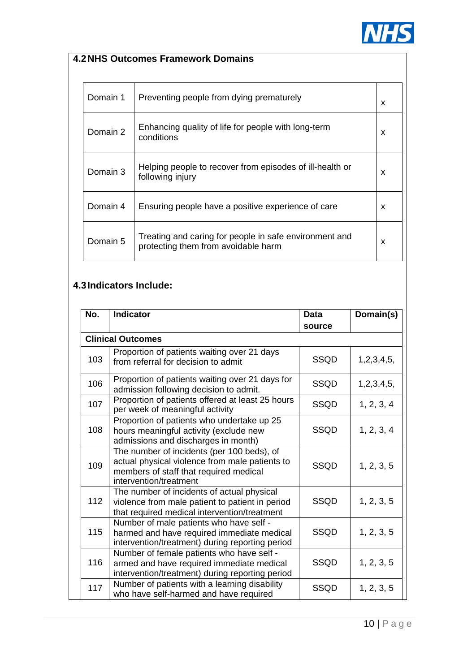

# **4.2NHS Outcomes Framework Domains**

| Domain 1 | Preventing people from dying prematurely                                                      | X |
|----------|-----------------------------------------------------------------------------------------------|---|
| Domain 2 | Enhancing quality of life for people with long-term<br>conditions                             | X |
| Domain 3 | Helping people to recover from episodes of ill-health or<br>following injury                  | X |
| Domain 4 | Ensuring people have a positive experience of care                                            | X |
| Domain 5 | Treating and caring for people in safe environment and<br>protecting them from avoidable harm | X |

# **4.3Indicators Include:**

| No. | <b>Indicator</b>                                                                                                                                                 | <b>Data</b> | Domain(s)  |
|-----|------------------------------------------------------------------------------------------------------------------------------------------------------------------|-------------|------------|
|     |                                                                                                                                                                  | source      |            |
|     | <b>Clinical Outcomes</b>                                                                                                                                         |             |            |
| 103 | Proportion of patients waiting over 21 days<br>from referral for decision to admit                                                                               | <b>SSQD</b> | 1,2,3,4,5, |
| 106 | Proportion of patients waiting over 21 days for<br>admission following decision to admit.                                                                        | <b>SSQD</b> | 1,2,3,4,5, |
| 107 | Proportion of patients offered at least 25 hours<br>per week of meaningful activity                                                                              | <b>SSQD</b> | 1, 2, 3, 4 |
| 108 | Proportion of patients who undertake up 25<br>hours meaningful activity (exclude new<br>admissions and discharges in month)                                      | <b>SSQD</b> | 1, 2, 3, 4 |
| 109 | The number of incidents (per 100 beds), of<br>actual physical violence from male patients to<br>members of staff that required medical<br>intervention/treatment | <b>SSQD</b> | 1, 2, 3, 5 |
| 112 | The number of incidents of actual physical<br>violence from male patient to patient in period<br>that required medical intervention/treatment                    | <b>SSQD</b> | 1, 2, 3, 5 |
| 115 | Number of male patients who have self -<br>harmed and have required immediate medical<br>intervention/treatment) during reporting period                         | <b>SSQD</b> | 1, 2, 3, 5 |
| 116 | Number of female patients who have self -<br>armed and have required immediate medical<br>intervention/treatment) during reporting period                        | <b>SSQD</b> | 1, 2, 3, 5 |
| 117 | Number of patients with a learning disability<br>who have self-harmed and have required                                                                          | SSQD        | 1, 2, 3, 5 |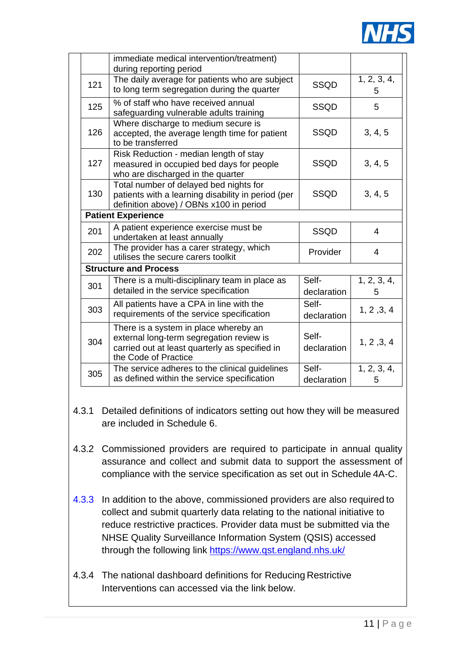

| immediate medical intervention/treatment)                                                                                                                   |                      |                  |
|-------------------------------------------------------------------------------------------------------------------------------------------------------------|----------------------|------------------|
| during reporting period                                                                                                                                     |                      |                  |
| The daily average for patients who are subject<br>SSQD<br>to long term segregation during the quarter                                                       |                      | 1, 2, 3, 4,<br>5 |
| % of staff who have received annual<br><b>SSQD</b><br>safeguarding vulnerable adults training                                                               |                      |                  |
| Where discharge to medium secure is<br><b>SSQD</b><br>accepted, the average length time for patient<br>to be transferred                                    |                      |                  |
| Risk Reduction - median length of stay<br>measured in occupied bed days for people<br>who are discharged in the quarter                                     | <b>SSQD</b>          | 3, 4, 5          |
| Total number of delayed bed nights for<br>patients with a learning disability in period (per<br>definition above) / OBNs x100 in period                     | <b>SSQD</b>          | 3, 4, 5          |
| <b>Patient Experience</b>                                                                                                                                   |                      |                  |
| A patient experience exercise must be<br>undertaken at least annually                                                                                       | <b>SSQD</b>          | 4                |
| The provider has a carer strategy, which<br>Provider<br>utilises the secure carers toolkit                                                                  |                      | 4                |
| <b>Structure and Process</b>                                                                                                                                |                      |                  |
| There is a multi-disciplinary team in place as<br>detailed in the service specification                                                                     | Self-<br>declaration | 1, 2, 3, 4,<br>5 |
| All patients have a CPA in line with the<br>requirements of the service specification                                                                       | Self-<br>declaration | 1, 2, 3, 4       |
| There is a system in place whereby an<br>external long-term segregation review is<br>carried out at least quarterly as specified in<br>the Code of Practice | Self-<br>declaration | 1, 2, 3, 4       |
| The service adheres to the clinical guidelines<br>as defined within the service specification                                                               | Self-<br>declaration | 1, 2, 3, 4,<br>5 |
|                                                                                                                                                             |                      |                  |

- 4.3.1 Detailed definitions of indicators setting out how they will be measured are included in Schedule 6.
- 4.3.2 Commissioned providers are required to participate in annual quality assurance and collect and submit data to support the assessment of compliance with the service specification as set out in Schedule 4A-C.
- 4.3.3 In addition to the above, commissioned providers are also required to collect and submit quarterly data relating to the national initiative to reduce restrictive practices. Provider data must be submitted via the NHSE Quality Surveillance Information System (QSIS) accessed through the following link <https://www.qst.england.nhs.uk/>
- 4.3.4 The national dashboard definitions for Reducing Restrictive Interventions can accessed via the link below.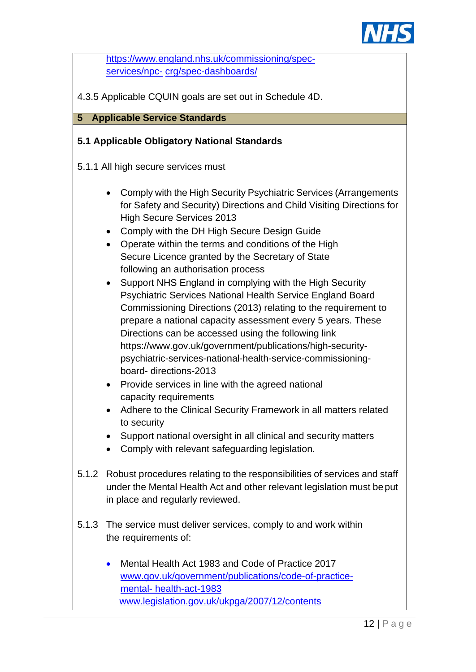

[https://www.england.nhs.uk/commissioning/spec](https://www.england.nhs.uk/commissioning/spec-services/npc-crg/spec-dashboards/)[services/npc-](https://www.england.nhs.uk/commissioning/spec-services/npc-crg/spec-dashboards/) [crg/spec-dashboards/](https://www.england.nhs.uk/commissioning/spec-services/npc-crg/spec-dashboards/)

4.3.5 Applicable CQUIN goals are set out in Schedule 4D.

# **5 Applicable Service Standards**

# **5.1 Applicable Obligatory National Standards**

- 5.1.1 All high secure services must
	- Comply with the High Security Psychiatric Services (Arrangements for Safety and Security) Directions and Child Visiting Directions for High Secure Services 2013
	- Comply with the DH High Secure Design Guide
	- Operate within the terms and conditions of the High Secure Licence granted by the Secretary of State following an authorisation process
	- Support NHS England in complying with the High Security Psychiatric Services National Health Service England Board Commissioning Directions (2013) relating to the requirement to prepare a national capacity assessment every 5 years. These Directions can be accessed using the following link https:/[/www.gov.uk/government/publications/high-security](http://www.gov.uk/government/publications/high-security-)psychiatric-services-national-health-service-commissioningboard- directions-2013
	- Provide services in line with the agreed national capacity requirements
	- Adhere to the Clinical Security Framework in all matters related to security
	- Support national oversight in all clinical and security matters
	- Comply with relevant safeguarding legislation.
- 5.1.2 Robust procedures relating to the responsibilities of services and staff under the Mental Health Act and other relevant legislation must beput in place and regularly reviewed.
- 5.1.3 The service must deliver services, comply to and work within the requirements of:
	- Mental Health Act 1983 and Code of Practice 2017 [www.gov.uk/government/publications/code-of-practice](http://www.gov.uk/government/publications/code-of-practice-mental-health-act-1983)[mental-](http://www.gov.uk/government/publications/code-of-practice-mental-health-act-1983) [health-act-1983](http://www.gov.uk/government/publications/code-of-practice-mental-health-act-1983) [www.legislation.gov.uk/ukpga/2007/12/contents](http://www.legislation.gov.uk/ukpga/2007/12/contents)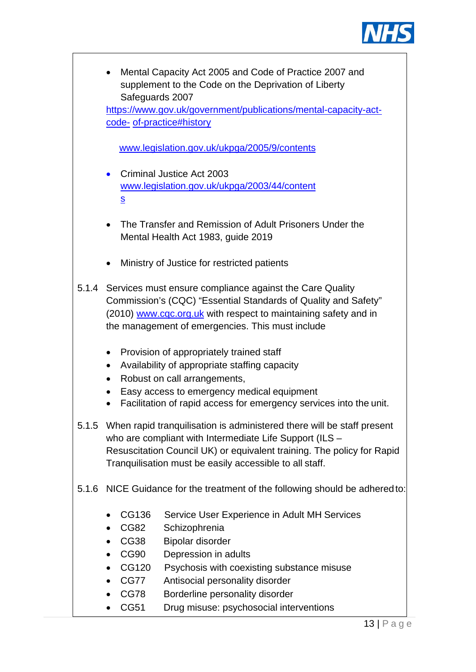

|       | ٠                        | Mental Capacity Act 2005 and Code of Practice 2007 and<br>supplement to the Code on the Deprivation of Liberty |
|-------|--------------------------|----------------------------------------------------------------------------------------------------------------|
|       |                          | Safeguards 2007                                                                                                |
|       |                          | https://www.gov.uk/government/publications/mental-capacity-act-                                                |
|       |                          | code- of-practice#history                                                                                      |
|       |                          |                                                                                                                |
|       |                          | www.legislation.gov.uk/ukpga/2005/9/contents                                                                   |
|       |                          | Criminal Justice Act 2003                                                                                      |
|       | $\bullet$                | www.legislation.gov.uk/ukpga/2003/44/content                                                                   |
|       | S                        |                                                                                                                |
|       |                          |                                                                                                                |
|       |                          | The Transfer and Remission of Adult Prisoners Under the                                                        |
|       |                          | Mental Health Act 1983, guide 2019                                                                             |
|       |                          |                                                                                                                |
|       |                          | Ministry of Justice for restricted patients                                                                    |
|       |                          | 5.1.4 Services must ensure compliance against the Care Quality                                                 |
|       |                          | Commission's (CQC) "Essential Standards of Quality and Safety"                                                 |
|       |                          | (2010) www.cqc.org.uk with respect to maintaining safety and in                                                |
|       |                          | the management of emergencies. This must include                                                               |
|       |                          |                                                                                                                |
|       | $\bullet$                | Provision of appropriately trained staff                                                                       |
|       | $\bullet$                | Availability of appropriate staffing capacity                                                                  |
|       | $\bullet$                | Robust on call arrangements,                                                                                   |
|       |                          | Easy access to emergency medical equipment                                                                     |
|       |                          | Facilitation of rapid access for emergency services into the unit.                                             |
|       |                          | 5.1.5 When rapid tranguilisation is administered there will be staff present                                   |
|       |                          | who are compliant with Intermediate Life Support (ILS -                                                        |
|       |                          | Resuscitation Council UK) or equivalent training. The policy for Rapid                                         |
|       |                          | Tranquilisation must be easily accessible to all staff.                                                        |
|       |                          |                                                                                                                |
| 5.1.6 |                          | NICE Guidance for the treatment of the following should be adhered to:                                         |
|       | CG136                    | Service User Experience in Adult MH Services                                                                   |
|       | CG82                     | Schizophrenia                                                                                                  |
|       | CG38<br>٠                | <b>Bipolar disorder</b>                                                                                        |
|       | <b>CG90</b><br>$\bullet$ | Depression in adults                                                                                           |
|       | CG120<br>$\bullet$       | Psychosis with coexisting substance misuse                                                                     |
|       | CG77<br>$\bullet$        | Antisocial personality disorder                                                                                |
|       | CG78                     | Borderline personality disorder                                                                                |
|       | CG51                     | Drug misuse: psychosocial interventions                                                                        |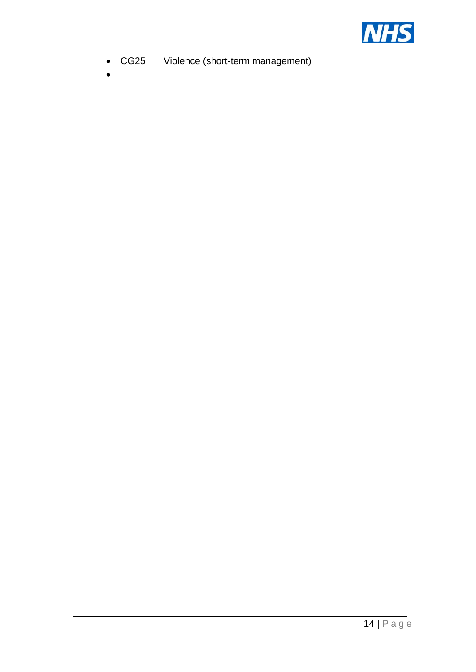

| $\bullet$ | CG25 | Violence (short-term management) |        |
|-----------|------|----------------------------------|--------|
|           |      |                                  |        |
|           |      |                                  |        |
|           |      |                                  |        |
|           |      |                                  |        |
|           |      |                                  |        |
|           |      |                                  |        |
|           |      |                                  |        |
|           |      |                                  |        |
|           |      |                                  |        |
|           |      |                                  |        |
|           |      |                                  |        |
|           |      |                                  |        |
|           |      |                                  |        |
|           |      |                                  |        |
|           |      |                                  |        |
|           |      |                                  |        |
|           |      |                                  |        |
|           |      |                                  |        |
|           |      |                                  |        |
|           |      |                                  |        |
|           |      |                                  |        |
|           |      |                                  |        |
|           |      |                                  |        |
|           |      |                                  |        |
|           |      |                                  |        |
|           |      |                                  |        |
|           |      |                                  |        |
|           |      |                                  |        |
|           |      |                                  |        |
|           |      |                                  |        |
|           |      |                                  |        |
|           |      |                                  |        |
|           |      |                                  |        |
|           |      |                                  |        |
|           |      |                                  |        |
|           |      |                                  |        |
|           |      |                                  |        |
|           |      |                                  |        |
|           |      |                                  |        |
|           |      |                                  |        |
|           |      |                                  |        |
|           |      |                                  |        |
|           |      |                                  |        |
|           |      |                                  |        |
|           |      |                                  |        |
|           |      |                                  |        |
|           |      |                                  |        |
|           |      |                                  |        |
|           |      |                                  |        |
|           |      |                                  |        |
|           |      |                                  |        |
|           |      |                                  |        |
|           |      |                                  |        |
|           |      |                                  | 111P22 |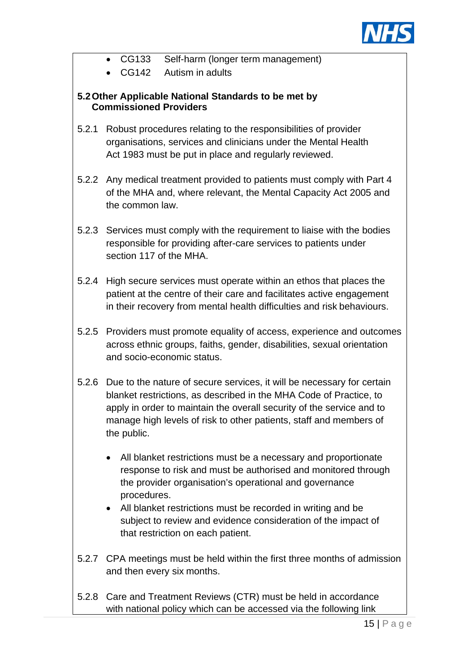

- CG133 Self-harm (longer term management)
- CG142 Autism in adults

# **5.2Other Applicable National Standards to be met by Commissioned Providers**

- 5.2.1 Robust procedures relating to the responsibilities of provider organisations, services and clinicians under the Mental Health Act 1983 must be put in place and regularly reviewed.
- 5.2.2 Any medical treatment provided to patients must comply with Part 4 of the MHA and, where relevant, the Mental Capacity Act 2005 and the common law.
- 5.2.3 Services must comply with the requirement to liaise with the bodies responsible for providing after-care services to patients under section 117 of the MHA.
- 5.2.4 High secure services must operate within an ethos that places the patient at the centre of their care and facilitates active engagement in their recovery from mental health difficulties and risk behaviours.
- 5.2.5 Providers must promote equality of access, experience and outcomes across ethnic groups, faiths, gender, disabilities, sexual orientation and socio-economic status.
- 5.2.6 Due to the nature of secure services, it will be necessary for certain blanket restrictions, as described in the MHA Code of Practice, to apply in order to maintain the overall security of the service and to manage high levels of risk to other patients, staff and members of the public.
	- All blanket restrictions must be a necessary and proportionate response to risk and must be authorised and monitored through the provider organisation's operational and governance procedures.
	- All blanket restrictions must be recorded in writing and be subject to review and evidence consideration of the impact of that restriction on each patient.
- 5.2.7 CPA meetings must be held within the first three months of admission and then every six months.
- 5.2.8 Care and Treatment Reviews (CTR) must be held in accordance with national policy which can be accessed via the following link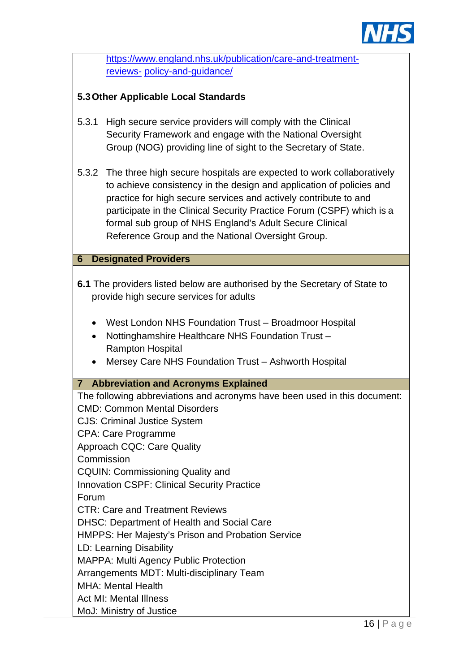

|       | https://www.england.nhs.uk/publication/care-and-treatment-                                                                                                                                                                                                                                                                                                                                                      |  |  |  |
|-------|-----------------------------------------------------------------------------------------------------------------------------------------------------------------------------------------------------------------------------------------------------------------------------------------------------------------------------------------------------------------------------------------------------------------|--|--|--|
|       | reviews- policy-and-guidance/                                                                                                                                                                                                                                                                                                                                                                                   |  |  |  |
|       |                                                                                                                                                                                                                                                                                                                                                                                                                 |  |  |  |
|       | 5.3 Other Applicable Local Standards                                                                                                                                                                                                                                                                                                                                                                            |  |  |  |
| 5.3.1 | High secure service providers will comply with the Clinical<br>Security Framework and engage with the National Oversight<br>Group (NOG) providing line of sight to the Secretary of State.                                                                                                                                                                                                                      |  |  |  |
|       | 5.3.2 The three high secure hospitals are expected to work collaboratively<br>to achieve consistency in the design and application of policies and<br>practice for high secure services and actively contribute to and<br>participate in the Clinical Security Practice Forum (CSPF) which is a<br>formal sub group of NHS England's Adult Secure Clinical<br>Reference Group and the National Oversight Group. |  |  |  |
| 6     | <b>Designated Providers</b>                                                                                                                                                                                                                                                                                                                                                                                     |  |  |  |
|       | 6.1 The providers listed below are authorised by the Secretary of State to<br>provide high secure services for adults<br>West London NHS Foundation Trust - Broadmoor Hospital<br>Nottinghamshire Healthcare NHS Foundation Trust -<br><b>Rampton Hospital</b>                                                                                                                                                  |  |  |  |
|       | Mersey Care NHS Foundation Trust - Ashworth Hospital                                                                                                                                                                                                                                                                                                                                                            |  |  |  |
|       | <b>7 Abbreviation and Acronyms Explained</b>                                                                                                                                                                                                                                                                                                                                                                    |  |  |  |
| Forum | The following abbreviations and acronyms have been used in this document:<br><b>CMD: Common Mental Disorders</b><br><b>CJS: Criminal Justice System</b><br><b>CPA: Care Programme</b><br><b>Approach CQC: Care Quality</b><br>Commission<br><b>CQUIN: Commissioning Quality and</b><br><b>Innovation CSPF: Clinical Security Practice</b><br><b>CTR: Care and Treatment Reviews</b>                             |  |  |  |
|       | <b>DHSC: Department of Health and Social Care</b>                                                                                                                                                                                                                                                                                                                                                               |  |  |  |
|       | HMPPS: Her Majesty's Prison and Probation Service                                                                                                                                                                                                                                                                                                                                                               |  |  |  |
|       | LD: Learning Disability<br><b>MAPPA: Multi Agency Public Protection</b>                                                                                                                                                                                                                                                                                                                                         |  |  |  |
|       | Arrangements MDT: Multi-disciplinary Team<br><b>MHA: Mental Health</b>                                                                                                                                                                                                                                                                                                                                          |  |  |  |
|       | <b>Act MI: Mental Illness</b>                                                                                                                                                                                                                                                                                                                                                                                   |  |  |  |
|       | MoJ: Ministry of Justice                                                                                                                                                                                                                                                                                                                                                                                        |  |  |  |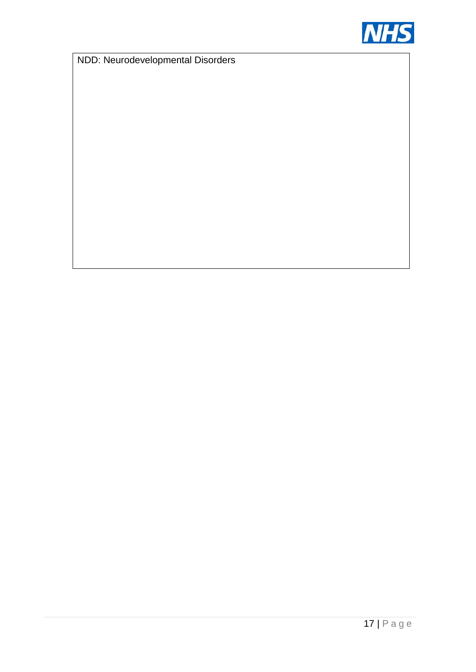

NDD: Neurodevelopmental Disorders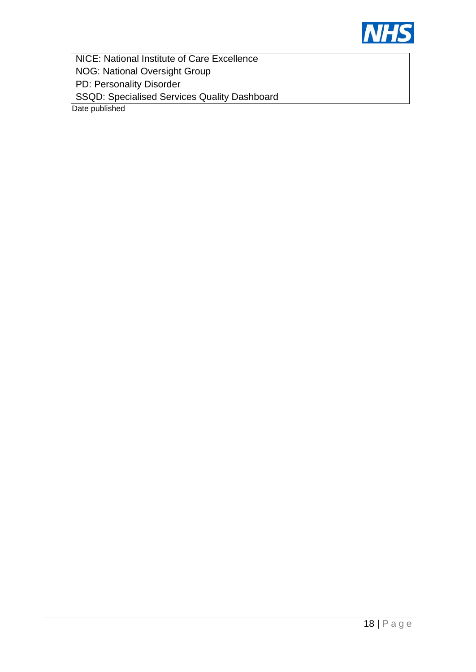

NICE: National Institute of Care Excellence NOG: National Oversight Group PD: Personality Disorder SSQD: Specialised Services Quality Dashboard

Date published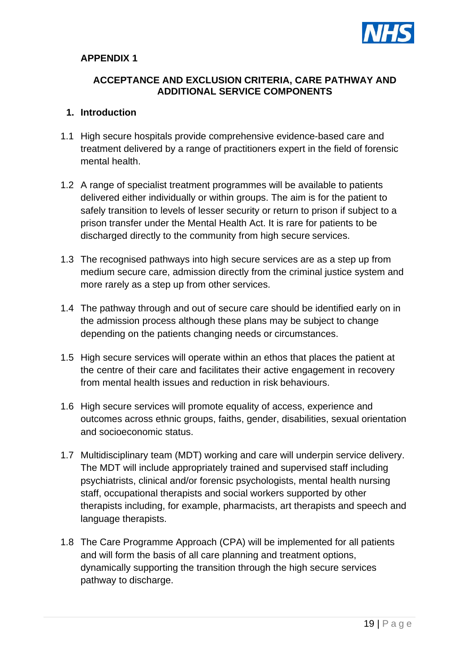

# **APPENDIX 1**

#### **ACCEPTANCE AND EXCLUSION CRITERIA, CARE PATHWAY AND ADDITIONAL SERVICE COMPONENTS**

#### **1. Introduction**

- 1.1 High secure hospitals provide comprehensive evidence-based care and treatment delivered by a range of practitioners expert in the field of forensic mental health.
- 1.2 A range of specialist treatment programmes will be available to patients delivered either individually or within groups. The aim is for the patient to safely transition to levels of lesser security or return to prison if subject to a prison transfer under the Mental Health Act. It is rare for patients to be discharged directly to the community from high secure services.
- 1.3 The recognised pathways into high secure services are as a step up from medium secure care, admission directly from the criminal justice system and more rarely as a step up from other services.
- 1.4 The pathway through and out of secure care should be identified early on in the admission process although these plans may be subject to change depending on the patients changing needs or circumstances.
- 1.5 High secure services will operate within an ethos that places the patient at the centre of their care and facilitates their active engagement in recovery from mental health issues and reduction in risk behaviours.
- 1.6 High secure services will promote equality of access, experience and outcomes across ethnic groups, faiths, gender, disabilities, sexual orientation and socioeconomic status.
- 1.7 Multidisciplinary team (MDT) working and care will underpin service delivery. The MDT will include appropriately trained and supervised staff including psychiatrists, clinical and/or forensic psychologists, mental health nursing staff, occupational therapists and social workers supported by other therapists including, for example, pharmacists, art therapists and speech and language therapists.
- 1.8 The Care Programme Approach (CPA) will be implemented for all patients and will form the basis of all care planning and treatment options, dynamically supporting the transition through the high secure services pathway to discharge.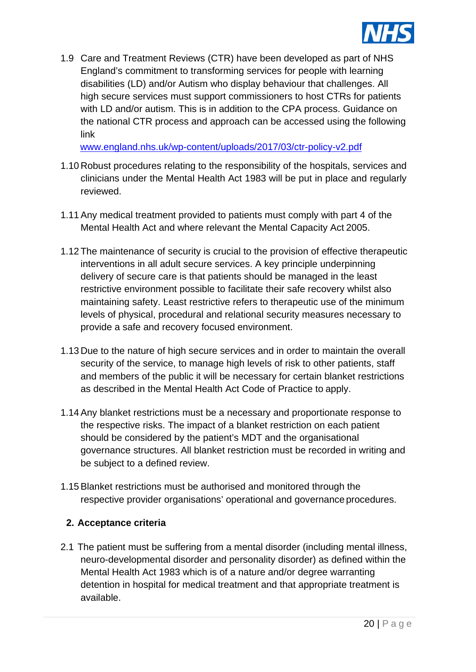

1.9 Care and Treatment Reviews (CTR) have been developed as part of NHS England's commitment to transforming services for people with learning disabilities (LD) and/or Autism who display behaviour that challenges. All high secure services must support commissioners to host CTRs for patients with LD and/or autism. This is in addition to the CPA process. Guidance on the national CTR process and approach can be accessed using the following link

[www.england.nhs.uk/wp-content/uploads/2017/03/ctr-policy-v2.pdf](http://www.england.nhs.uk/wp-content/uploads/2017/03/ctr-policy-v2.pdf)

- 1.10 Robust procedures relating to the responsibility of the hospitals, services and clinicians under the Mental Health Act 1983 will be put in place and regularly reviewed.
- 1.11 Any medical treatment provided to patients must comply with part 4 of the Mental Health Act and where relevant the Mental Capacity Act 2005.
- 1.12 The maintenance of security is crucial to the provision of effective therapeutic interventions in all adult secure services. A key principle underpinning delivery of secure care is that patients should be managed in the least restrictive environment possible to facilitate their safe recovery whilst also maintaining safety. Least restrictive refers to therapeutic use of the minimum levels of physical, procedural and relational security measures necessary to provide a safe and recovery focused environment.
- 1.13 Due to the nature of high secure services and in order to maintain the overall security of the service, to manage high levels of risk to other patients, staff and members of the public it will be necessary for certain blanket restrictions as described in the Mental Health Act Code of Practice to apply.
- 1.14 Any blanket restrictions must be a necessary and proportionate response to the respective risks. The impact of a blanket restriction on each patient should be considered by the patient's MDT and the organisational governance structures. All blanket restriction must be recorded in writing and be subject to a defined review.
- 1.15 Blanket restrictions must be authorised and monitored through the respective provider organisations' operational and governance procedures.

#### **2. Acceptance criteria**

2.1 The patient must be suffering from a mental disorder (including mental illness, neuro-developmental disorder and personality disorder) as defined within the Mental Health Act 1983 which is of a nature and/or degree warranting detention in hospital for medical treatment and that appropriate treatment is available.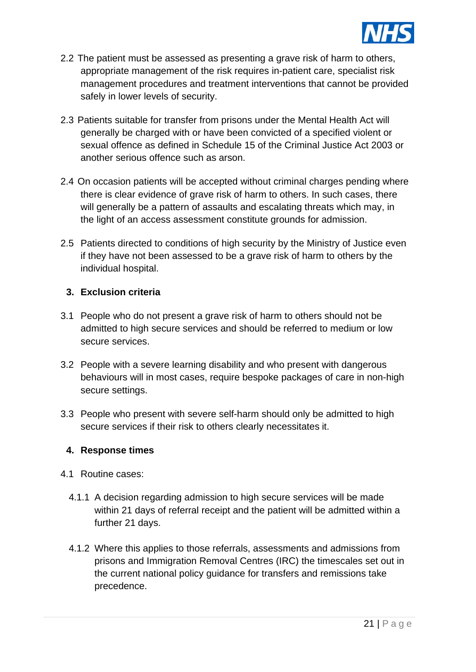

- 2.2 The patient must be assessed as presenting a grave risk of harm to others, appropriate management of the risk requires in-patient care, specialist risk management procedures and treatment interventions that cannot be provided safely in lower levels of security.
- 2.3 Patients suitable for transfer from prisons under the Mental Health Act will generally be charged with or have been convicted of a specified violent or sexual offence as defined in Schedule 15 of the Criminal Justice Act 2003 or another serious offence such as arson.
- 2.4 On occasion patients will be accepted without criminal charges pending where there is clear evidence of grave risk of harm to others. In such cases, there will generally be a pattern of assaults and escalating threats which may, in the light of an access assessment constitute grounds for admission.
- 2.5 Patients directed to conditions of high security by the Ministry of Justice even if they have not been assessed to be a grave risk of harm to others by the individual hospital.

#### **3. Exclusion criteria**

- 3.1 People who do not present a grave risk of harm to others should not be admitted to high secure services and should be referred to medium or low secure services.
- 3.2 People with a severe learning disability and who present with dangerous behaviours will in most cases, require bespoke packages of care in non-high secure settings.
- 3.3 People who present with severe self-harm should only be admitted to high secure services if their risk to others clearly necessitates it.

#### **4. Response times**

- 4.1 Routine cases:
	- 4.1.1 A decision regarding admission to high secure services will be made within 21 days of referral receipt and the patient will be admitted within a further 21 days.
	- 4.1.2 Where this applies to those referrals, assessments and admissions from prisons and Immigration Removal Centres (IRC) the timescales set out in the current national policy guidance for transfers and remissions take precedence.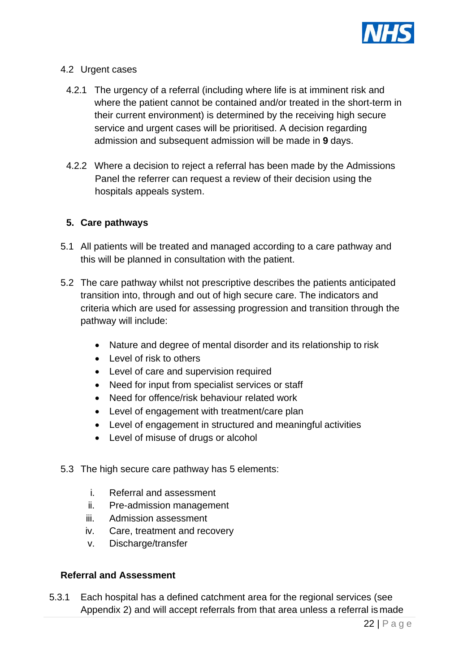

#### 4.2 Urgent cases

- 4.2.1 The urgency of a referral (including where life is at imminent risk and where the patient cannot be contained and/or treated in the short-term in their current environment) is determined by the receiving high secure service and urgent cases will be prioritised. A decision regarding admission and subsequent admission will be made in **9** days.
- 4.2.2 Where a decision to reject a referral has been made by the Admissions Panel the referrer can request a review of their decision using the hospitals appeals system.

#### **5. Care pathways**

- 5.1 All patients will be treated and managed according to a care pathway and this will be planned in consultation with the patient.
- 5.2 The care pathway whilst not prescriptive describes the patients anticipated transition into, through and out of high secure care. The indicators and criteria which are used for assessing progression and transition through the pathway will include:
	- Nature and degree of mental disorder and its relationship to risk
	- Level of risk to others
	- Level of care and supervision required
	- Need for input from specialist services or staff
	- Need for offence/risk behaviour related work
	- Level of engagement with treatment/care plan
	- Level of engagement in structured and meaningful activities
	- Level of misuse of drugs or alcohol
- 5.3 The high secure care pathway has 5 elements:
	- i. Referral and assessment
	- ii. Pre-admission management
	- iii. Admission assessment
	- iv. Care, treatment and recovery
	- v. Discharge/transfer

#### **Referral and Assessment**

5.3.1 Each hospital has a defined catchment area for the regional services (see Appendix 2) and will accept referrals from that area unless a referral is made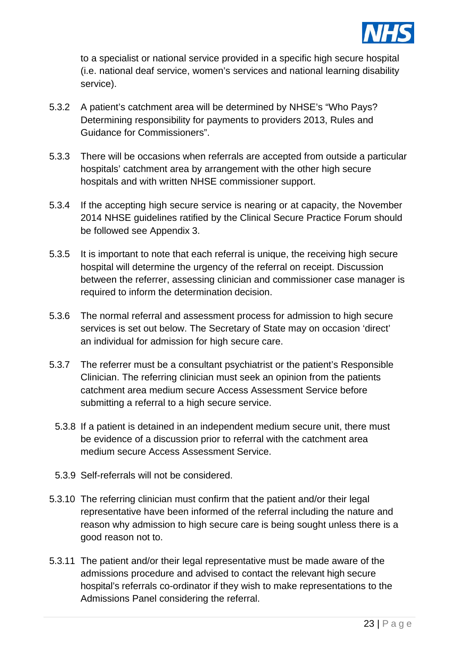

to a specialist or national service provided in a specific high secure hospital (i.e. national deaf service, women's services and national learning disability service).

- 5.3.2 A patient's catchment area will be determined by NHSE's "Who Pays? Determining responsibility for payments to providers 2013, Rules and Guidance for Commissioners".
- 5.3.3 There will be occasions when referrals are accepted from outside a particular hospitals' catchment area by arrangement with the other high secure hospitals and with written NHSE commissioner support.
- 5.3.4 If the accepting high secure service is nearing or at capacity, the November 2014 NHSE guidelines ratified by the Clinical Secure Practice Forum should be followed see Appendix 3.
- 5.3.5 It is important to note that each referral is unique, the receiving high secure hospital will determine the urgency of the referral on receipt. Discussion between the referrer, assessing clinician and commissioner case manager is required to inform the determination decision.
- 5.3.6 The normal referral and assessment process for admission to high secure services is set out below. The Secretary of State may on occasion 'direct' an individual for admission for high secure care.
- 5.3.7 The referrer must be a consultant psychiatrist or the patient's Responsible Clinician. The referring clinician must seek an opinion from the patients catchment area medium secure Access Assessment Service before submitting a referral to a high secure service.
	- 5.3.8 If a patient is detained in an independent medium secure unit, there must be evidence of a discussion prior to referral with the catchment area medium secure Access Assessment Service.
- 5.3.9 Self-referrals will not be considered.
- 5.3.10 The referring clinician must confirm that the patient and/or their legal representative have been informed of the referral including the nature and reason why admission to high secure care is being sought unless there is a good reason not to.
- 5.3.11 The patient and/or their legal representative must be made aware of the admissions procedure and advised to contact the relevant high secure hospital's referrals co-ordinator if they wish to make representations to the Admissions Panel considering the referral.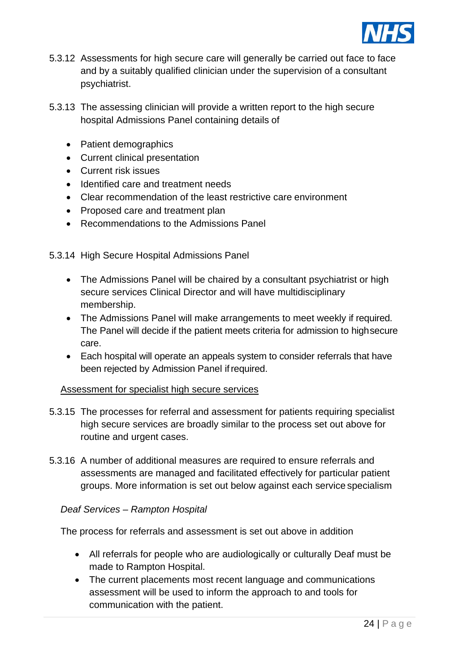

- 5.3.12 Assessments for high secure care will generally be carried out face to face and by a suitably qualified clinician under the supervision of a consultant psychiatrist.
- 5.3.13 The assessing clinician will provide a written report to the high secure hospital Admissions Panel containing details of
	- Patient demographics
	- Current clinical presentation
	- Current risk issues
	- Identified care and treatment needs
	- Clear recommendation of the least restrictive care environment
	- Proposed care and treatment plan
	- Recommendations to the Admissions Panel

5.3.14 High Secure Hospital Admissions Panel

- The Admissions Panel will be chaired by a consultant psychiatrist or high secure services Clinical Director and will have multidisciplinary membership.
- The Admissions Panel will make arrangements to meet weekly if required. The Panel will decide if the patient meets criteria for admission to highsecure care.
- Each hospital will operate an appeals system to consider referrals that have been rejected by Admission Panel if required.

#### Assessment for specialist high secure services

- 5.3.15 The processes for referral and assessment for patients requiring specialist high secure services are broadly similar to the process set out above for routine and urgent cases.
- 5.3.16 A number of additional measures are required to ensure referrals and assessments are managed and facilitated effectively for particular patient groups. More information is set out below against each service specialism

#### *Deaf Services – Rampton Hospital*

The process for referrals and assessment is set out above in addition

- All referrals for people who are audiologically or culturally Deaf must be made to Rampton Hospital.
- The current placements most recent language and communications assessment will be used to inform the approach to and tools for communication with the patient.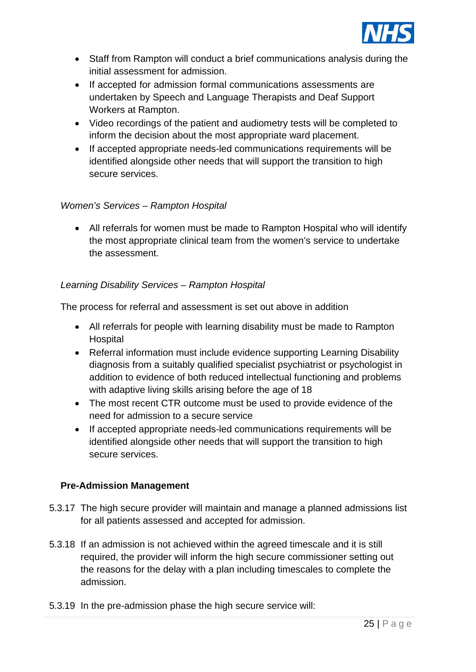

- Staff from Rampton will conduct a brief communications analysis during the initial assessment for admission.
- If accepted for admission formal communications assessments are undertaken by Speech and Language Therapists and Deaf Support Workers at Rampton.
- Video recordings of the patient and audiometry tests will be completed to inform the decision about the most appropriate ward placement.
- If accepted appropriate needs-led communications requirements will be identified alongside other needs that will support the transition to high secure services.

# *Women's Services – Rampton Hospital*

• All referrals for women must be made to Rampton Hospital who will identify the most appropriate clinical team from the women's service to undertake the assessment.

#### *Learning Disability Services – Rampton Hospital*

The process for referral and assessment is set out above in addition

- All referrals for people with learning disability must be made to Rampton Hospital
- Referral information must include evidence supporting Learning Disability diagnosis from a suitably qualified specialist psychiatrist or psychologist in addition to evidence of both reduced intellectual functioning and problems with adaptive living skills arising before the age of 18
- The most recent CTR outcome must be used to provide evidence of the need for admission to a secure service
- If accepted appropriate needs-led communications requirements will be identified alongside other needs that will support the transition to high secure services.

# **Pre-Admission Management**

- 5.3.17 The high secure provider will maintain and manage a planned admissions list for all patients assessed and accepted for admission.
- 5.3.18 If an admission is not achieved within the agreed timescale and it is still required, the provider will inform the high secure commissioner setting out the reasons for the delay with a plan including timescales to complete the admission.
- 5.3.19 In the pre-admission phase the high secure service will: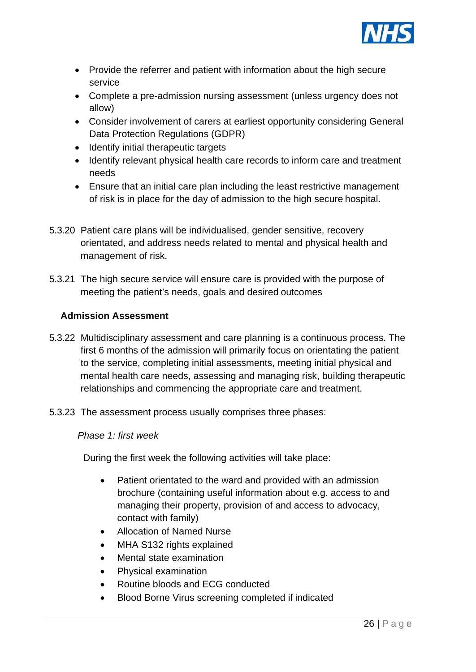

- Provide the referrer and patient with information about the high secure service
- Complete a pre-admission nursing assessment (unless urgency does not allow)
- Consider involvement of carers at earliest opportunity considering General Data Protection Regulations (GDPR)
- Identify initial therapeutic targets
- Identify relevant physical health care records to inform care and treatment needs
- Ensure that an initial care plan including the least restrictive management of risk is in place for the day of admission to the high secure hospital.
- 5.3.20 Patient care plans will be individualised, gender sensitive, recovery orientated, and address needs related to mental and physical health and management of risk.
- 5.3.21 The high secure service will ensure care is provided with the purpose of meeting the patient's needs, goals and desired outcomes

#### **Admission Assessment**

- 5.3.22 Multidisciplinary assessment and care planning is a continuous process. The first 6 months of the admission will primarily focus on orientating the patient to the service, completing initial assessments, meeting initial physical and mental health care needs, assessing and managing risk, building therapeutic relationships and commencing the appropriate care and treatment.
- 5.3.23 The assessment process usually comprises three phases:

#### *Phase 1: first week*

During the first week the following activities will take place:

- Patient orientated to the ward and provided with an admission brochure (containing useful information about e.g. access to and managing their property, provision of and access to advocacy, contact with family)
- Allocation of Named Nurse
- MHA S132 rights explained
- Mental state examination
- Physical examination
- Routine bloods and ECG conducted
- Blood Borne Virus screening completed if indicated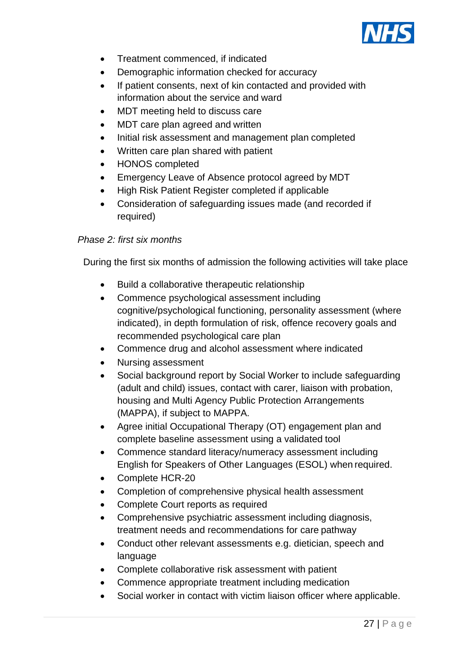

- Treatment commenced, if indicated
- Demographic information checked for accuracy
- If patient consents, next of kin contacted and provided with information about the service and ward
- MDT meeting held to discuss care
- MDT care plan agreed and written
- Initial risk assessment and management plan completed
- Written care plan shared with patient
- HONOS completed
- Emergency Leave of Absence protocol agreed by MDT
- High Risk Patient Register completed if applicable
- Consideration of safeguarding issues made (and recorded if required)

#### *Phase 2: first six months*

During the first six months of admission the following activities will take place

- Build a collaborative therapeutic relationship
- Commence psychological assessment including cognitive/psychological functioning, personality assessment (where indicated), in depth formulation of risk, offence recovery goals and recommended psychological care plan
- Commence drug and alcohol assessment where indicated
- Nursing assessment
- Social background report by Social Worker to include safeguarding (adult and child) issues, contact with carer, liaison with probation, housing and Multi Agency Public Protection Arrangements (MAPPA), if subject to MAPPA.
- Agree initial Occupational Therapy (OT) engagement plan and complete baseline assessment using a validated tool
- Commence standard literacy/numeracy assessment including English for Speakers of Other Languages (ESOL) when required.
- Complete HCR-20
- Completion of comprehensive physical health assessment
- Complete Court reports as required
- Comprehensive psychiatric assessment including diagnosis, treatment needs and recommendations for care pathway
- Conduct other relevant assessments e.g. dietician, speech and language
- Complete collaborative risk assessment with patient
- Commence appropriate treatment including medication
- Social worker in contact with victim liaison officer where applicable.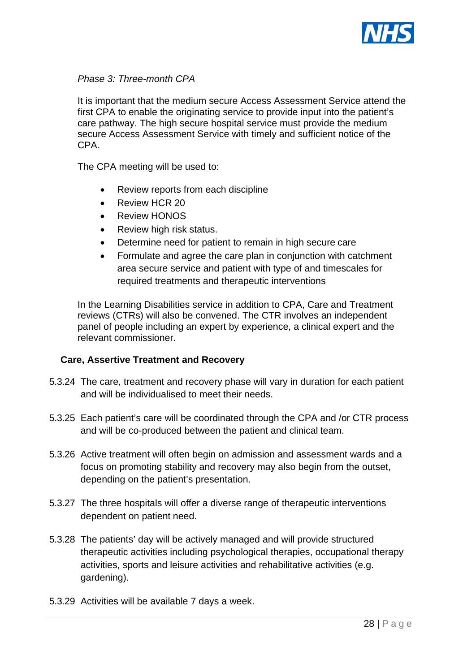

#### *Phase 3: Three-month CPA*

It is important that the medium secure Access Assessment Service attend the first CPA to enable the originating service to provide input into the patient's care pathway. The high secure hospital service must provide the medium secure Access Assessment Service with timely and sufficient notice of the CPA.

The CPA meeting will be used to:

- Review reports from each discipline
- Review HCR 20
- Review HONOS
- Review high risk status.
- Determine need for patient to remain in high secure care
- Formulate and agree the care plan in conjunction with catchment area secure service and patient with type of and timescales for required treatments and therapeutic interventions

In the Learning Disabilities service in addition to CPA, Care and Treatment reviews (CTRs) will also be convened. The CTR involves an independent panel of people including an expert by experience, a clinical expert and the relevant commissioner.

#### **Care, Assertive Treatment and Recovery**

- 5.3.24 The care, treatment and recovery phase will vary in duration for each patient and will be individualised to meet their needs.
- 5.3.25 Each patient's care will be coordinated through the CPA and /or CTR process and will be co-produced between the patient and clinical team.
- 5.3.26 Active treatment will often begin on admission and assessment wards and a focus on promoting stability and recovery may also begin from the outset, depending on the patient's presentation.
- 5.3.27 The three hospitals will offer a diverse range of therapeutic interventions dependent on patient need.
- 5.3.28 The patients' day will be actively managed and will provide structured therapeutic activities including psychological therapies, occupational therapy activities, sports and leisure activities and rehabilitative activities (e.g. gardening).
- 5.3.29 Activities will be available 7 days a week.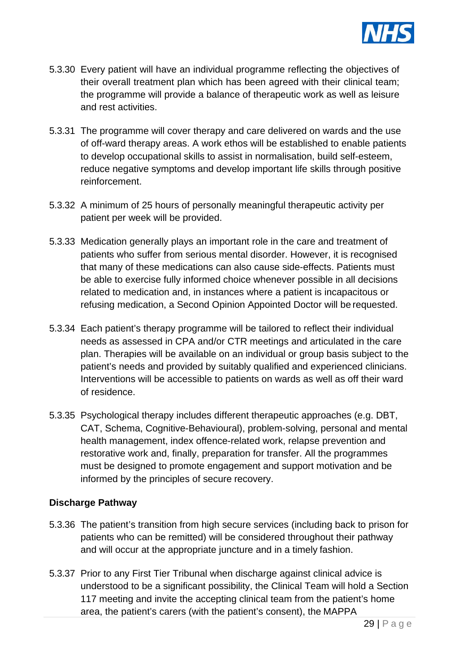

- 5.3.30 Every patient will have an individual programme reflecting the objectives of their overall treatment plan which has been agreed with their clinical team; the programme will provide a balance of therapeutic work as well as leisure and rest activities.
- 5.3.31 The programme will cover therapy and care delivered on wards and the use of off-ward therapy areas. A work ethos will be established to enable patients to develop occupational skills to assist in normalisation, build self-esteem, reduce negative symptoms and develop important life skills through positive reinforcement.
- 5.3.32 A minimum of 25 hours of personally meaningful therapeutic activity per patient per week will be provided.
- 5.3.33 Medication generally plays an important role in the care and treatment of patients who suffer from serious mental disorder. However, it is recognised that many of these medications can also cause side-effects. Patients must be able to exercise fully informed choice whenever possible in all decisions related to medication and, in instances where a patient is incapacitous or refusing medication, a Second Opinion Appointed Doctor will be requested.
- 5.3.34 Each patient's therapy programme will be tailored to reflect their individual needs as assessed in CPA and/or CTR meetings and articulated in the care plan. Therapies will be available on an individual or group basis subject to the patient's needs and provided by suitably qualified and experienced clinicians. Interventions will be accessible to patients on wards as well as off their ward of residence.
- 5.3.35 Psychological therapy includes different therapeutic approaches (e.g. DBT, CAT, Schema, Cognitive-Behavioural), problem-solving, personal and mental health management, index offence-related work, relapse prevention and restorative work and, finally, preparation for transfer. All the programmes must be designed to promote engagement and support motivation and be informed by the principles of secure recovery.

#### **Discharge Pathway**

- 5.3.36 The patient's transition from high secure services (including back to prison for patients who can be remitted) will be considered throughout their pathway and will occur at the appropriate juncture and in a timely fashion.
- 5.3.37 Prior to any First Tier Tribunal when discharge against clinical advice is understood to be a significant possibility, the Clinical Team will hold a Section 117 meeting and invite the accepting clinical team from the patient's home area, the patient's carers (with the patient's consent), the MAPPA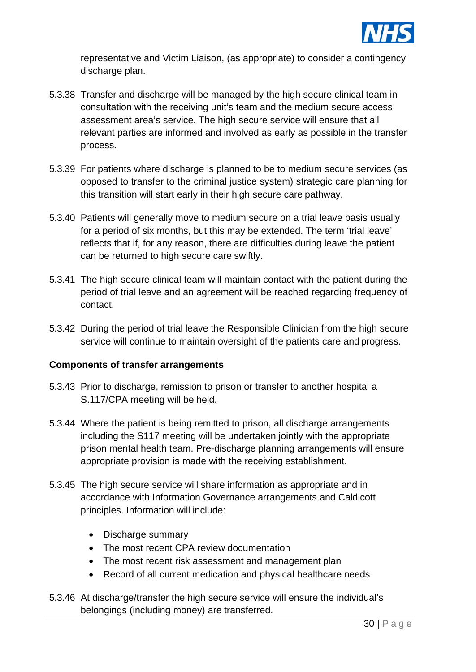

representative and Victim Liaison, (as appropriate) to consider a contingency discharge plan.

- 5.3.38 Transfer and discharge will be managed by the high secure clinical team in consultation with the receiving unit's team and the medium secure access assessment area's service. The high secure service will ensure that all relevant parties are informed and involved as early as possible in the transfer process.
- 5.3.39 For patients where discharge is planned to be to medium secure services (as opposed to transfer to the criminal justice system) strategic care planning for this transition will start early in their high secure care pathway.
- 5.3.40 Patients will generally move to medium secure on a trial leave basis usually for a period of six months, but this may be extended. The term 'trial leave' reflects that if, for any reason, there are difficulties during leave the patient can be returned to high secure care swiftly.
- 5.3.41 The high secure clinical team will maintain contact with the patient during the period of trial leave and an agreement will be reached regarding frequency of contact.
- 5.3.42 During the period of trial leave the Responsible Clinician from the high secure service will continue to maintain oversight of the patients care and progress.

#### **Components of transfer arrangements**

- 5.3.43 Prior to discharge, remission to prison or transfer to another hospital a S.117/CPA meeting will be held.
- 5.3.44 Where the patient is being remitted to prison, all discharge arrangements including the S117 meeting will be undertaken jointly with the appropriate prison mental health team. Pre-discharge planning arrangements will ensure appropriate provision is made with the receiving establishment.
- 5.3.45 The high secure service will share information as appropriate and in accordance with Information Governance arrangements and Caldicott principles. Information will include:
	- Discharge summary
	- The most recent CPA review documentation
	- The most recent risk assessment and management plan
	- Record of all current medication and physical healthcare needs
- 5.3.46 At discharge/transfer the high secure service will ensure the individual's belongings (including money) are transferred.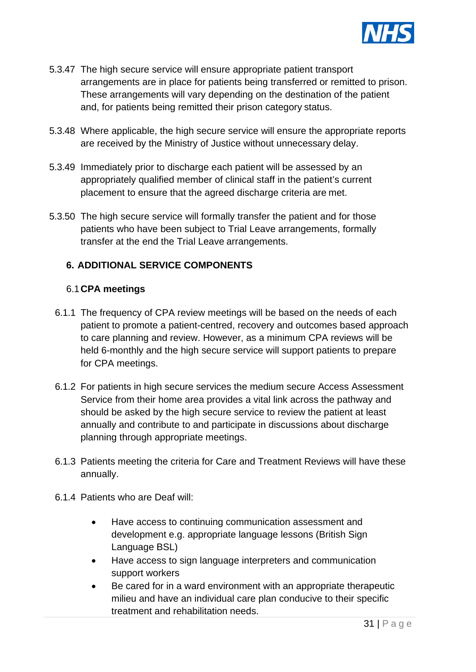

- 5.3.47 The high secure service will ensure appropriate patient transport arrangements are in place for patients being transferred or remitted to prison. These arrangements will vary depending on the destination of the patient and, for patients being remitted their prison category status.
- 5.3.48 Where applicable, the high secure service will ensure the appropriate reports are received by the Ministry of Justice without unnecessary delay.
- 5.3.49 Immediately prior to discharge each patient will be assessed by an appropriately qualified member of clinical staff in the patient's current placement to ensure that the agreed discharge criteria are met.
- 5.3.50 The high secure service will formally transfer the patient and for those patients who have been subject to Trial Leave arrangements, formally transfer at the end the Trial Leave arrangements.

# **6. ADDITIONAL SERVICE COMPONENTS**

#### 6.1**CPA meetings**

- 6.1.1 The frequency of CPA review meetings will be based on the needs of each patient to promote a patient-centred, recovery and outcomes based approach to care planning and review. However, as a minimum CPA reviews will be held 6-monthly and the high secure service will support patients to prepare for CPA meetings.
- 6.1.2 For patients in high secure services the medium secure Access Assessment Service from their home area provides a vital link across the pathway and should be asked by the high secure service to review the patient at least annually and contribute to and participate in discussions about discharge planning through appropriate meetings.
- 6.1.3 Patients meeting the criteria for Care and Treatment Reviews will have these annually.
- 6.1.4 Patients who are Deaf will:
	- Have access to continuing communication assessment and development e.g. appropriate language lessons (British Sign Language BSL)
	- Have access to sign language interpreters and communication support workers
	- Be cared for in a ward environment with an appropriate therapeutic milieu and have an individual care plan conducive to their specific treatment and rehabilitation needs.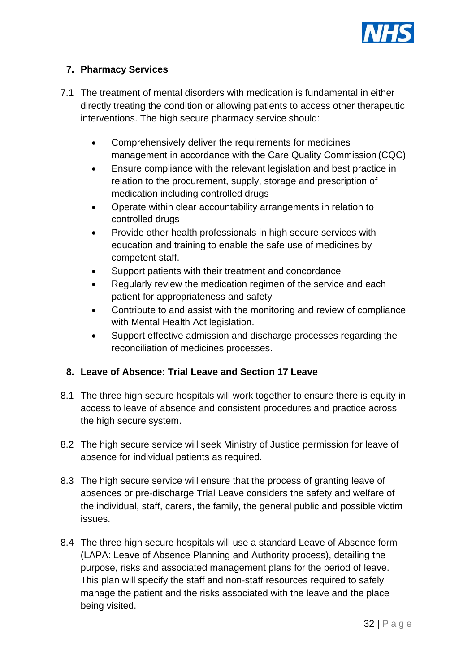

# **7. Pharmacy Services**

- 7.1 The treatment of mental disorders with medication is fundamental in either directly treating the condition or allowing patients to access other therapeutic interventions. The high secure pharmacy service should:
	- Comprehensively deliver the requirements for medicines management in accordance with the Care Quality Commission (CQC)
	- Ensure compliance with the relevant legislation and best practice in relation to the procurement, supply, storage and prescription of medication including controlled drugs
	- Operate within clear accountability arrangements in relation to controlled drugs
	- Provide other health professionals in high secure services with education and training to enable the safe use of medicines by competent staff.
	- Support patients with their treatment and concordance
	- Regularly review the medication regimen of the service and each patient for appropriateness and safety
	- Contribute to and assist with the monitoring and review of compliance with Mental Health Act legislation.
	- Support effective admission and discharge processes regarding the reconciliation of medicines processes.

#### **8. Leave of Absence: Trial Leave and Section 17 Leave**

- 8.1 The three high secure hospitals will work together to ensure there is equity in access to leave of absence and consistent procedures and practice across the high secure system.
- 8.2 The high secure service will seek Ministry of Justice permission for leave of absence for individual patients as required.
- 8.3 The high secure service will ensure that the process of granting leave of absences or pre-discharge Trial Leave considers the safety and welfare of the individual, staff, carers, the family, the general public and possible victim issues.
- 8.4 The three high secure hospitals will use a standard Leave of Absence form (LAPA: Leave of Absence Planning and Authority process), detailing the purpose, risks and associated management plans for the period of leave. This plan will specify the staff and non-staff resources required to safely manage the patient and the risks associated with the leave and the place being visited.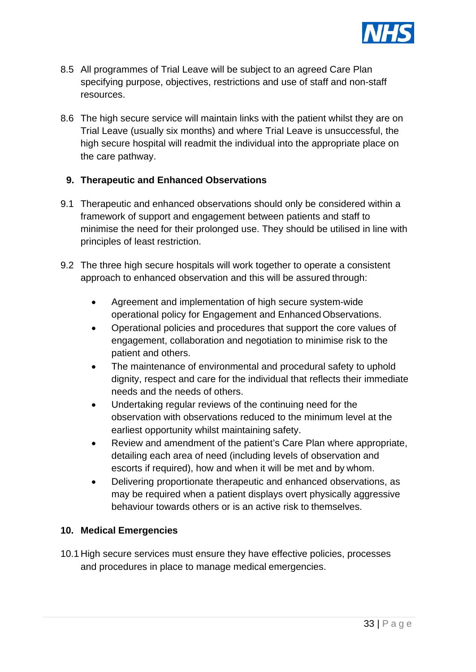

- 8.5 All programmes of Trial Leave will be subject to an agreed Care Plan specifying purpose, objectives, restrictions and use of staff and non-staff resources.
- 8.6 The high secure service will maintain links with the patient whilst they are on Trial Leave (usually six months) and where Trial Leave is unsuccessful, the high secure hospital will readmit the individual into the appropriate place on the care pathway.

#### **9. Therapeutic and Enhanced Observations**

- 9.1 Therapeutic and enhanced observations should only be considered within a framework of support and engagement between patients and staff to minimise the need for their prolonged use. They should be utilised in line with principles of least restriction.
- 9.2 The three high secure hospitals will work together to operate a consistent approach to enhanced observation and this will be assured through:
	- Agreement and implementation of high secure system-wide operational policy for Engagement and EnhancedObservations.
	- Operational policies and procedures that support the core values of engagement, collaboration and negotiation to minimise risk to the patient and others.
	- The maintenance of environmental and procedural safety to uphold dignity, respect and care for the individual that reflects their immediate needs and the needs of others.
	- Undertaking regular reviews of the continuing need for the observation with observations reduced to the minimum level at the earliest opportunity whilst maintaining safety.
	- Review and amendment of the patient's Care Plan where appropriate, detailing each area of need (including levels of observation and escorts if required), how and when it will be met and by whom.
	- Delivering proportionate therapeutic and enhanced observations, as may be required when a patient displays overt physically aggressive behaviour towards others or is an active risk to themselves.

#### **10. Medical Emergencies**

10.1 High secure services must ensure they have effective policies, processes and procedures in place to manage medical emergencies.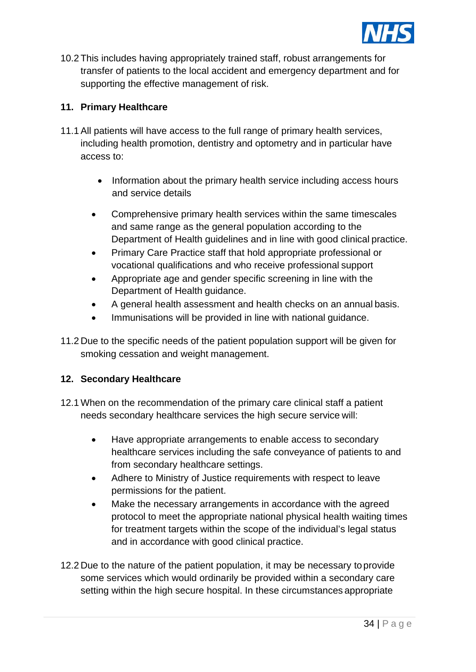

10.2 This includes having appropriately trained staff, robust arrangements for transfer of patients to the local accident and emergency department and for supporting the effective management of risk.

# **11. Primary Healthcare**

- 11.1 All patients will have access to the full range of primary health services, including health promotion, dentistry and optometry and in particular have access to:
	- Information about the primary health service including access hours and service details
	- Comprehensive primary health services within the same timescales and same range as the general population according to the Department of Health guidelines and in line with good clinical practice.
	- Primary Care Practice staff that hold appropriate professional or vocational qualifications and who receive professional support
	- Appropriate age and gender specific screening in line with the Department of Health guidance.
	- A general health assessment and health checks on an annual basis.
	- Immunisations will be provided in line with national guidance.
- 11.2 Due to the specific needs of the patient population support will be given for smoking cessation and weight management.

#### **12. Secondary Healthcare**

- 12.1 When on the recommendation of the primary care clinical staff a patient needs secondary healthcare services the high secure service will:
	- Have appropriate arrangements to enable access to secondary healthcare services including the safe conveyance of patients to and from secondary healthcare settings.
	- Adhere to Ministry of Justice requirements with respect to leave permissions for the patient.
	- Make the necessary arrangements in accordance with the agreed protocol to meet the appropriate national physical health waiting times for treatment targets within the scope of the individual's legal status and in accordance with good clinical practice.
- 12.2 Due to the nature of the patient population, it may be necessary toprovide some services which would ordinarily be provided within a secondary care setting within the high secure hospital. In these circumstances appropriate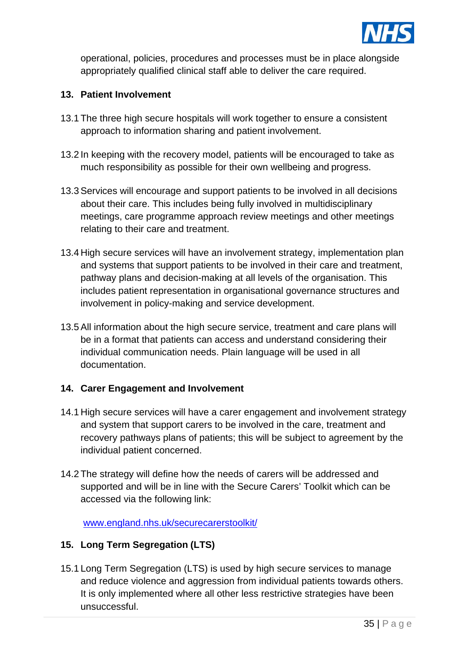

operational, policies, procedures and processes must be in place alongside appropriately qualified clinical staff able to deliver the care required.

#### **13. Patient Involvement**

- 13.1 The three high secure hospitals will work together to ensure a consistent approach to information sharing and patient involvement.
- 13.2 In keeping with the recovery model, patients will be encouraged to take as much responsibility as possible for their own wellbeing and progress.
- 13.3 Services will encourage and support patients to be involved in all decisions about their care. This includes being fully involved in multidisciplinary meetings, care programme approach review meetings and other meetings relating to their care and treatment.
- 13.4 High secure services will have an involvement strategy, implementation plan and systems that support patients to be involved in their care and treatment, pathway plans and decision-making at all levels of the organisation. This includes patient representation in organisational governance structures and involvement in policy-making and service development.
- 13.5 All information about the high secure service, treatment and care plans will be in a format that patients can access and understand considering their individual communication needs. Plain language will be used in all documentation.

#### **14. Carer Engagement and Involvement**

- 14.1 High secure services will have a carer engagement and involvement strategy and system that support carers to be involved in the care, treatment and recovery pathways plans of patients; this will be subject to agreement by the individual patient concerned.
- 14.2 The strategy will define how the needs of carers will be addressed and supported and will be in line with the Secure Carers' Toolkit which can be accessed via the following link:

[www.england.nhs.uk/securecarerstoolkit/](http://www.england.nhs.uk/securecarerstoolkit/)

#### **15. Long Term Segregation (LTS)**

15.1 Long Term Segregation (LTS) is used by high secure services to manage and reduce violence and aggression from individual patients towards others. It is only implemented where all other less restrictive strategies have been unsuccessful.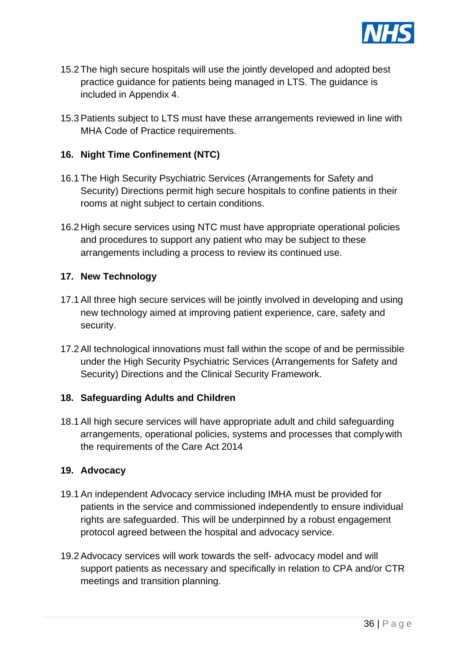

- 15.2 The high secure hospitals will use the jointly developed and adopted best practice guidance for patients being managed in LTS. The guidance is included in Appendix 4.
- 15.3 Patients subject to LTS must have these arrangements reviewed in line with MHA Code of Practice requirements.

#### **16. Night Time Confinement (NTC)**

- 16.1 The High Security Psychiatric Services (Arrangements for Safety and Security) Directions permit high secure hospitals to confine patients in their rooms at night subject to certain conditions.
- 16.2 High secure services using NTC must have appropriate operational policies and procedures to support any patient who may be subject to these arrangements including a process to review its continued use.

#### **17. New Technology**

- 17.1 All three high secure services will be jointly involved in developing and using new technology aimed at improving patient experience, care, safety and security.
- 17.2 All technological innovations must fall within the scope of and be permissible under the High Security Psychiatric Services (Arrangements for Safety and Security) Directions and the Clinical Security Framework.

#### **18. Safeguarding Adults and Children**

18.1 All high secure services will have appropriate adult and child safeguarding arrangements, operational policies, systems and processes that complywith the requirements of the Care Act 2014

#### **19. Advocacy**

- 19.1 An independent Advocacy service including IMHA must be provided for patients in the service and commissioned independently to ensure individual rights are safeguarded. This will be underpinned by a robust engagement protocol agreed between the hospital and advocacy service.
- 19.2 Advocacy services will work towards the self- advocacy model and will support patients as necessary and specifically in relation to CPA and/or CTR meetings and transition planning.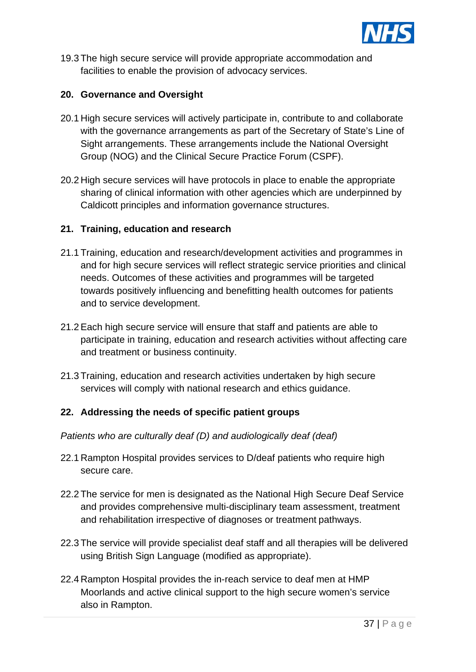

19.3 The high secure service will provide appropriate accommodation and facilities to enable the provision of advocacy services.

# **20. Governance and Oversight**

- 20.1 High secure services will actively participate in, contribute to and collaborate with the governance arrangements as part of the Secretary of State's Line of Sight arrangements. These arrangements include the National Oversight Group (NOG) and the Clinical Secure Practice Forum (CSPF).
- 20.2 High secure services will have protocols in place to enable the appropriate sharing of clinical information with other agencies which are underpinned by Caldicott principles and information governance structures.

#### **21. Training, education and research**

- 21.1 Training, education and research/development activities and programmes in and for high secure services will reflect strategic service priorities and clinical needs. Outcomes of these activities and programmes will be targeted towards positively influencing and benefitting health outcomes for patients and to service development.
- 21.2 Each high secure service will ensure that staff and patients are able to participate in training, education and research activities without affecting care and treatment or business continuity.
- 21.3 Training, education and research activities undertaken by high secure services will comply with national research and ethics guidance.

# **22. Addressing the needs of specific patient groups**

*Patients who are culturally deaf (D) and audiologically deaf (deaf)*

- 22.1 Rampton Hospital provides services to D/deaf patients who require high secure care.
- 22.2 The service for men is designated as the National High Secure Deaf Service and provides comprehensive multi-disciplinary team assessment, treatment and rehabilitation irrespective of diagnoses or treatment pathways.
- 22.3 The service will provide specialist deaf staff and all therapies will be delivered using British Sign Language (modified as appropriate).
- 22.4 Rampton Hospital provides the in-reach service to deaf men at HMP Moorlands and active clinical support to the high secure women's service also in Rampton.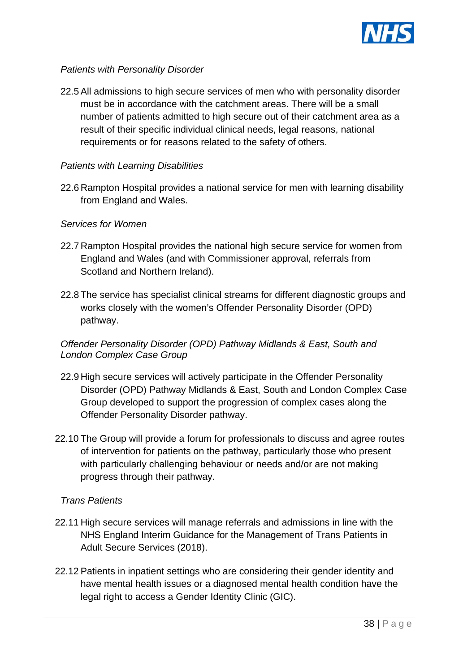

# *Patients with Personality Disorder*

22.5 All admissions to high secure services of men who with personality disorder must be in accordance with the catchment areas. There will be a small number of patients admitted to high secure out of their catchment area as a result of their specific individual clinical needs, legal reasons, national requirements or for reasons related to the safety of others.

# *Patients with Learning Disabilities*

22.6 Rampton Hospital provides a national service for men with learning disability from England and Wales.

#### *Services for Women*

- 22.7 Rampton Hospital provides the national high secure service for women from England and Wales (and with Commissioner approval, referrals from Scotland and Northern Ireland).
- 22.8 The service has specialist clinical streams for different diagnostic groups and works closely with the women's Offender Personality Disorder (OPD) pathway.

# *Offender Personality Disorder (OPD) Pathway Midlands & East, South and London Complex Case Group*

- 22.9 High secure services will actively participate in the Offender Personality Disorder (OPD) Pathway Midlands & East, South and London Complex Case Group developed to support the progression of complex cases along the Offender Personality Disorder pathway.
- 22.10 The Group will provide a forum for professionals to discuss and agree routes of intervention for patients on the pathway, particularly those who present with particularly challenging behaviour or needs and/or are not making progress through their pathway.

#### *Trans Patients*

- 22.11 High secure services will manage referrals and admissions in line with the NHS England Interim Guidance for the Management of Trans Patients in Adult Secure Services (2018).
- 22.12 Patients in inpatient settings who are considering their gender identity and have mental health issues or a diagnosed mental health condition have the legal right to access a Gender Identity Clinic (GIC).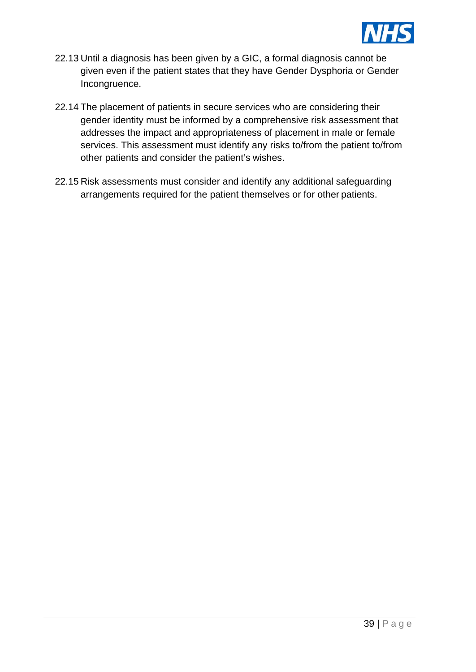

- 22.13 Until a diagnosis has been given by a GIC, a formal diagnosis cannot be given even if the patient states that they have Gender Dysphoria or Gender Incongruence.
- 22.14 The placement of patients in secure services who are considering their gender identity must be informed by a comprehensive risk assessment that addresses the impact and appropriateness of placement in male or female services. This assessment must identify any risks to/from the patient to/from other patients and consider the patient's wishes.
- 22.15 Risk assessments must consider and identify any additional safeguarding arrangements required for the patient themselves or for other patients.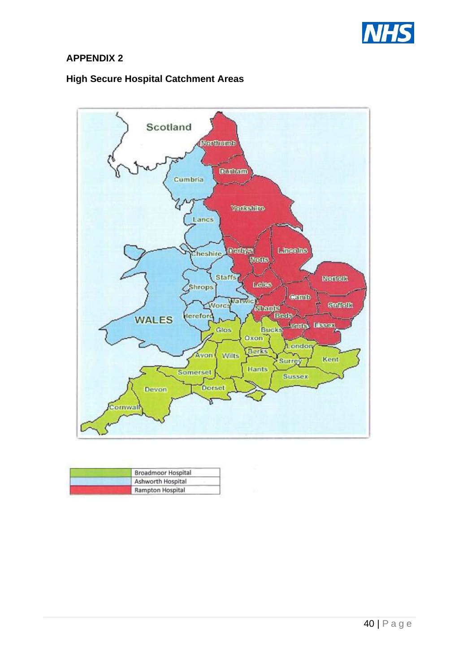

# **APPENDIX 2**

# **High Secure Hospital Catchment Areas**



| Broadmoor Hospital |
|--------------------|
| Ashworth Hospital  |
| Rampton Hospital   |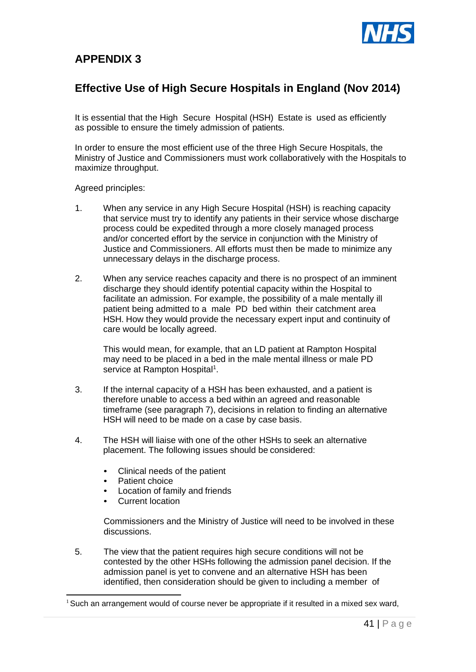

# **APPENDIX 3**

# **Effective Use of High Secure Hospitals in England (Nov 2014)**

It is essential that the High Secure Hospital (HSH) Estate is used as efficiently as possible to ensure the timely admission of patients.

In order to ensure the most efficient use of the three High Secure Hospitals, the Ministry of Justice and Commissioners must work collaboratively with the Hospitals to maximize throughput.

Agreed principles:

- 1. When any service in any High Secure Hospital (HSH) is reaching capacity that service must try to identify any patients in their service whose discharge process could be expedited through a more closely managed process and/or concerted effort by the service in conjunction with the Ministry of Justice and Commissioners. All efforts must then be made to minimize any unnecessary delays in the discharge process.
- 2. When any service reaches capacity and there is no prospect of an imminent discharge they should identify potential capacity within the Hospital to facilitate an admission. For example, the possibility of a male mentally ill patient being admitted to a male PD bed within their catchment area HSH. How they would provide the necessary expert input and continuity of care would be locally agreed.

This would mean, for example, that an LD patient at Rampton Hospital may need to be placed in a bed in the male mental illness or male PD service at Rampton Hospital<sup>1</sup>.

- 3. If the internal capacity of a HSH has been exhausted, and a patient is therefore unable to access a bed within an agreed and reasonable timeframe (see paragraph 7), decisions in relation to finding an alternative HSH will need to be made on a case by case basis.
- 4. The HSH will liaise with one of the other HSHs to seek an alternative placement. The following issues should be considered:
	- Clinical needs of the patient
	- Patient choice
	- Location of family and friends
	- Current location

Commissioners and the Ministry of Justice will need to be involved in these discussions.

5. The view that the patient requires high secure conditions will not be contested by the other HSHs following the admission panel decision. If the admission panel is yet to convene and an alternative HSH has been identified, then consideration should be given to including a member of

<sup>&</sup>lt;sup>1</sup> Such an arrangement would of course never be appropriate if it resulted in a mixed sex ward,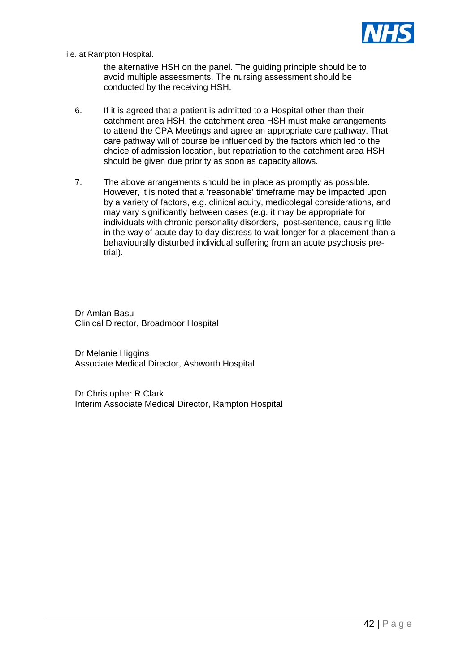

i.e. at Rampton Hospital.

the alternative HSH on the panel. The guiding principle should be to avoid multiple assessments. The nursing assessment should be conducted by the receiving HSH.

- 6. If it is agreed that a patient is admitted to a Hospital other than their catchment area HSH, the catchment area HSH must make arrangements to attend the CPA Meetings and agree an appropriate care pathway. That care pathway will of course be influenced by the factors which led to the choice of admission location, but repatriation to the catchment area HSH should be given due priority as soon as capacity allows.
- 7. The above arrangements should be in place as promptly as possible. However, it is noted that a 'reasonable' timeframe may be impacted upon by a variety of factors, e.g. clinical acuity, medicolegal considerations, and may vary significantly between cases (e.g. it may be appropriate for individuals with chronic personality disorders, post-sentence, causing little in the way of acute day to day distress to wait longer for a placement than a behaviourally disturbed individual suffering from an acute psychosis pretrial).

Dr Amlan Basu Clinical Director, Broadmoor Hospital

Dr Melanie Higgins Associate Medical Director, Ashworth Hospital

Dr Christopher R Clark Interim Associate Medical Director, Rampton Hospital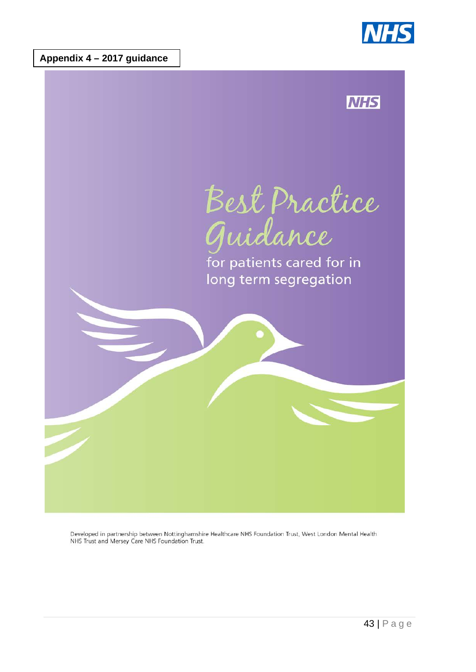





Developed in partnership between Nottinghamshire Healthcare NHS Foundation Trust, West London Mental Health NHS Trust and Mersey Care NHS Foundation Trust.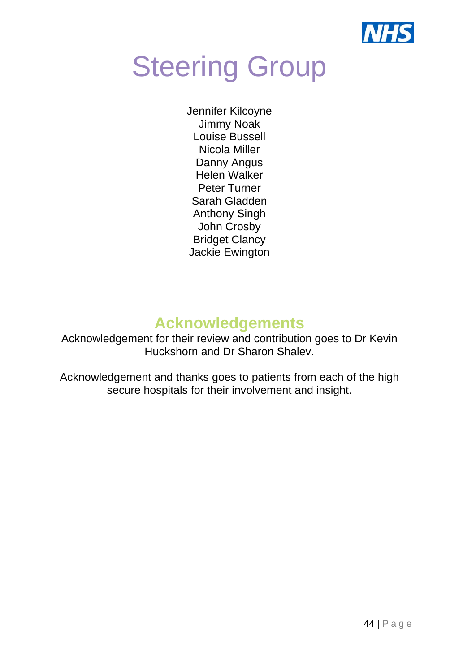

# **Steering Group**

Jennifer Kilcoyne Jimmy Noak Louise Bussell Nicola Miller Danny Angus Helen Walker Peter Turner Sarah Gladden Anthony Singh John Crosby Bridget Clancy Jackie Ewington

# **Acknowledgements**

Acknowledgement for their review and contribution goes to Dr Kevin Huckshorn and Dr Sharon Shalev.

Acknowledgement and thanks goes to patients from each of the high secure hospitals for their involvement and insight.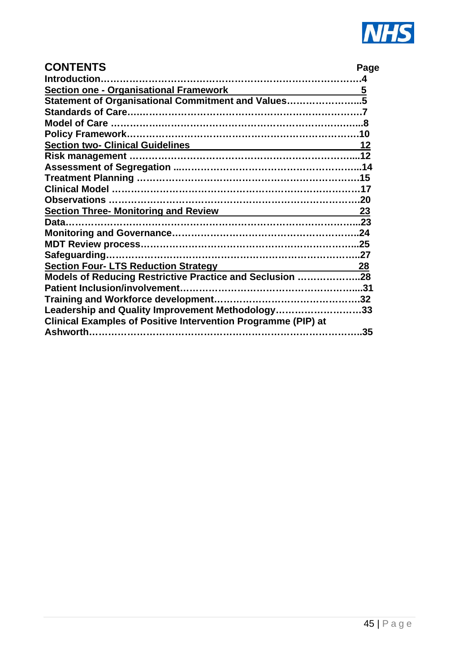

| <b>CONTENTS</b>                                                      |  |
|----------------------------------------------------------------------|--|
| <b>Introduction</b>                                                  |  |
| Section one - Organisational Framework 5                             |  |
| Statement of Organisational Commitment and Values5                   |  |
|                                                                      |  |
|                                                                      |  |
|                                                                      |  |
| Section two- Clinical Guidelines 2014 12                             |  |
|                                                                      |  |
|                                                                      |  |
|                                                                      |  |
|                                                                      |  |
|                                                                      |  |
| Section Three- Monitoring and Review Manuscript Manuscript 23        |  |
|                                                                      |  |
|                                                                      |  |
|                                                                      |  |
|                                                                      |  |
| Section Four-LTS Reduction Strategy 28                               |  |
| Models of Reducing Restrictive Practice and Seclusion 28             |  |
|                                                                      |  |
|                                                                      |  |
| Leadership and Quality Improvement Methodology33                     |  |
| <b>Clinical Examples of Positive Intervention Programme (PIP) at</b> |  |
|                                                                      |  |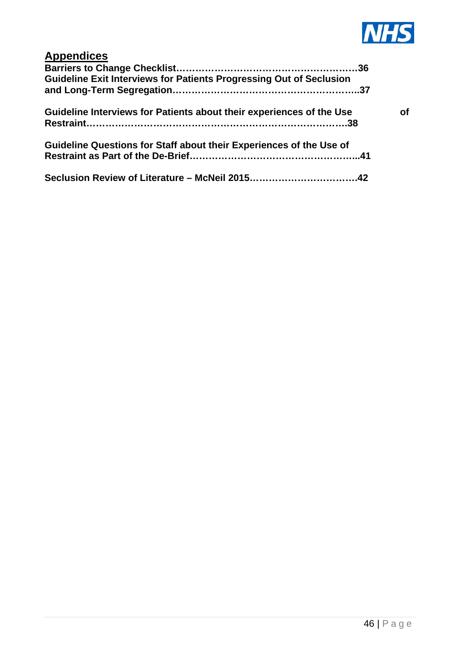

| <b>Appendices</b><br><b>Guideline Exit Interviews for Patients Progressing Out of Seclusion</b> |  |
|-------------------------------------------------------------------------------------------------|--|
| Guideline Interviews for Patients about their experiences of the Use                            |  |
| Guideline Questions for Staff about their Experiences of the Use of                             |  |
| Seclusion Review of Literature – McNeil 201542                                                  |  |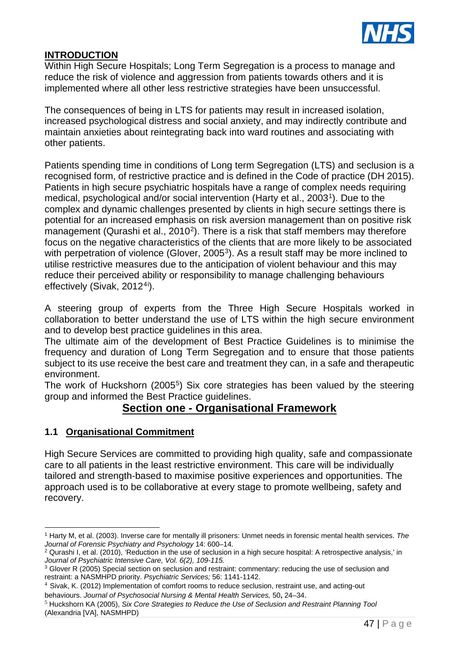

# **INTRODUCTION**

Within High Secure Hospitals; Long Term Segregation is a process to manage and reduce the risk of violence and aggression from patients towards others and it is implemented where all other less restrictive strategies have been unsuccessful.

The consequences of being in LTS for patients may result in increased isolation, increased psychological distress and social anxiety, and may indirectly contribute and maintain anxieties about reintegrating back into ward routines and associating with other patients.

Patients spending time in conditions of Long term Segregation (LTS) and seclusion is a recognised form, of restrictive practice and is defined in the Code of practice (DH 2015). Patients in high secure psychiatric hospitals have a range of complex needs requiring medical, psychological and/or social intervention (Harty et al., 2003[1](#page-46-0)). Due to the complex and dynamic challenges presented by clients in high secure settings there is potential for an increased emphasis on risk aversion management than on positive risk management (Qurashi et al., [2](#page-46-1)010<sup>2</sup>). There is a risk that staff members may therefore focus on the negative characteristics of the clients that are more likely to be associated with perpetration of violence (Glover, 2005<sup>[3](#page-46-2)</sup>). As a result staff may be more inclined to utilise restrictive measures due to the anticipation of violent behaviour and this may reduce their perceived ability or responsibility to manage challenging behaviours effectively (Sivak, 2012<sup>[4](#page-46-3)[i](#page-82-0)</sup>).

A steering group of experts from the Three High Secure Hospitals worked in collaboration to better understand the use of LTS within the high secure environment and to develop best practice guidelines in this area.

The ultimate aim of the development of Best Practice Guidelines is to minimise the frequency and duration of Long Term Segregation and to ensure that those patients subject to its use receive the best care and treatment they can, in a safe and therapeutic environment.

The work of Huckshorn (2005<sup>5</sup>) Six core strategies has been valued by the steering group and informed the Best Practice guidelines.

# **Section one - Organisational Framework**

# **1.1 Organisational Commitment**

High Secure Services are committed to providing high quality, safe and compassionate care to all patients in the least restrictive environment. This care will be individually tailored and strength-based to maximise positive experiences and opportunities. The approach used is to be collaborative at every stage to promote wellbeing, safety and recovery.

<span id="page-46-0"></span><sup>1</sup> Harty M, et al. (2003). Inverse care for mentally ill prisoners: Unmet needs in forensic mental health services. *The Journal of Forensic Psychiatry and Psychology* 14: 600–14.

<span id="page-46-1"></span><sup>&</sup>lt;sup>2</sup> Qurashi I, et al. (2010), 'Reduction in the use of seclusion in a high secure hospital: A retrospective analysis,' in *Journal of Psychiatric Intensive Care, Vol. 6(2), 109-115.*

<span id="page-46-2"></span><sup>3</sup> Glover R (2005) Special section on seclusion and restraint: commentary: reducing the use of seclusion and restraint: a NASMHPD priority. *Psychiatric Services;* 56: 1141-1142.

<span id="page-46-3"></span><sup>4</sup> Sivak, K. (2012) Implementation of comfort rooms to reduce seclusion, restraint use, and acting-out behaviours. *Journal of Psychosocial Nursing & Mental Health Services,* 50**,** 24–34.

<span id="page-46-4"></span><sup>5</sup> Huckshorn KA (2005), *Six Core Strategies to Reduce the Use of Seclusion and Restraint Planning Tool*  (Alexandria [VA], NASMHPD)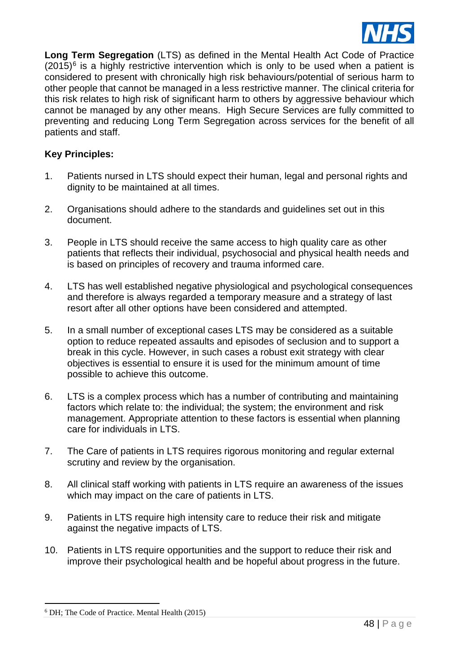

**Long Term Segregation** (LTS) as defined in the Mental Health Act Code of Practice  $(2015)^6$  $(2015)^6$  is a highly restrictive intervention which is only to be used when a patient is considered to present with chronically high risk behaviours/potential of serious harm to other people that cannot be managed in a less restrictive manner. The clinical criteria for this risk relates to high risk of significant harm to others by aggressive behaviour which cannot be managed by any other means. High Secure Services are fully committed to preventing and reducing Long Term Segregation across services for the benefit of all patients and staff.

# **Key Principles:**

- 1. Patients nursed in LTS should expect their human, legal and personal rights and dignity to be maintained at all times.
- 2. Organisations should adhere to the standards and guidelines set out in this document.
- 3. People in LTS should receive the same access to high quality care as other patients that reflects their individual, psychosocial and physical health needs and is based on principles of recovery and trauma informed care.
- 4. LTS has well established negative physiological and psychological consequences and therefore is always regarded a temporary measure and a strategy of last resort after all other options have been considered and attempted.
- 5. In a small number of exceptional cases LTS may be considered as a suitable option to reduce repeated assaults and episodes of seclusion and to support a break in this cycle. However, in such cases a robust exit strategy with clear objectives is essential to ensure it is used for the minimum amount of time possible to achieve this outcome.
- 6. LTS is a complex process which has a number of contributing and maintaining factors which relate to: the individual; the system; the environment and risk management. Appropriate attention to these factors is essential when planning care for individuals in LTS.
- 7. The Care of patients in LTS requires rigorous monitoring and regular external scrutiny and review by the organisation.
- 8. All clinical staff working with patients in LTS require an awareness of the issues which may impact on the care of patients in LTS.
- 9. Patients in LTS require high intensity care to reduce their risk and mitigate against the negative impacts of LTS.
- 10. Patients in LTS require opportunities and the support to reduce their risk and improve their psychological health and be hopeful about progress in the future.

<span id="page-47-0"></span><sup>6</sup> DH; The Code of Practice. Mental Health (2015)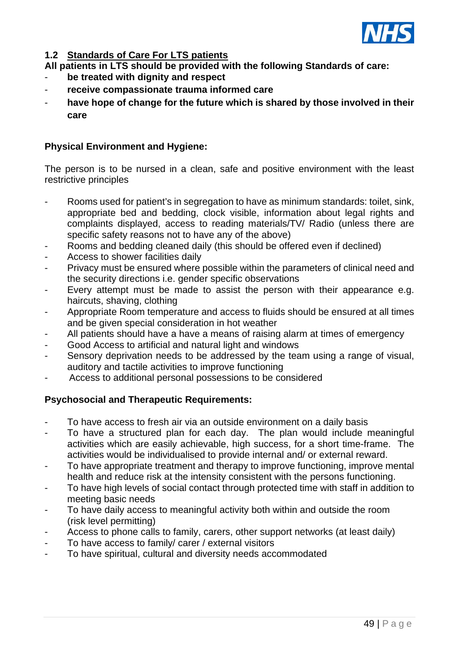

# **1.2 Standards of Care For LTS patients**

- **All patients in LTS should be provided with the following Standards of care:**
- **be treated with dignity and respect**
- **receive compassionate trauma informed care**
- have hope of change for the future which is shared by those involved in their **care**

# **Physical Environment and Hygiene:**

The person is to be nursed in a clean, safe and positive environment with the least restrictive principles

- Rooms used for patient's in segregation to have as minimum standards: toilet, sink, appropriate bed and bedding, clock visible, information about legal rights and complaints displayed, access to reading materials/TV/ Radio (unless there are specific safety reasons not to have any of the above)
- Rooms and bedding cleaned daily (this should be offered even if declined)
- Access to shower facilities daily
- Privacy must be ensured where possible within the parameters of clinical need and the security directions i.e. gender specific observations
- Every attempt must be made to assist the person with their appearance e.g. haircuts, shaving, clothing
- Appropriate Room temperature and access to fluids should be ensured at all times and be given special consideration in hot weather
- All patients should have a have a means of raising alarm at times of emergency
- Good Access to artificial and natural light and windows
- Sensory deprivation needs to be addressed by the team using a range of visual, auditory and tactile activities to improve functioning
- Access to additional personal possessions to be considered

# **Psychosocial and Therapeutic Requirements:**

- To have access to fresh air via an outside environment on a daily basis
- To have a structured plan for each day. The plan would include meaningful activities which are easily achievable, high success, for a short time-frame. The activities would be individualised to provide internal and/ or external reward.
- To have appropriate treatment and therapy to improve functioning, improve mental health and reduce risk at the intensity consistent with the persons functioning.
- To have high levels of social contact through protected time with staff in addition to meeting basic needs
- To have daily access to meaningful activity both within and outside the room (risk level permitting)
- Access to phone calls to family, carers, other support networks (at least daily)
- To have access to family/ carer / external visitors
- To have spiritual, cultural and diversity needs accommodated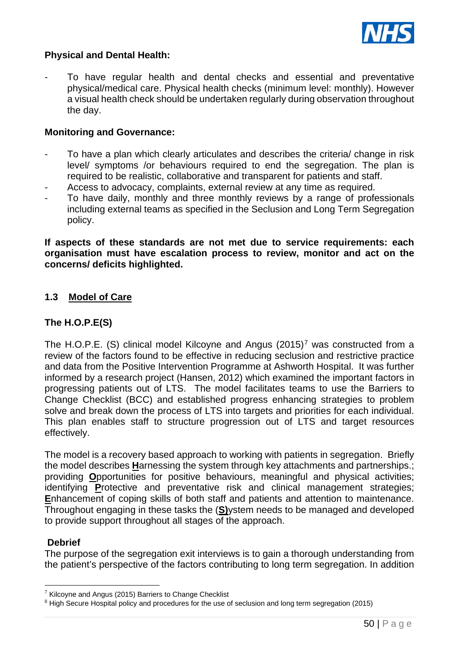

# **Physical and Dental Health:**

- To have regular health and dental checks and essential and preventative physical/medical care. Physical health checks (minimum level: monthly). However a visual health check should be undertaken regularly during observation throughout the day.

#### **Monitoring and Governance:**

- To have a plan which clearly articulates and describes the criteria/ change in risk level/ symptoms /or behaviours required to end the segregation. The plan is required to be realistic, collaborative and transparent for patients and staff.
- Access to advocacy, complaints, external review at any time as required.
- To have daily, monthly and three monthly reviews by a range of professionals including external teams as specified in the Seclusion and Long Term Segregation policy.

**If aspects of these standards are not met due to service requirements: each organisation must have escalation process to review, monitor and act on the concerns/ deficits highlighted.**

# **1.3 Model of Care**

# **The H.O.P.E(S)**

The H.O.P.E. (S) clinical model Kilcoyne and Angus  $(2015)^7$  $(2015)^7$  was constructed from a review of the factors found to be effective in reducing seclusion and restrictive practice and data from the Positive Intervention Programme at Ashworth Hospital. It was further informed by a research project (Hansen, 2012) which examined the important factors in progressing patients out of LTS. The model facilitates teams to use the Barriers to Change Checklist (BCC) and established progress enhancing strategies to problem solve and break down the process of LTS into targets and priorities for each individual. This plan enables staff to structure progression out of LTS and target resources effectively.

The model is a recovery based approach to working with patients in segregation. Briefly the model describes **H**arnessing the system through key attachments and partnerships.; providing **O**pportunities for positive behaviours, meaningful and physical activities; identifying **P**rotective and preventative risk and clinical management strategies; **E**nhancement of coping skills of both staff and patients and attention to maintenance. Throughout engaging in these tasks the (**S)**ystem needs to be managed and developed to provide support throughout all stages of the approach.

# **Debrief**

The purpose of the segregation exit interviews is to gain a thorough understanding from the patient's perspective of the factors contributing to long term segregation. In addition

<span id="page-49-0"></span> $7$  Kilcoyne and Angus (2015) Barriers to Change Checklist

<sup>8</sup> High Secure Hospital policy and procedures for the use of seclusion and long term segregation (2015)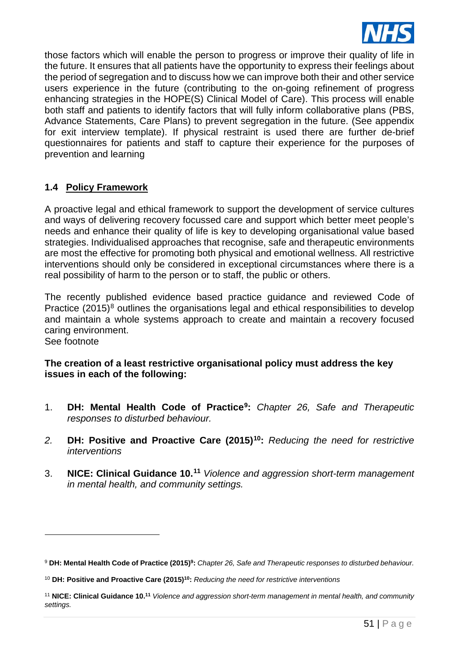

those factors which will enable the person to progress or improve their quality of life in the future. It ensures that all patients have the opportunity to express their feelings about the period of segregation and to discuss how we can improve both their and other service users experience in the future (contributing to the on-going refinement of progress enhancing strategies in the HOPE(S) Clinical Model of Care). This process will enable both staff and patients to identify factors that will fully inform collaborative plans (PBS, Advance Statements, Care Plans) to prevent segregation in the future. (See appendix for exit interview template). If physical restraint is used there are further de-brief questionnaires for patients and staff to capture their experience for the purposes of prevention and learning

# **1.4 Policy Framework**

A proactive legal and ethical framework to support the development of service cultures and ways of delivering recovery focussed care and support which better meet people's needs and enhance their quality of life is key to developing organisational value based strategies. Individualised approaches that recognise, safe and therapeutic environments are most the effective for promoting both physical and emotional wellness. All restrictive interventions should only be considered in exceptional circumstances where there is a real possibility of harm to the person or to staff, the public or others.

The recently published evidence based practice guidance and reviewed Code of Practice  $(2015)^8$  $(2015)^8$  outlines the organisations legal and ethical responsibilities to develop and maintain a whole systems approach to create and maintain a recovery focused caring environment.

See footnote

# **The creation of a least restrictive organisational policy must address the key issues in each of the following:**

- 1. **DH: Mental Health Code of Practice[9](#page-50-1):** *Chapter 26, Safe and Therapeutic responses to disturbed behaviour.*
- *2.* **DH: Positive and Proactive Care (2015)[10:](#page-50-2)** *Reducing the need for restrictive interventions*
- 3. **NICE: Clinical Guidance 10. [11](#page-50-3)** *Violence and aggression short-term management in mental health, and community settings.*

<span id="page-50-1"></span><span id="page-50-0"></span><sup>9</sup> **DH: Mental Health Code of Practice (2015)9:** *Chapter 26, Safe and Therapeutic responses to disturbed behaviour.* 

<span id="page-50-2"></span><sup>10</sup> **DH: Positive and Proactive Care (2015)10:** *Reducing the need for restrictive interventions*

<span id="page-50-3"></span><sup>11</sup> **NICE: Clinical Guidance 10. <sup>11</sup>** *Violence and aggression short-term management in mental health, and community settings.*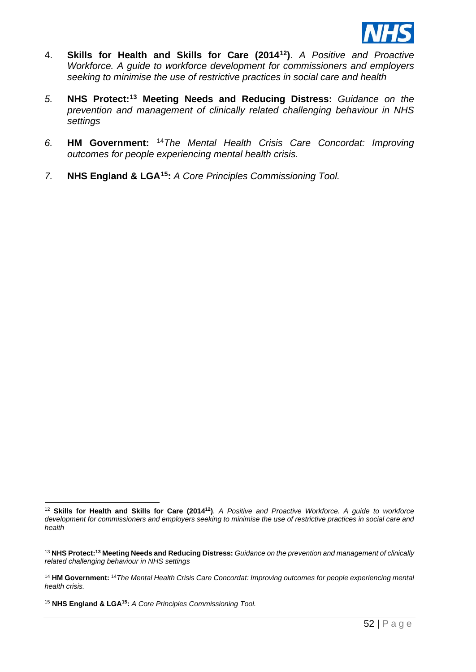

- 4. **Skills for Health and Skills for Care (2014[12\)](#page-51-0)**. *A Positive and Proactive Workforce. A guide to workforce development for commissioners and employers seeking to minimise the use of restrictive practices in social care and health*
- *5.* **NHS Protect:[13](#page-51-1) Meeting Needs and Reducing Distress:** *Guidance on the prevention and management of clinically related challenging behaviour in NHS settings*
- *6.* **HM Government:** [14](#page-51-2)*The Mental Health Crisis Care Concordat: Improving outcomes for people experiencing mental health crisis.*
- *7.* **NHS England & LGA[15](#page-51-3):** *A Core Principles Commissioning Tool.*

<span id="page-51-3"></span><sup>15</sup> **NHS England & LGA15:** *A Core Principles Commissioning Tool.* 

<span id="page-51-0"></span><sup>12</sup> **Skills for Health and Skills for Care (201412)**. *A Positive and Proactive Workforce. A guide to workforce development for commissioners and employers seeking to minimise the use of restrictive practices in social care and health*

<span id="page-51-1"></span><sup>13</sup> **NHS Protect:13 Meeting Needs and Reducing Distress:** *Guidance on the prevention and management of clinically related challenging behaviour in NHS settings*

<span id="page-51-2"></span><sup>14</sup> **HM Government:** <sup>14</sup>*The Mental Health Crisis Care Concordat: Improving outcomes for people experiencing mental health crisis.*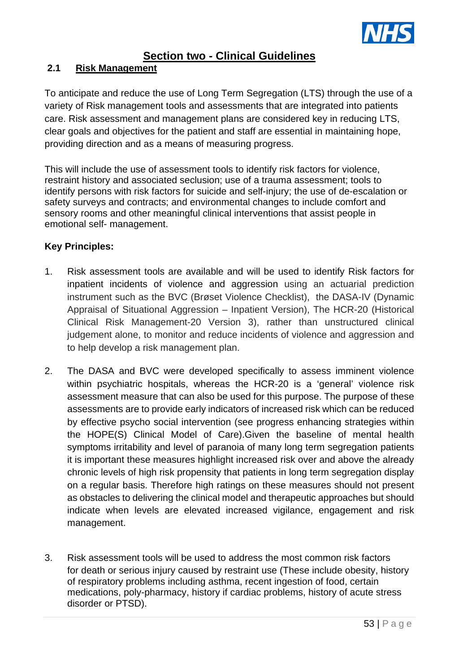

# **Section two - Clinical Guidelines**

# **2.1 Risk Management**

To anticipate and reduce the use of Long Term Segregation (LTS) through the use of a variety of Risk management tools and assessments that are integrated into patients care. Risk assessment and management plans are considered key in reducing LTS, clear goals and objectives for the patient and staff are essential in maintaining hope, providing direction and as a means of measuring progress.

This will include the use of assessment tools to identify risk factors for violence, restraint history and associated seclusion; use of a trauma assessment; tools to identify persons with risk factors for suicide and self-injury; the use of de-escalation or safety surveys and contracts; and environmental changes to include comfort and sensory rooms and other meaningful clinical interventions that assist people in emotional self- management.

# **Key Principles:**

- 1. Risk assessment tools are available and will be used to identify Risk factors for inpatient incidents of violence and aggression using an actuarial prediction instrument such as the BVC (Brøset Violence Checklist), the DASA-IV (Dynamic Appraisal of Situational Aggression – Inpatient Version), The HCR-20 (Historical Clinical Risk Management-20 Version 3), rather than unstructured clinical judgement alone, to monitor and reduce incidents of violence and aggression and to help develop a risk management plan.
- 2. The DASA and BVC were developed specifically to assess imminent violence within psychiatric hospitals, whereas the HCR-20 is a 'general' violence risk assessment measure that can also be used for this purpose. The purpose of these assessments are to provide early indicators of increased risk which can be reduced by effective psycho social intervention (see progress enhancing strategies within the HOPE(S) Clinical Model of Care).Given the baseline of mental health symptoms irritability and level of paranoia of many long term segregation patients it is important these measures highlight increased risk over and above the already chronic levels of high risk propensity that patients in long term segregation display on a regular basis. Therefore high ratings on these measures should not present as obstacles to delivering the clinical model and therapeutic approaches but should indicate when levels are elevated increased vigilance, engagement and risk management.
- 3. Risk assessment tools will be used to address the most common risk factors for death or serious injury caused by restraint use (These include obesity, history of respiratory problems including asthma, recent ingestion of food, certain medications, poly-pharmacy, history if cardiac problems, history of acute stress disorder or PTSD).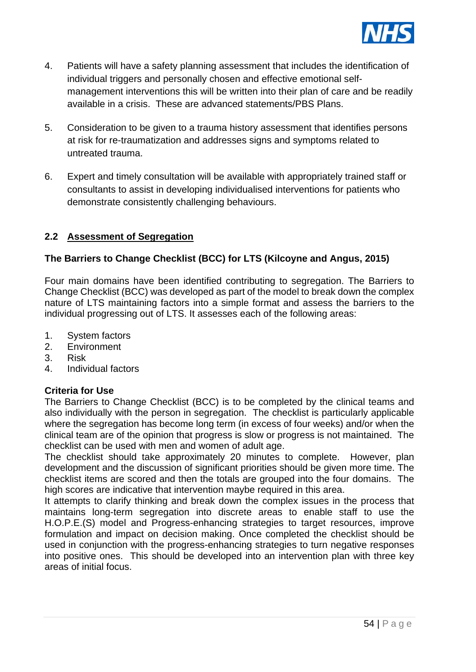

- 4. Patients will have a safety planning assessment that includes the identification of individual triggers and personally chosen and effective emotional selfmanagement interventions this will be written into their plan of care and be readily available in a crisis. These are advanced statements/PBS Plans.
- 5. Consideration to be given to a trauma history assessment that identifies persons at risk for re-traumatization and addresses signs and symptoms related to untreated trauma.
- 6. Expert and timely consultation will be available with appropriately trained staff or consultants to assist in developing individualised interventions for patients who demonstrate consistently challenging behaviours.

# **2.2 Assessment of Segregation**

# **The Barriers to Change Checklist (BCC) for LTS (Kilcoyne and Angus, 2015)**

Four main domains have been identified contributing to segregation. The Barriers to Change Checklist (BCC) was developed as part of the model to break down the complex nature of LTS maintaining factors into a simple format and assess the barriers to the individual progressing out of LTS. It assesses each of the following areas:

- 1. System factors
- 2. Environment
- 3. Risk
- 4. Individual factors

# **Criteria for Use**

The Barriers to Change Checklist (BCC) is to be completed by the clinical teams and also individually with the person in segregation. The checklist is particularly applicable where the segregation has become long term (in excess of four weeks) and/or when the clinical team are of the opinion that progress is slow or progress is not maintained. The checklist can be used with men and women of adult age.

The checklist should take approximately 20 minutes to complete. However, plan development and the discussion of significant priorities should be given more time. The checklist items are scored and then the totals are grouped into the four domains. The high scores are indicative that intervention maybe required in this area.

It attempts to clarify thinking and break down the complex issues in the process that maintains long-term segregation into discrete areas to enable staff to use the H.O.P.E.(S) model and Progress-enhancing strategies to target resources, improve formulation and impact on decision making. Once completed the checklist should be used in conjunction with the progress-enhancing strategies to turn negative responses into positive ones. This should be developed into an intervention plan with three key areas of initial focus.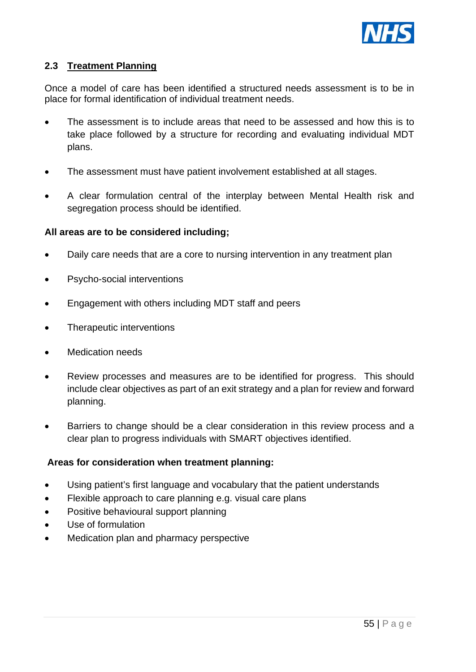

# **2.3 Treatment Planning**

Once a model of care has been identified a structured needs assessment is to be in place for formal identification of individual treatment needs.

- The assessment is to include areas that need to be assessed and how this is to take place followed by a structure for recording and evaluating individual MDT plans.
- The assessment must have patient involvement established at all stages.
- A clear formulation central of the interplay between Mental Health risk and segregation process should be identified.

#### **All areas are to be considered including;**

- Daily care needs that are a core to nursing intervention in any treatment plan
- Psycho-social interventions
- Engagement with others including MDT staff and peers
- Therapeutic interventions
- Medication needs
- Review processes and measures are to be identified for progress. This should include clear objectives as part of an exit strategy and a plan for review and forward planning.
- Barriers to change should be a clear consideration in this review process and a clear plan to progress individuals with SMART objectives identified.

#### **Areas for consideration when treatment planning:**

- Using patient's first language and vocabulary that the patient understands
- Flexible approach to care planning e.g. visual care plans
- Positive behavioural support planning
- Use of formulation
- Medication plan and pharmacy perspective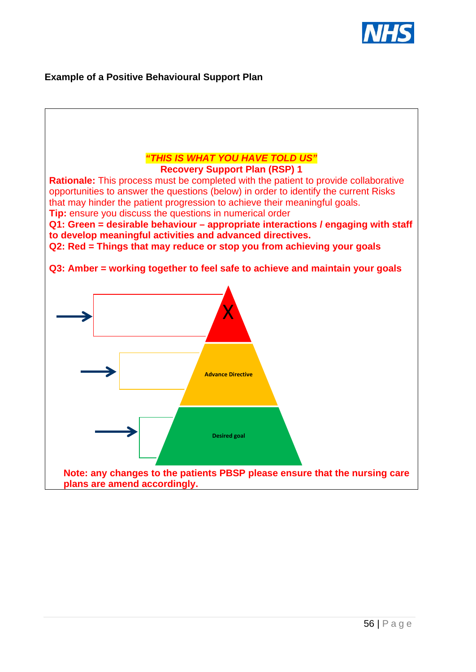

# **Example of a Positive Behavioural Support Plan**

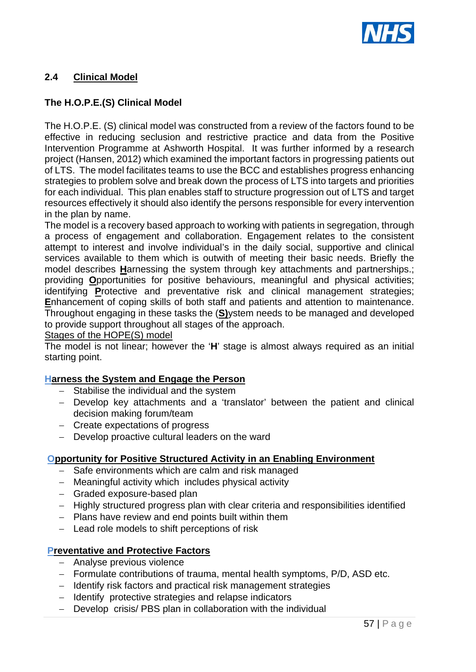

# **2.4 Clinical Model**

# **The H.O.P.E.(S) Clinical Model**

The H.O.P.E. (S) clinical model was constructed from a review of the factors found to be effective in reducing seclusion and restrictive practice and data from the Positive Intervention Programme at Ashworth Hospital. It was further informed by a research project (Hansen, 2012) which examined the important factors in progressing patients out of LTS. The model facilitates teams to use the BCC and establishes progress enhancing strategies to problem solve and break down the process of LTS into targets and priorities for each individual. This plan enables staff to structure progression out of LTS and target resources effectively it should also identify the persons responsible for every intervention in the plan by name.

The model is a recovery based approach to working with patients in segregation, through a process of engagement and collaboration. Engagement relates to the consistent attempt to interest and involve individual's in the daily social, supportive and clinical services available to them which is outwith of meeting their basic needs. Briefly the model describes **H**arnessing the system through key attachments and partnerships.; providing **O**pportunities for positive behaviours, meaningful and physical activities; identifying **P**rotective and preventative risk and clinical management strategies; **E**nhancement of coping skills of both staff and patients and attention to maintenance. Throughout engaging in these tasks the (**S)**ystem needs to be managed and developed to provide support throughout all stages of the approach.

Stages of the HOPE(S) model

The model is not linear; however the '**H**' stage is almost always required as an initial starting point.

#### **Harness the System and Engage the Person**

- − Stabilise the individual and the system
- − Develop key attachments and a 'translator' between the patient and clinical decision making forum/team
- − Create expectations of progress
- − Develop proactive cultural leaders on the ward

#### **Opportunity for Positive Structured Activity in an Enabling Environment**

- − Safe environments which are calm and risk managed
- − Meaningful activity which includes physical activity
- − Graded exposure-based plan
- − Highly structured progress plan with clear criteria and responsibilities identified
- − Plans have review and end points built within them
- − Lead role models to shift perceptions of risk

#### **Preventative and Protective Factors**

- − Analyse previous violence
- − Formulate contributions of trauma, mental health symptoms, P/D, ASD etc.
- − Identify risk factors and practical risk management strategies
- − Identify protective strategies and relapse indicators
- − Develop crisis/ PBS plan in collaboration with the individual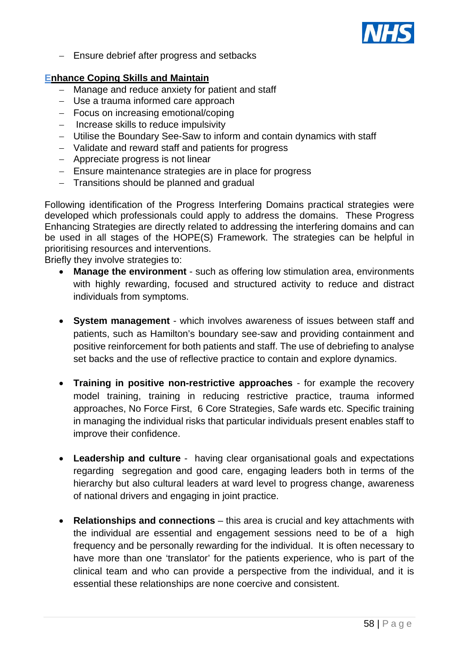

− Ensure debrief after progress and setbacks

# **Enhance Coping Skills and Maintain**

- − Manage and reduce anxiety for patient and staff
- − Use a trauma informed care approach
- − Focus on increasing emotional/coping
- − Increase skills to reduce impulsivity
- − Utilise the Boundary See-Saw to inform and contain dynamics with staff
- − Validate and reward staff and patients for progress
- − Appreciate progress is not linear
- − Ensure maintenance strategies are in place for progress
- − Transitions should be planned and gradual

Following identification of the Progress Interfering Domains practical strategies were developed which professionals could apply to address the domains. These Progress Enhancing Strategies are directly related to addressing the interfering domains and can be used in all stages of the HOPE(S) Framework. The strategies can be helpful in prioritising resources and interventions.

Briefly they involve strategies to:

- **Manage the environment** such as offering low stimulation area, environments with highly rewarding, focused and structured activity to reduce and distract individuals from symptoms.
- **System management** which involves awareness of issues between staff and patients, such as Hamilton's boundary see-saw and providing containment and positive reinforcement for both patients and staff. The use of debriefing to analyse set backs and the use of reflective practice to contain and explore dynamics.
- **Training in positive non-restrictive approaches** for example the recovery model training, training in reducing restrictive practice, trauma informed approaches, No Force First, 6 Core Strategies, Safe wards etc. Specific training in managing the individual risks that particular individuals present enables staff to improve their confidence.
- **Leadership and culture** having clear organisational goals and expectations regarding segregation and good care, engaging leaders both in terms of the hierarchy but also cultural leaders at ward level to progress change, awareness of national drivers and engaging in joint practice.
- **Relationships and connections** this area is crucial and key attachments with the individual are essential and engagement sessions need to be of a high frequency and be personally rewarding for the individual. It is often necessary to have more than one 'translator' for the patients experience, who is part of the clinical team and who can provide a perspective from the individual, and it is essential these relationships are none coercive and consistent.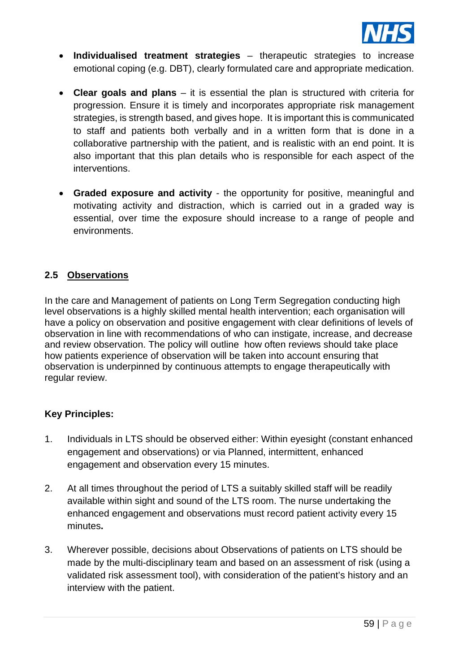

- **Individualised treatment strategies** therapeutic strategies to increase emotional coping (e.g. DBT), clearly formulated care and appropriate medication.
- **Clear goals and plans** it is essential the plan is structured with criteria for progression. Ensure it is timely and incorporates appropriate risk management strategies, is strength based, and gives hope. It is important this is communicated to staff and patients both verbally and in a written form that is done in a collaborative partnership with the patient, and is realistic with an end point. It is also important that this plan details who is responsible for each aspect of the interventions.
- **Graded exposure and activity** the opportunity for positive, meaningful and motivating activity and distraction, which is carried out in a graded way is essential, over time the exposure should increase to a range of people and environments.

# **2.5 Observations**

In the care and Management of patients on Long Term Segregation conducting high level observations is a highly skilled mental health intervention; each organisation will have a policy on observation and positive engagement with clear definitions of levels of observation in line with recommendations of who can instigate, increase, and decrease and review observation. The policy will outline how often reviews should take place how patients experience of observation will be taken into account ensuring that observation is underpinned by continuous attempts to engage therapeutically with regular review.

# **Key Principles:**

- 1. Individuals in LTS should be observed either: Within eyesight (constant enhanced engagement and observations) or via Planned, intermittent, enhanced engagement and observation every 15 minutes.
- 2. At all times throughout the period of LTS a suitably skilled staff will be readily available within sight and sound of the LTS room. The nurse undertaking the enhanced engagement and observations must record patient activity every 15 minutes**.**
- 3. Wherever possible, decisions about Observations of patients on LTS should be made by the multi-disciplinary team and based on an assessment of risk (using a validated risk assessment tool), with consideration of the patient's history and an interview with the patient.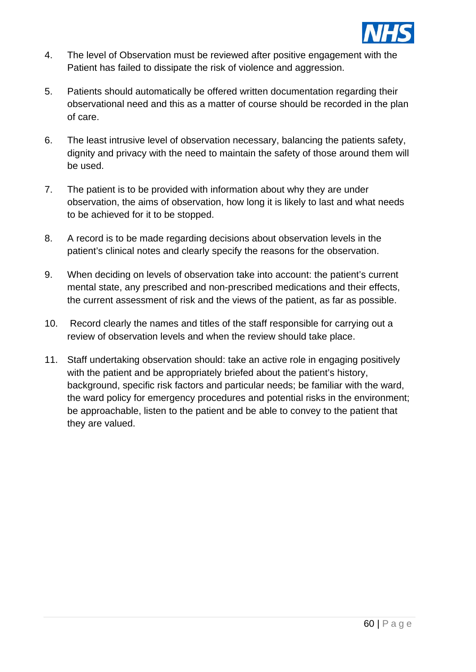

- 4. The level of Observation must be reviewed after positive engagement with the Patient has failed to dissipate the risk of violence and aggression.
- 5. Patients should automatically be offered written documentation regarding their observational need and this as a matter of course should be recorded in the plan of care.
- 6. The least intrusive level of observation necessary, balancing the patients safety, dignity and privacy with the need to maintain the safety of those around them will be used.
- 7. The patient is to be provided with information about why they are under observation, the aims of observation, how long it is likely to last and what needs to be achieved for it to be stopped.
- 8. A record is to be made regarding decisions about observation levels in the patient's clinical notes and clearly specify the reasons for the observation.
- 9. When deciding on levels of observation take into account: the patient's current mental state, any prescribed and non-prescribed medications and their effects, the current assessment of risk and the views of the patient, as far as possible.
- 10. Record clearly the names and titles of the staff responsible for carrying out a review of observation levels and when the review should take place.
- 11. Staff undertaking observation should: take an active role in engaging positively with the patient and be appropriately briefed about the patient's history, background, specific risk factors and particular needs; be familiar with the ward, the ward policy for emergency procedures and potential risks in the environment; be approachable, listen to the patient and be able to convey to the patient that they are valued.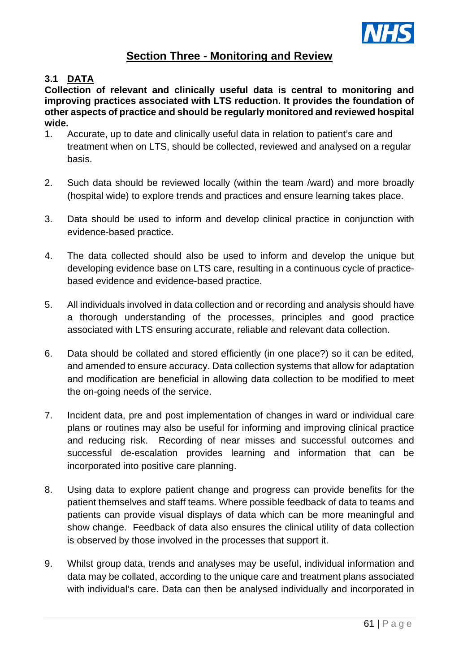

# **Section Three - Monitoring and Review**

# **3.1 DATA**

**Collection of relevant and clinically useful data is central to monitoring and improving practices associated with LTS reduction. It provides the foundation of other aspects of practice and should be regularly monitored and reviewed hospital wide.** 

- 1. Accurate, up to date and clinically useful data in relation to patient's care and treatment when on LTS, should be collected, reviewed and analysed on a regular basis.
- 2. Such data should be reviewed locally (within the team /ward) and more broadly (hospital wide) to explore trends and practices and ensure learning takes place.
- 3. Data should be used to inform and develop clinical practice in conjunction with evidence-based practice.
- 4. The data collected should also be used to inform and develop the unique but developing evidence base on LTS care, resulting in a continuous cycle of practicebased evidence and evidence-based practice.
- 5. All individuals involved in data collection and or recording and analysis should have a thorough understanding of the processes, principles and good practice associated with LTS ensuring accurate, reliable and relevant data collection.
- 6. Data should be collated and stored efficiently (in one place?) so it can be edited, and amended to ensure accuracy. Data collection systems that allow for adaptation and modification are beneficial in allowing data collection to be modified to meet the on-going needs of the service.
- 7. Incident data, pre and post implementation of changes in ward or individual care plans or routines may also be useful for informing and improving clinical practice and reducing risk. Recording of near misses and successful outcomes and successful de-escalation provides learning and information that can be incorporated into positive care planning.
- 8. Using data to explore patient change and progress can provide benefits for the patient themselves and staff teams. Where possible feedback of data to teams and patients can provide visual displays of data which can be more meaningful and show change. Feedback of data also ensures the clinical utility of data collection is observed by those involved in the processes that support it.
- 9. Whilst group data, trends and analyses may be useful, individual information and data may be collated, according to the unique care and treatment plans associated with individual's care. Data can then be analysed individually and incorporated in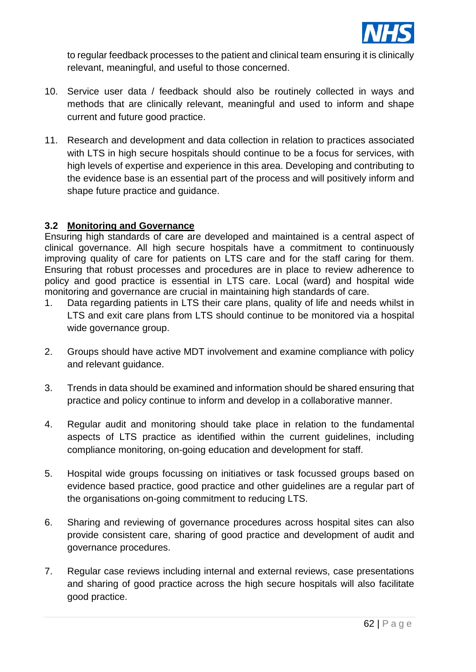

to regular feedback processes to the patient and clinical team ensuring it is clinically relevant, meaningful, and useful to those concerned.

- 10. Service user data / feedback should also be routinely collected in ways and methods that are clinically relevant, meaningful and used to inform and shape current and future good practice.
- 11. Research and development and data collection in relation to practices associated with LTS in high secure hospitals should continue to be a focus for services, with high levels of expertise and experience in this area. Developing and contributing to the evidence base is an essential part of the process and will positively inform and shape future practice and guidance.

# **3.2 Monitoring and Governance**

Ensuring high standards of care are developed and maintained is a central aspect of clinical governance. All high secure hospitals have a commitment to continuously improving quality of care for patients on LTS care and for the staff caring for them. Ensuring that robust processes and procedures are in place to review adherence to policy and good practice is essential in LTS care. Local (ward) and hospital wide monitoring and governance are crucial in maintaining high standards of care.

- 1. Data regarding patients in LTS their care plans, quality of life and needs whilst in LTS and exit care plans from LTS should continue to be monitored via a hospital wide governance group.
- 2. Groups should have active MDT involvement and examine compliance with policy and relevant guidance.
- 3. Trends in data should be examined and information should be shared ensuring that practice and policy continue to inform and develop in a collaborative manner.
- 4. Regular audit and monitoring should take place in relation to the fundamental aspects of LTS practice as identified within the current guidelines, including compliance monitoring, on-going education and development for staff.
- 5. Hospital wide groups focussing on initiatives or task focussed groups based on evidence based practice, good practice and other guidelines are a regular part of the organisations on-going commitment to reducing LTS.
- 6. Sharing and reviewing of governance procedures across hospital sites can also provide consistent care, sharing of good practice and development of audit and governance procedures.
- 7. Regular case reviews including internal and external reviews, case presentations and sharing of good practice across the high secure hospitals will also facilitate good practice.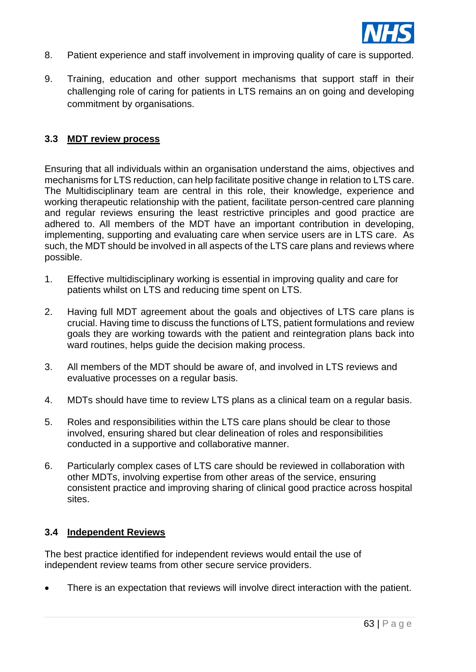

- 8. Patient experience and staff involvement in improving quality of care is supported.
- 9. Training, education and other support mechanisms that support staff in their challenging role of caring for patients in LTS remains an on going and developing commitment by organisations.

# **3.3 MDT review process**

Ensuring that all individuals within an organisation understand the aims, objectives and mechanisms for LTS reduction, can help facilitate positive change in relation to LTS care. The Multidisciplinary team are central in this role, their knowledge, experience and working therapeutic relationship with the patient, facilitate person-centred care planning and regular reviews ensuring the least restrictive principles and good practice are adhered to. All members of the MDT have an important contribution in developing, implementing, supporting and evaluating care when service users are in LTS care. As such, the MDT should be involved in all aspects of the LTS care plans and reviews where possible.

- 1. Effective multidisciplinary working is essential in improving quality and care for patients whilst on LTS and reducing time spent on LTS.
- 2. Having full MDT agreement about the goals and objectives of LTS care plans is crucial. Having time to discuss the functions of LTS, patient formulations and review goals they are working towards with the patient and reintegration plans back into ward routines, helps guide the decision making process.
- 3. All members of the MDT should be aware of, and involved in LTS reviews and evaluative processes on a regular basis.
- 4. MDTs should have time to review LTS plans as a clinical team on a regular basis.
- 5. Roles and responsibilities within the LTS care plans should be clear to those involved, ensuring shared but clear delineation of roles and responsibilities conducted in a supportive and collaborative manner.
- 6. Particularly complex cases of LTS care should be reviewed in collaboration with other MDTs, involving expertise from other areas of the service, ensuring consistent practice and improving sharing of clinical good practice across hospital sites.

#### **3.4 Independent Reviews**

The best practice identified for independent reviews would entail the use of independent review teams from other secure service providers.

There is an expectation that reviews will involve direct interaction with the patient.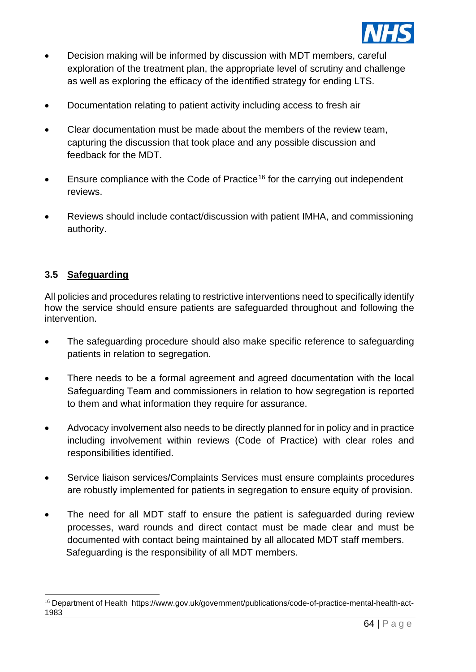

- Decision making will be informed by discussion with MDT members, careful exploration of the treatment plan, the appropriate level of scrutiny and challenge as well as exploring the efficacy of the identified strategy for ending LTS.
- Documentation relating to patient activity including access to fresh air
- Clear documentation must be made about the members of the review team, capturing the discussion that took place and any possible discussion and feedback for the MDT.
- Ensure compliance with the Code of Practice<sup>[16](#page-63-0)</sup> for the carrying out independent reviews.
- Reviews should include contact/discussion with patient IMHA, and commissioning authority.

# **3.5 Safeguarding**

All policies and procedures relating to restrictive interventions need to specifically identify how the service should ensure patients are safeguarded throughout and following the intervention.

- The safeguarding procedure should also make specific reference to safeguarding patients in relation to segregation.
- There needs to be a formal agreement and agreed documentation with the local Safeguarding Team and commissioners in relation to how segregation is reported to them and what information they require for assurance.
- Advocacy involvement also needs to be directly planned for in policy and in practice including involvement within reviews (Code of Practice) with clear roles and responsibilities identified.
- Service liaison services/Complaints Services must ensure complaints procedures are robustly implemented for patients in segregation to ensure equity of provision.
- The need for all MDT staff to ensure the patient is safeguarded during review processes, ward rounds and direct contact must be made clear and must be documented with contact being maintained by all allocated MDT staff members. Safeguarding is the responsibility of all MDT members.

<span id="page-63-0"></span><sup>16</sup> Department of Health https://www.gov.uk/government/publications/code-of-practice-mental-health-act-1983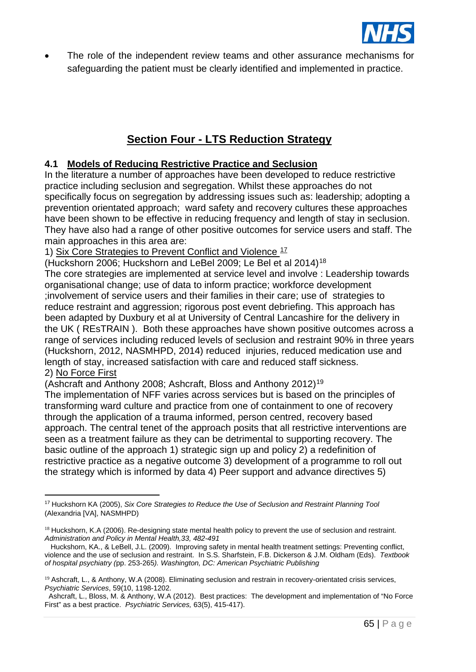

The role of the independent review teams and other assurance mechanisms for safeguarding the patient must be clearly identified and implemented in practice.

# **Section Four - LTS Reduction Strategy**

# **4.1 Models of Reducing Restrictive Practice and Seclusion**

In the literature a number of approaches have been developed to reduce restrictive practice including seclusion and segregation. Whilst these approaches do not specifically focus on segregation by addressing issues such as: leadership; adopting a prevention orientated approach; ward safety and recovery cultures these approaches have been shown to be effective in reducing frequency and length of stay in seclusion. They have also had a range of other positive outcomes for service users and staff. The main approaches in this area are:

1) Six Core Strategies to Prevent Conflict and Violence  $17$ 

(Huckshorn 2006; Huckshorn and LeBel 2009; Le Bel et al 2014)[18](#page-64-1)

The core strategies are implemented at service level and involve : Leadership towards organisational change; use of data to inform practice; workforce development ;involvement of service users and their families in their care; use of strategies to reduce restraint and aggression; rigorous post event debriefing. This approach has been adapted by Duxbury et al at University of Central Lancashire for the delivery in the UK ( REsTRAIN ). Both these approaches have shown positive outcomes across a range of services including reduced levels of seclusion and restraint 90% in three years (Huckshorn, 2012, NASMHPD, 2014) reduced injuries, reduced medication use and length of stay, increased satisfaction with care and reduced staff sickness. 2) No Force First

(Ashcraft and Anthony 2008; Ashcraft, Bloss and Anthony 2012)[19](#page-64-2)

The implementation of NFF varies across services but is based on the principles of transforming ward culture and practice from one of containment to one of recovery through the application of a trauma informed, person centred, recovery based approach. The central tenet of the approach posits that all restrictive interventions are seen as a treatment failure as they can be detrimental to supporting recovery. The basic outline of the approach 1) strategic sign up and policy 2) a redefinition of restrictive practice as a negative outcome 3) development of a programme to roll out the strategy which is informed by data 4) Peer support and advance directives 5)

<span id="page-64-0"></span><sup>17</sup> Huckshorn KA (2005), *Six Core Strategies to Reduce the Use of Seclusion and Restraint Planning Tool*  (Alexandria [VA], NASMHPD)

<span id="page-64-1"></span><sup>&</sup>lt;sup>18</sup> Huckshorn, K.A (2006). Re-designing state mental health policy to prevent the use of seclusion and restraint. *Administration and Policy in Mental Health,33, 482-491*

Huckshorn, KA., & LeBell, J.L. (2009). Improving safety in mental health treatment settings: Preventing conflict, violence and the use of seclusion and restraint. In S.S. Sharfstein, F.B. Dickerson & J.M. Oldham (Eds). *Textbook of hospital psychiatry (*pp. 253-265*). Washington, DC: American Psychiatric Publishing*

<span id="page-64-2"></span><sup>&</sup>lt;sup>19</sup> Ashcraft, L., & Anthony, W.A (2008). Eliminating seclusion and restrain in recovery-orientated crisis services, *Psychiatric Services*, 59(10, 1198-1202.

Ashcraft, L., Bloss, M. & Anthony, W.A (2012). Best practices: The development and implementation of "No Force First" as a best practice. *Psychiatric Services,* 63(5), 415-417).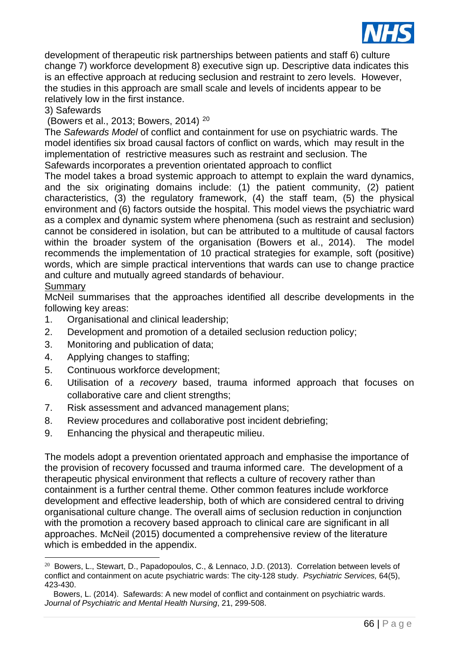

development of therapeutic risk partnerships between patients and staff 6) culture change 7) workforce development 8) executive sign up. Descriptive data indicates this is an effective approach at reducing seclusion and restraint to zero levels. However, the studies in this approach are small scale and levels of incidents appear to be relatively low in the first instance.

#### 3) Safewards

(Bowers et al., 2013; Bowers, 2014) [20](#page-65-0)

The *Safewards Model* of conflict and containment for use on psychiatric wards. The model identifies six broad causal factors of conflict on wards, which may result in the implementation of restrictive measures such as restraint and seclusion. The Safewards incorporates a prevention orientated approach to conflict

The model takes a broad systemic approach to attempt to explain the ward dynamics, and the six originating domains include: (1) the patient community, (2) patient characteristics, (3) the regulatory framework, (4) the staff team, (5) the physical environment and (6) factors outside the hospital. This model views the psychiatric ward as a complex and dynamic system where phenomena (such as restraint and seclusion) cannot be considered in isolation, but can be attributed to a multitude of causal factors within the broader system of the organisation (Bowers et al., 2014). The model recommends the implementation of 10 practical strategies for example, soft (positive) words, which are simple practical interventions that wards can use to change practice and culture and mutually agreed standards of behaviour.

# **Summary**

McNeil summarises that the approaches identified all describe developments in the following key areas:

- 1. Organisational and clinical leadership;
- 2. Development and promotion of a detailed seclusion reduction policy;
- 3. Monitoring and publication of data;
- 4. Applying changes to staffing;
- 5. Continuous workforce development;
- 6. Utilisation of a *recovery* based, trauma informed approach that focuses on collaborative care and client strengths;
- 7. Risk assessment and advanced management plans;
- 8. Review procedures and collaborative post incident debriefing;
- 9. Enhancing the physical and therapeutic milieu.

The models adopt a prevention orientated approach and emphasise the importance of the provision of recovery focussed and trauma informed care. The development of a therapeutic physical environment that reflects a culture of recovery rather than containment is a further central theme. Other common features include workforce development and effective leadership, both of which are considered central to driving organisational culture change. The overall aims of seclusion reduction in conjunction with the promotion a recovery based approach to clinical care are significant in all approaches. McNeil (2015) documented a comprehensive review of the literature which is embedded in the appendix.

<span id="page-65-0"></span><sup>&</sup>lt;sup>20</sup> Bowers, L., Stewart, D., Papadopoulos, C., & Lennaco, J.D. (2013). Correlation between levels of conflict and containment on acute psychiatric wards: The city-128 study. *Psychiatric Services,* 64(5), 423-430.

Bowers, L. (2014). Safewards: A new model of conflict and containment on psychiatric wards. *Journal of Psychiatric and Mental Health Nursing*, 21, 299-508.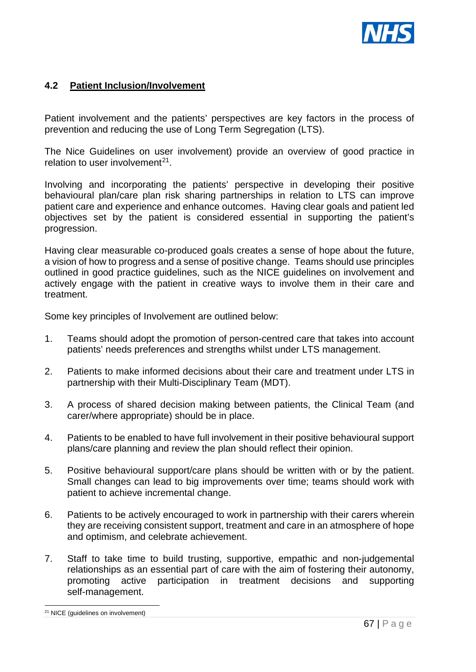

# **4.2 Patient Inclusion/Involvement**

Patient involvement and the patients' perspectives are key factors in the process of prevention and reducing the use of Long Term Segregation (LTS).

The Nice Guidelines on user involvement) provide an overview of good practice in relation to user involvement<sup>[21](#page-66-0)</sup>.

Involving and incorporating the patients' perspective in developing their positive behavioural plan/care plan risk sharing partnerships in relation to LTS can improve patient care and experience and enhance outcomes. Having clear goals and patient led objectives set by the patient is considered essential in supporting the patient's progression.

Having clear measurable co-produced goals creates a sense of hope about the future, a vision of how to progress and a sense of positive change. Teams should use principles outlined in good practice guidelines, such as the NICE guidelines on involvement and actively engage with the patient in creative ways to involve them in their care and treatment.

Some key principles of Involvement are outlined below:

- 1. Teams should adopt the promotion of person-centred care that takes into account patients' needs preferences and strengths whilst under LTS management.
- 2. Patients to make informed decisions about their care and treatment under LTS in partnership with their Multi-Disciplinary Team (MDT).
- 3. A process of shared decision making between patients, the Clinical Team (and carer/where appropriate) should be in place.
- 4. Patients to be enabled to have full involvement in their positive behavioural support plans/care planning and review the plan should reflect their opinion.
- 5. Positive behavioural support/care plans should be written with or by the patient. Small changes can lead to big improvements over time; teams should work with patient to achieve incremental change.
- 6. Patients to be actively encouraged to work in partnership with their carers wherein they are receiving consistent support, treatment and care in an atmosphere of hope and optimism, and celebrate achievement.
- 7. Staff to take time to build trusting, supportive, empathic and non-judgemental relationships as an essential part of care with the aim of fostering their autonomy, promoting active participation in treatment decisions and supporting self-management.

<span id="page-66-0"></span><sup>&</sup>lt;sup>21</sup> NICE (guidelines on involvement)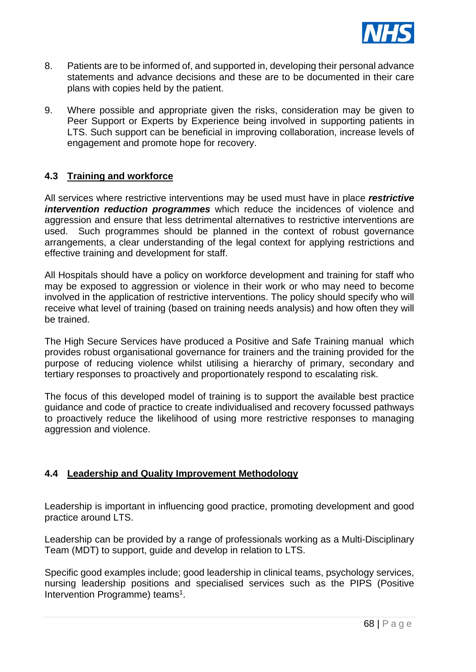

- 8. Patients are to be informed of, and supported in, developing their personal advance statements and advance decisions and these are to be documented in their care plans with copies held by the patient.
- 9. Where possible and appropriate given the risks, consideration may be given to Peer Support or Experts by Experience being involved in supporting patients in LTS. Such support can be beneficial in improving collaboration, increase levels of engagement and promote hope for recovery.

# **4.3 Training and workforce**

All services where restrictive interventions may be used must have in place *restrictive intervention reduction programmes* which reduce the incidences of violence and aggression and ensure that less detrimental alternatives to restrictive interventions are used. Such programmes should be planned in the context of robust governance arrangements, a clear understanding of the legal context for applying restrictions and effective training and development for staff.

All Hospitals should have a policy on workforce development and training for staff who may be exposed to aggression or violence in their work or who may need to become involved in the application of restrictive interventions. The policy should specify who will receive what level of training (based on training needs analysis) and how often they will be trained.

The High Secure Services have produced a Positive and Safe Training manual which provides robust organisational governance for trainers and the training provided for the purpose of reducing violence whilst utilising a hierarchy of primary, secondary and tertiary responses to proactively and proportionately respond to escalating risk.

The focus of this developed model of training is to support the available best practice guidance and code of practice to create individualised and recovery focussed pathways to proactively reduce the likelihood of using more restrictive responses to managing aggression and violence.

# **4.4 Leadership and Quality Improvement Methodology**

Leadership is important in influencing good practice, promoting development and good practice around LTS.

Leadership can be provided by a range of professionals working as a Multi-Disciplinary Team (MDT) to support, guide and develop in relation to LTS.

Specific good examples include; good leadership in clinical teams, psychology services, nursing leadership positions and specialised services such as the PIPS (Positive Intervention Programme) teams<sup>1</sup>.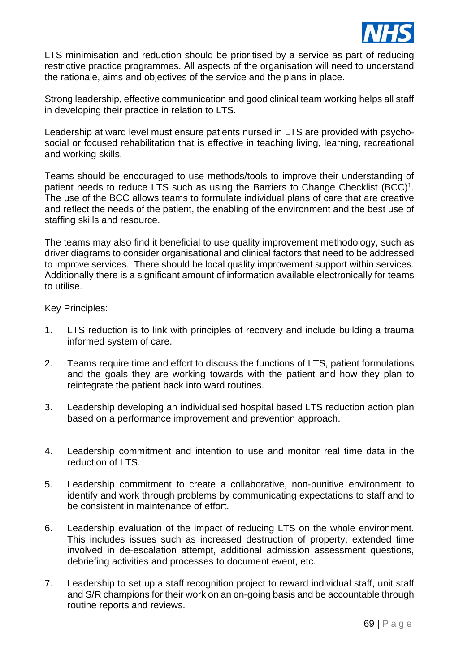

LTS minimisation and reduction should be prioritised by a service as part of reducing restrictive practice programmes. All aspects of the organisation will need to understand the rationale, aims and objectives of the service and the plans in place.

Strong leadership, effective communication and good clinical team working helps all staff in developing their practice in relation to LTS.

Leadership at ward level must ensure patients nursed in LTS are provided with psychosocial or focused rehabilitation that is effective in teaching living, learning, recreational and working skills.

Teams should be encouraged to use methods/tools to improve their understanding of patient needs to reduce LTS such as using the Barriers to Change Checklist (BCC)<sup>1</sup>. The use of the BCC allows teams to formulate individual plans of care that are creative and reflect the needs of the patient, the enabling of the environment and the best use of staffing skills and resource.

The teams may also find it beneficial to use quality improvement methodology, such as driver diagrams to consider organisational and clinical factors that need to be addressed to improve services. There should be local quality improvement support within services. Additionally there is a significant amount of information available electronically for teams to utilise.

#### Key Principles:

- 1. LTS reduction is to link with principles of recovery and include building a trauma informed system of care.
- 2. Teams require time and effort to discuss the functions of LTS, patient formulations and the goals they are working towards with the patient and how they plan to reintegrate the patient back into ward routines.
- 3. Leadership developing an individualised hospital based LTS reduction action plan based on a performance improvement and prevention approach.
- 4. Leadership commitment and intention to use and monitor real time data in the reduction of LTS.
- 5. Leadership commitment to create a collaborative, non-punitive environment to identify and work through problems by communicating expectations to staff and to be consistent in maintenance of effort.
- 6. Leadership evaluation of the impact of reducing LTS on the whole environment. This includes issues such as increased destruction of property, extended time involved in de-escalation attempt, additional admission assessment questions, debriefing activities and processes to document event, etc.
- 7. Leadership to set up a staff recognition project to reward individual staff, unit staff and S/R champions for their work on an on-going basis and be accountable through routine reports and reviews.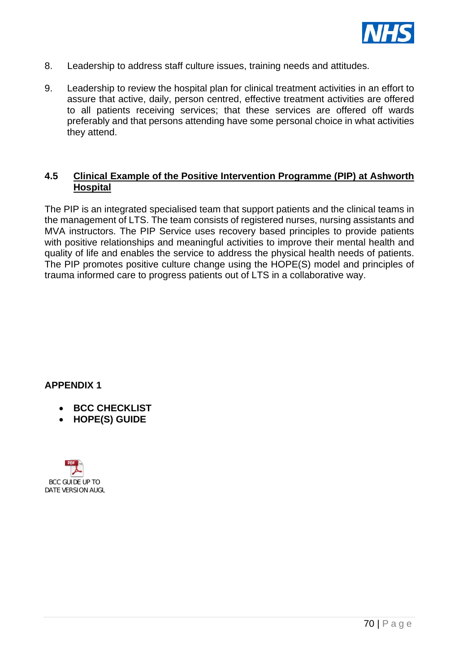

- 8. Leadership to address staff culture issues, training needs and attitudes.
- 9. Leadership to review the hospital plan for clinical treatment activities in an effort to assure that active, daily, person centred, effective treatment activities are offered to all patients receiving services; that these services are offered off wards preferably and that persons attending have some personal choice in what activities they attend.

# **4.5 Clinical Example of the Positive Intervention Programme (PIP) at Ashworth Hospital**

The PIP is an integrated specialised team that support patients and the clinical teams in the management of LTS. The team consists of registered nurses, nursing assistants and MVA instructors. The PIP Service uses recovery based principles to provide patients with positive relationships and meaningful activities to improve their mental health and quality of life and enables the service to address the physical health needs of patients. The PIP promotes positive culture change using the HOPE(S) model and principles of trauma informed care to progress patients out of LTS in a collaborative way.

# **APPENDIX 1**

- **BCC CHECKLIST**
- **HOPE(S) GUIDE**

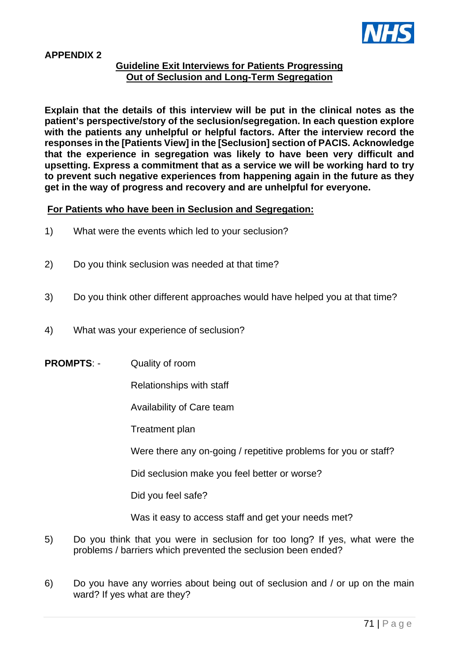

#### **APPENDIX 2**

#### **Guideline Exit Interviews for Patients Progressing Out of Seclusion and Long-Term Segregation**

**Explain that the details of this interview will be put in the clinical notes as the patient's perspective/story of the seclusion/segregation. In each question explore with the patients any unhelpful or helpful factors. After the interview record the responses in the [Patients View] in the [Seclusion] section of PACIS. Acknowledge that the experience in segregation was likely to have been very difficult and upsetting. Express a commitment that as a service we will be working hard to try to prevent such negative experiences from happening again in the future as they get in the way of progress and recovery and are unhelpful for everyone.**

#### **For Patients who have been in Seclusion and Segregation:**

- 1) What were the events which led to your seclusion?
- 2) Do you think seclusion was needed at that time?
- 3) Do you think other different approaches would have helped you at that time?
- 4) What was your experience of seclusion?
- **PROMPTS: Quality of room** 
	- Relationships with staff
	- Availability of Care team
	- Treatment plan

Were there any on-going / repetitive problems for you or staff?

Did seclusion make you feel better or worse?

Did you feel safe?

Was it easy to access staff and get your needs met?

- 5) Do you think that you were in seclusion for too long? If yes, what were the problems / barriers which prevented the seclusion been ended?
- 6) Do you have any worries about being out of seclusion and / or up on the main ward? If yes what are they?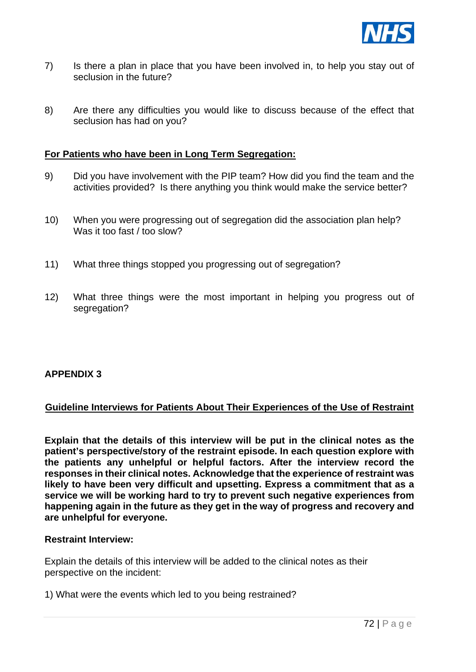

- 7) Is there a plan in place that you have been involved in, to help you stay out of seclusion in the future?
- 8) Are there any difficulties you would like to discuss because of the effect that seclusion has had on you?

# **For Patients who have been in Long Term Segregation:**

- 9) Did you have involvement with the PIP team? How did you find the team and the activities provided? Is there anything you think would make the service better?
- 10) When you were progressing out of segregation did the association plan help? Was it too fast / too slow?
- 11) What three things stopped you progressing out of segregation?
- 12) What three things were the most important in helping you progress out of segregation?

# **APPENDIX 3**

#### **Guideline Interviews for Patients About Their Experiences of the Use of Restraint**

**Explain that the details of this interview will be put in the clinical notes as the patient's perspective/story of the restraint episode. In each question explore with the patients any unhelpful or helpful factors. After the interview record the responses in their clinical notes. Acknowledge that the experience of restraint was likely to have been very difficult and upsetting. Express a commitment that as a service we will be working hard to try to prevent such negative experiences from happening again in the future as they get in the way of progress and recovery and are unhelpful for everyone.**

#### **Restraint Interview:**

Explain the details of this interview will be added to the clinical notes as their perspective on the incident:

1) What were the events which led to you being restrained?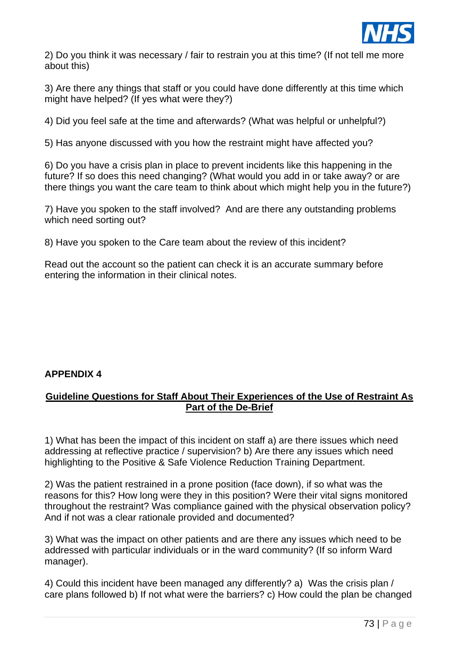

2) Do you think it was necessary / fair to restrain you at this time? (If not tell me more about this)

3) Are there any things that staff or you could have done differently at this time which might have helped? (If yes what were they?)

4) Did you feel safe at the time and afterwards? (What was helpful or unhelpful?)

5) Has anyone discussed with you how the restraint might have affected you?

6) Do you have a crisis plan in place to prevent incidents like this happening in the future? If so does this need changing? (What would you add in or take away? or are there things you want the care team to think about which might help you in the future?)

7) Have you spoken to the staff involved? And are there any outstanding problems which need sorting out?

8) Have you spoken to the Care team about the review of this incident?

Read out the account so the patient can check it is an accurate summary before entering the information in their clinical notes.

# **APPENDIX 4**

# **Guideline Questions for Staff About Their Experiences of the Use of Restraint As Part of the De-Brief**

1) What has been the impact of this incident on staff a) are there issues which need addressing at reflective practice / supervision? b) Are there any issues which need highlighting to the Positive & Safe Violence Reduction Training Department.

2) Was the patient restrained in a prone position (face down), if so what was the reasons for this? How long were they in this position? Were their vital signs monitored throughout the restraint? Was compliance gained with the physical observation policy? And if not was a clear rationale provided and documented?

3) What was the impact on other patients and are there any issues which need to be addressed with particular individuals or in the ward community? (If so inform Ward manager).

4) Could this incident have been managed any differently? a) Was the crisis plan / care plans followed b) If not what were the barriers? c) How could the plan be changed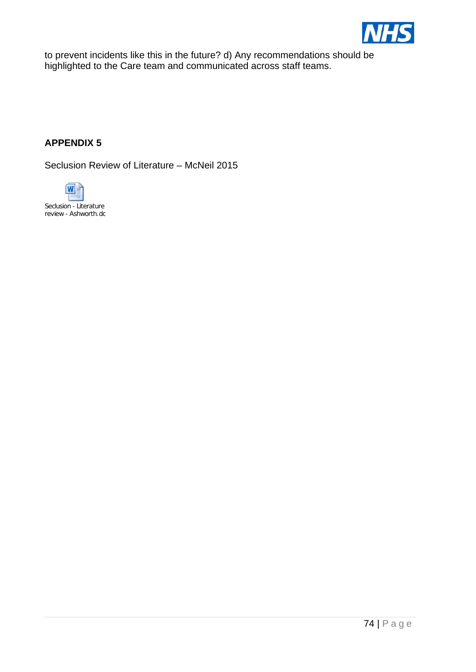

to prevent incidents like this in the future? d) Any recommendations should be highlighted to the Care team and communicated across staff teams.

# **APPENDIX 5**

Seclusion Review of Literature – McNeil 2015

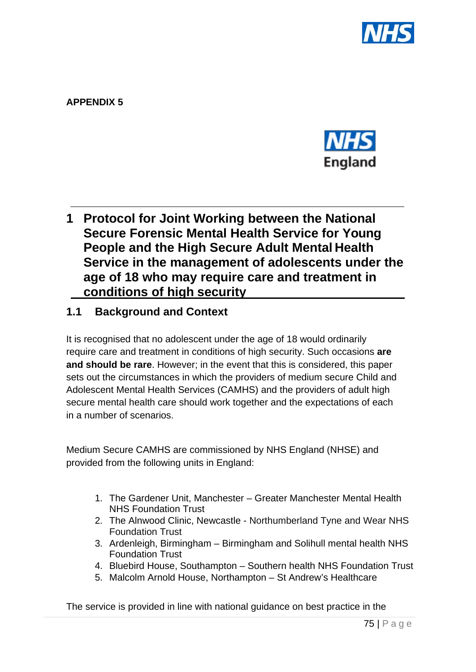

**APPENDIX 5**



# **1 Protocol for Joint Working between the National Secure Forensic Mental Health Service for Young People and the High Secure Adult Mental Health Service in the management of adolescents under the age of 18 who may require care and treatment in conditions of high security**

# **1.1 Background and Context**

It is recognised that no adolescent under the age of 18 would ordinarily require care and treatment in conditions of high security. Such occasions **are and should be rare**. However; in the event that this is considered, this paper sets out the circumstances in which the providers of medium secure Child and Adolescent Mental Health Services (CAMHS) and the providers of adult high secure mental health care should work together and the expectations of each in a number of scenarios.

Medium Secure CAMHS are commissioned by NHS England (NHSE) and provided from the following units in England:

- 1. The Gardener Unit, Manchester Greater Manchester Mental Health NHS Foundation Trust
- 2. The Alnwood Clinic, Newcastle Northumberland Tyne and Wear NHS Foundation Trust
- 3. Ardenleigh, Birmingham Birmingham and Solihull mental health NHS Foundation Trust
- 4. Bluebird House, Southampton Southern health NHS Foundation Trust
- 5. Malcolm Arnold House, Northampton St Andrew's Healthcare

The service is provided in line with national guidance on best practice in the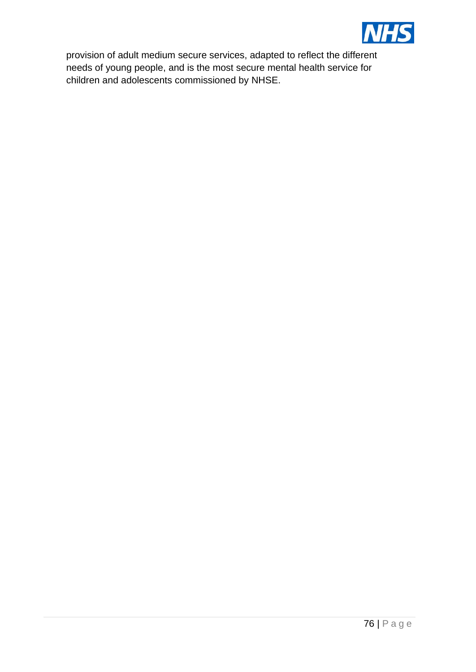

provision of adult medium secure services, adapted to reflect the different needs of young people, and is the most secure mental health service for children and adolescents commissioned by NHSE.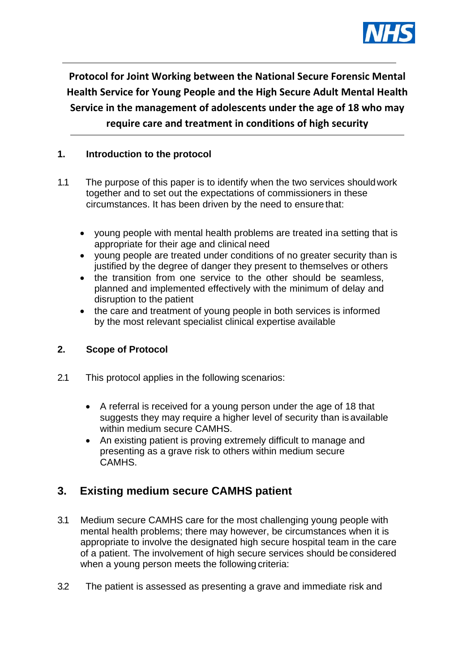

**Protocol for Joint Working between the National Secure Forensic Mental Health Service for Young People and the High Secure Adult Mental Health Service in the management of adolescents under the age of 18 who may require care and treatment in conditions of high security**

# **1. Introduction to the protocol**

- 1.1 The purpose of this paper is to identify when the two services shouldwork together and to set out the expectations of commissioners in these circumstances. It has been driven by the need to ensure that:
	- young people with mental health problems are treated ina setting that is appropriate for their age and clinical need
	- young people are treated under conditions of no greater security than is justified by the degree of danger they present to themselves or others
	- the transition from one service to the other should be seamless, planned and implemented effectively with the minimum of delay and disruption to the patient
	- the care and treatment of young people in both services is informed by the most relevant specialist clinical expertise available

# **2. Scope of Protocol**

- 2.1 This protocol applies in the following scenarios:
	- A referral is received for a young person under the age of 18 that suggests they may require a higher level of security than is available within medium secure CAMHS.
	- An existing patient is proving extremely difficult to manage and presenting as a grave risk to others within medium secure CAMHS.

# **3. Existing medium secure CAMHS patient**

- 3.1 Medium secure CAMHS care for the most challenging young people with mental health problems; there may however, be circumstances when it is appropriate to involve the designated high secure hospital team in the care of a patient. The involvement of high secure services should be considered when a young person meets the following criteria:
- 3.2 The patient is assessed as presenting a grave and immediate risk and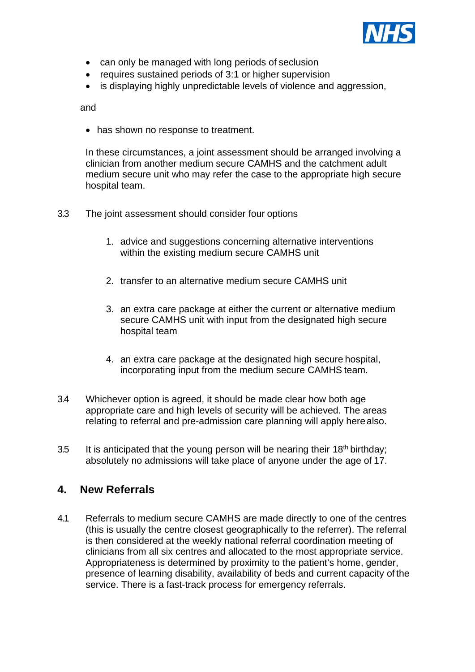

- can only be managed with long periods of seclusion
- requires sustained periods of 3:1 or higher supervision
- is displaying highly unpredictable levels of violence and aggression,

and

• has shown no response to treatment.

In these circumstances, a joint assessment should be arranged involving a clinician from another medium secure CAMHS and the catchment adult medium secure unit who may refer the case to the appropriate high secure hospital team.

- 3.3 The joint assessment should consider four options
	- 1. advice and suggestions concerning alternative interventions within the existing medium secure CAMHS unit
	- 2. transfer to an alternative medium secure CAMHS unit
	- 3. an extra care package at either the current or alternative medium secure CAMHS unit with input from the designated high secure hospital team
	- 4. an extra care package at the designated high secure hospital, incorporating input from the medium secure CAMHS team.
- 3.4 Whichever option is agreed, it should be made clear how both age appropriate care and high levels of security will be achieved. The areas relating to referral and pre-admission care planning will apply herealso.
- 3.5 It is anticipated that the young person will be nearing their  $18<sup>th</sup>$  birthday; absolutely no admissions will take place of anyone under the age of 17.

# **4. New Referrals**

4.1 Referrals to medium secure CAMHS are made directly to one of the centres (this is usually the centre closest geographically to the referrer). The referral is then considered at the weekly national referral coordination meeting of clinicians from all six centres and allocated to the most appropriate service. Appropriateness is determined by proximity to the patient's home, gender, presence of learning disability, availability of beds and current capacity of the service. There is a fast-track process for emergency referrals.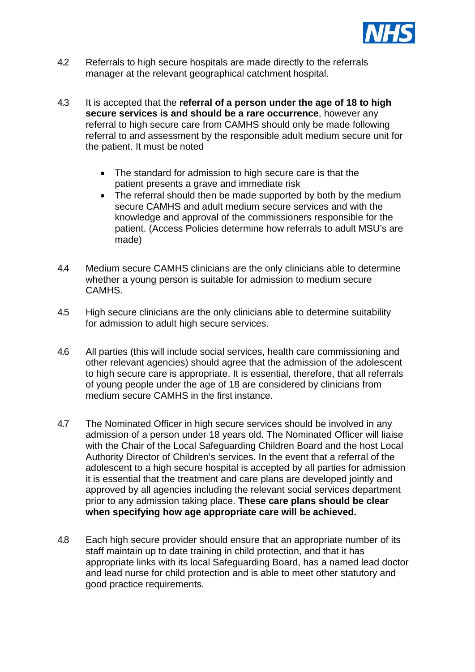

- 4.2 Referrals to high secure hospitals are made directly to the referrals manager at the relevant geographical catchment hospital.
- 4.3 It is accepted that the **referral of a person under the age of 18 to high secure services is and should be a rare occurrence**, however any referral to high secure care from CAMHS should only be made following referral to and assessment by the responsible adult medium secure unit for the patient. It must be noted
	- The standard for admission to high secure care is that the patient presents a grave and immediate risk
	- The referral should then be made supported by both by the medium secure CAMHS and adult medium secure services and with the knowledge and approval of the commissioners responsible for the patient. (Access Policies determine how referrals to adult MSU's are made)
- 4.4 Medium secure CAMHS clinicians are the only clinicians able to determine whether a young person is suitable for admission to medium secure CAMHS.
- 4.5 High secure clinicians are the only clinicians able to determine suitability for admission to adult high secure services.
- 4.6 All parties (this will include social services, health care commissioning and other relevant agencies) should agree that the admission of the adolescent to high secure care is appropriate. It is essential, therefore, that all referrals of young people under the age of 18 are considered by clinicians from medium secure CAMHS in the first instance.
- 4.7 The Nominated Officer in high secure services should be involved in any admission of a person under 18 years old. The Nominated Officer will liaise with the Chair of the Local Safeguarding Children Board and the host Local Authority Director of Children's services. In the event that a referral of the adolescent to a high secure hospital is accepted by all parties for admission it is essential that the treatment and care plans are developed jointly and approved by all agencies including the relevant social services department prior to any admission taking place. **These care plans should be clear when specifying how age appropriate care will be achieved.**
- 4.8 Each high secure provider should ensure that an appropriate number of its staff maintain up to date training in child protection, and that it has appropriate links with its local Safeguarding Board, has a named lead doctor and lead nurse for child protection and is able to meet other statutory and good practice requirements.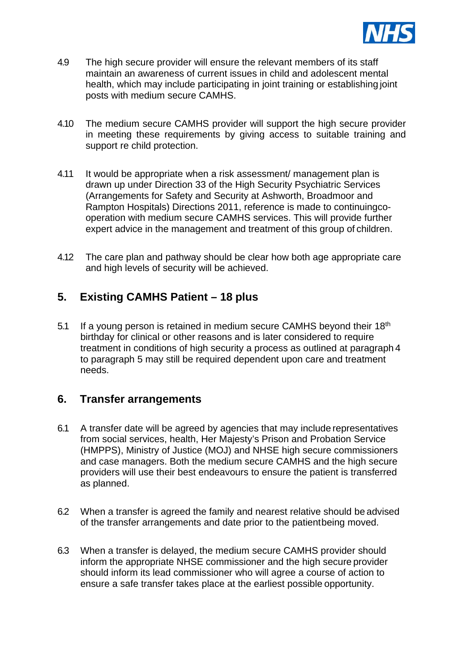

- 4.9 The high secure provider will ensure the relevant members of its staff maintain an awareness of current issues in child and adolescent mental health, which may include participating in joint training or establishing joint posts with medium secure CAMHS.
- 4.10 The medium secure CAMHS provider will support the high secure provider in meeting these requirements by giving access to suitable training and support re child protection.
- 4.11 It would be appropriate when a risk assessment/ management plan is drawn up under Direction 33 of the High Security Psychiatric Services (Arrangements for Safety and Security at Ashworth, Broadmoor and Rampton Hospitals) Directions 2011, reference is made to continuingcooperation with medium secure CAMHS services. This will provide further expert advice in the management and treatment of this group of children.
- 4.12 The care plan and pathway should be clear how both age appropriate care and high levels of security will be achieved.

# **5. Existing CAMHS Patient – 18 plus**

5.1 If a young person is retained in medium secure CAMHS beyond their 18<sup>th</sup> birthday for clinical or other reasons and is later considered to require treatment in conditions of high security a process as outlined at paragraph 4 to paragraph 5 may still be required dependent upon care and treatment needs.

# **6. Transfer arrangements**

- 6.1 A transfer date will be agreed by agencies that may include representatives from social services, health, Her Majesty's Prison and Probation Service (HMPPS), Ministry of Justice (MOJ) and NHSE high secure commissioners and case managers. Both the medium secure CAMHS and the high secure providers will use their best endeavours to ensure the patient is transferred as planned.
- 6.2 When a transfer is agreed the family and nearest relative should be advised of the transfer arrangements and date prior to the patientbeing moved.
- 6.3 When a transfer is delayed, the medium secure CAMHS provider should inform the appropriate NHSE commissioner and the high secure provider should inform its lead commissioner who will agree a course of action to ensure a safe transfer takes place at the earliest possible opportunity.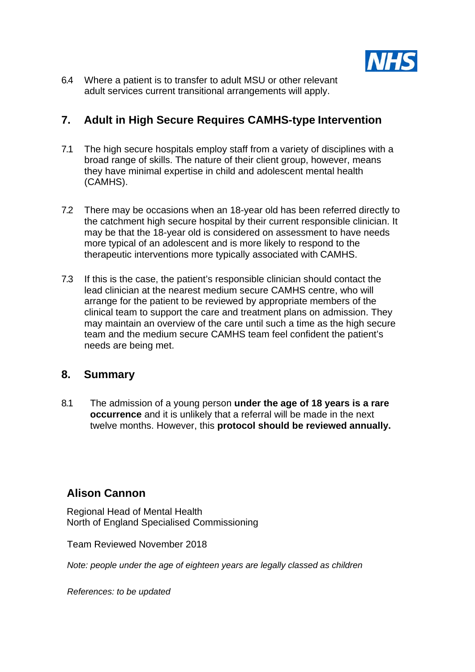

6.4 Where a patient is to transfer to adult MSU or other relevant adult services current transitional arrangements will apply.

# **7. Adult in High Secure Requires CAMHS-type Intervention**

- 7.1 The high secure hospitals employ staff from a variety of disciplines with a broad range of skills. The nature of their client group, however, means they have minimal expertise in child and adolescent mental health (CAMHS).
- 7.2 There may be occasions when an 18-year old has been referred directly to the catchment high secure hospital by their current responsible clinician. It may be that the 18-year old is considered on assessment to have needs more typical of an adolescent and is more likely to respond to the therapeutic interventions more typically associated with CAMHS.
- 7.3 If this is the case, the patient's responsible clinician should contact the lead clinician at the nearest medium secure CAMHS centre, who will arrange for the patient to be reviewed by appropriate members of the clinical team to support the care and treatment plans on admission. They may maintain an overview of the care until such a time as the high secure team and the medium secure CAMHS team feel confident the patient's needs are being met.

# **8. Summary**

8.1 The admission of a young person **under the age of 18 years is a rare occurrence** and it is unlikely that a referral will be made in the next twelve months. However, this **protocol should be reviewed annually.**

# **Alison Cannon**

Regional Head of Mental Health North of England Specialised Commissioning

Team Reviewed November 2018

*Note: people under the age of eighteen years are legally classed as children*

*References: to be updated*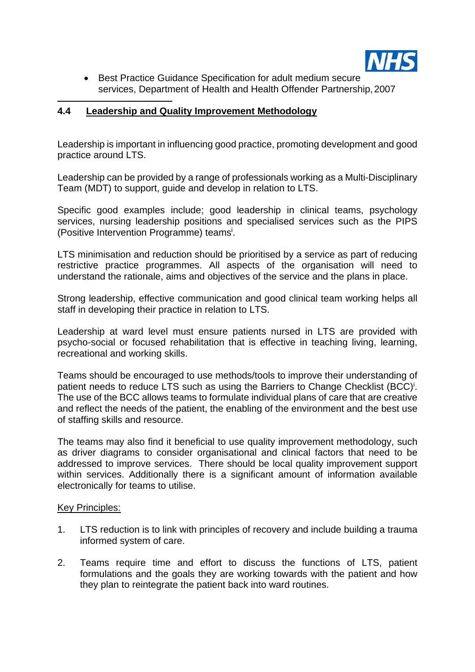

• Best Practice Guidance Specification for adult medium secure services, Department of Health and Health Offender Partnership, 2007

## **4.4 Leadership and Quality Improvement Methodology**

Leadership is important in influencing good practice, promoting development and good practice around LTS.

Leadership can be provided by a range of professionals working as a Multi-Disciplinary Team (MDT) to support, guide and develop in relation to LTS.

Specific good examples include; good leadership in clinical teams, psychology services, nursing leadership positions and specialised services such as the PIPS (Positive Intervention Programme) teamsi .

LTS minimisation and reduction should be prioritised by a service as part of reducing restrictive practice programmes. All aspects of the organisation will need to understand the rationale, aims and objectives of the service and the plans in place.

Strong leadership, effective communication and good clinical team working helps all staff in developing their practice in relation to LTS.

Leadership at ward level must ensure patients nursed in LTS are provided with psycho-social or focused rehabilitation that is effective in teaching living, learning, recreational and working skills.

Teams should be encouraged to use methods/tools to improve their understanding of patient needs to reduce LTS such as using the Barriers to Change Checklist (BCC)<sup>i</sup>. The use of the BCC allows teams to formulate individual plans of care that are creative and reflect the needs of the patient, the enabling of the environment and the best use of staffing skills and resource.

The teams may also find it beneficial to use quality improvement methodology, such as driver diagrams to consider organisational and clinical factors that need to be addressed to improve services. There should be local quality improvement support within services. Additionally there is a significant amount of information available electronically for teams to utilise.

#### Key Principles:

- 1. LTS reduction is to link with principles of recovery and include building a trauma informed system of care.
- 2. Teams require time and effort to discuss the functions of LTS, patient formulations and the goals they are working towards with the patient and how they plan to reintegrate the patient back into ward routines.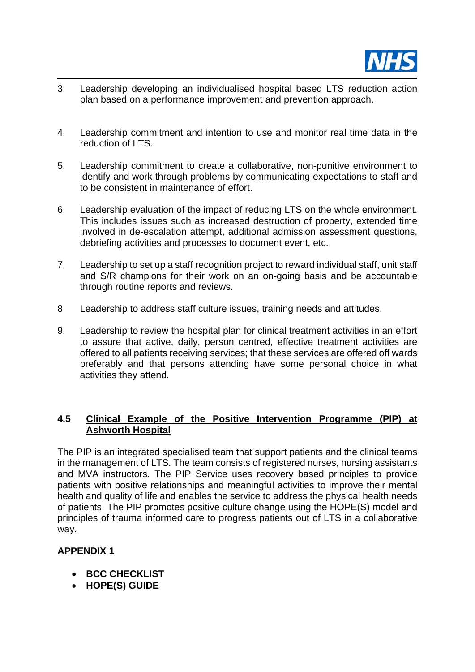

- 3. Leadership developing an individualised hospital based LTS reduction action plan based on a performance improvement and prevention approach.
- 4. Leadership commitment and intention to use and monitor real time data in the reduction of LTS.
- 5. Leadership commitment to create a collaborative, non-punitive environment to identify and work through problems by communicating expectations to staff and to be consistent in maintenance of effort.
- 6. Leadership evaluation of the impact of reducing LTS on the whole environment. This includes issues such as increased destruction of property, extended time involved in de-escalation attempt, additional admission assessment questions, debriefing activities and processes to document event, etc.
- 7. Leadership to set up a staff recognition project to reward individual staff, unit staff and S/R champions for their work on an on-going basis and be accountable through routine reports and reviews.
- 8. Leadership to address staff culture issues, training needs and attitudes.
- 9. Leadership to review the hospital plan for clinical treatment activities in an effort to assure that active, daily, person centred, effective treatment activities are offered to all patients receiving services; that these services are offered off wards preferably and that persons attending have some personal choice in what activities they attend.

### **4.5 Clinical Example of the Positive Intervention Programme (PIP) at Ashworth Hospital**

The PIP is an integrated specialised team that support patients and the clinical teams in the management of LTS. The team consists of registered nurses, nursing assistants and MVA instructors. The PIP Service uses recovery based principles to provide patients with positive relationships and meaningful activities to improve their mental health and quality of life and enables the service to address the physical health needs of patients. The PIP promotes positive culture change using the HOPE(S) model and principles of trauma informed care to progress patients out of LTS in a collaborative way.

# **APPENDIX 1**

- **BCC CHECKLIST**
- **HOPE(S) GUIDE**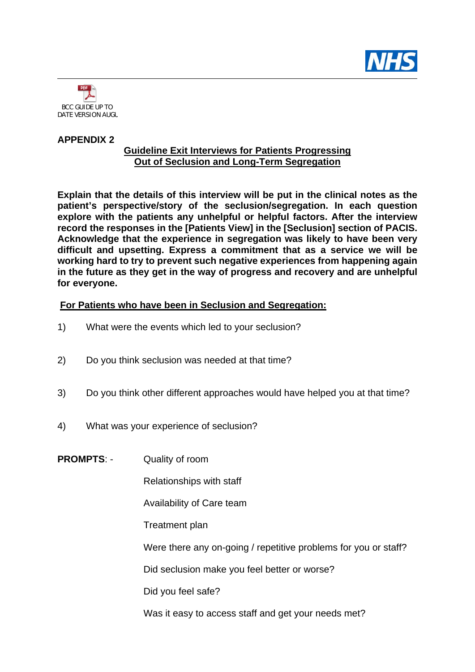



#### **APPENDIX 2**

### **Guideline Exit Interviews for Patients Progressing Out of Seclusion and Long-Term Segregation**

**Explain that the details of this interview will be put in the clinical notes as the patient's perspective/story of the seclusion/segregation. In each question explore with the patients any unhelpful or helpful factors. After the interview record the responses in the [Patients View] in the [Seclusion] section of PACIS. Acknowledge that the experience in segregation was likely to have been very difficult and upsetting. Express a commitment that as a service we will be working hard to try to prevent such negative experiences from happening again in the future as they get in the way of progress and recovery and are unhelpful for everyone.**

### **For Patients who have been in Seclusion and Segregation:**

- 1) What were the events which led to your seclusion?
- 2) Do you think seclusion was needed at that time?
- 3) Do you think other different approaches would have helped you at that time?
- 4) What was your experience of seclusion?
- **PROMPTS**: Quality of room

Relationships with staff

Availability of Care team

Treatment plan

Were there any on-going / repetitive problems for you or staff?

Did seclusion make you feel better or worse?

Did you feel safe?

Was it easy to access staff and get your needs met?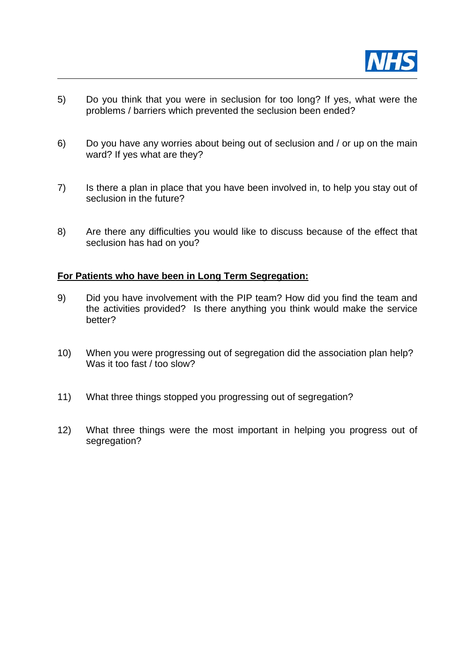

- 5) Do you think that you were in seclusion for too long? If yes, what were the problems / barriers which prevented the seclusion been ended?
- 6) Do you have any worries about being out of seclusion and / or up on the main ward? If yes what are they?
- 7) Is there a plan in place that you have been involved in, to help you stay out of seclusion in the future?
- 8) Are there any difficulties you would like to discuss because of the effect that seclusion has had on you?

### **For Patients who have been in Long Term Segregation:**

- 9) Did you have involvement with the PIP team? How did you find the team and the activities provided? Is there anything you think would make the service better?
- 10) When you were progressing out of segregation did the association plan help? Was it too fast / too slow?
- 11) What three things stopped you progressing out of segregation?
- 12) What three things were the most important in helping you progress out of segregation?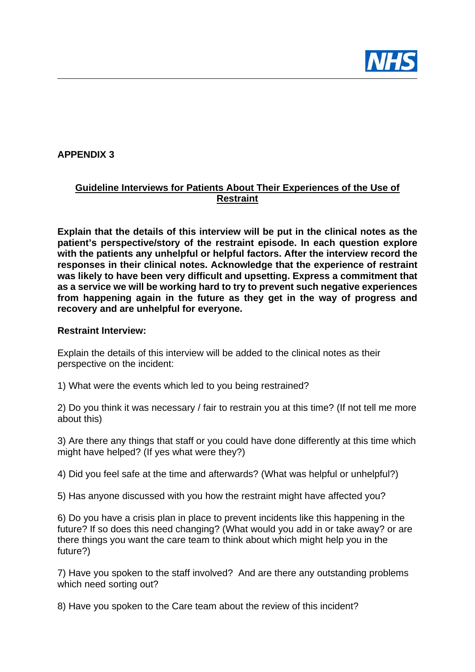

# **APPENDIX 3**

# **Guideline Interviews for Patients About Their Experiences of the Use of Restraint**

**Explain that the details of this interview will be put in the clinical notes as the patient's perspective/story of the restraint episode. In each question explore with the patients any unhelpful or helpful factors. After the interview record the responses in their clinical notes. Acknowledge that the experience of restraint was likely to have been very difficult and upsetting. Express a commitment that as a service we will be working hard to try to prevent such negative experiences from happening again in the future as they get in the way of progress and recovery and are unhelpful for everyone.**

### **Restraint Interview:**

Explain the details of this interview will be added to the clinical notes as their perspective on the incident:

1) What were the events which led to you being restrained?

2) Do you think it was necessary / fair to restrain you at this time? (If not tell me more about this)

3) Are there any things that staff or you could have done differently at this time which might have helped? (If yes what were they?)

4) Did you feel safe at the time and afterwards? (What was helpful or unhelpful?)

5) Has anyone discussed with you how the restraint might have affected you?

6) Do you have a crisis plan in place to prevent incidents like this happening in the future? If so does this need changing? (What would you add in or take away? or are there things you want the care team to think about which might help you in the future?)

7) Have you spoken to the staff involved? And are there any outstanding problems which need sorting out?

8) Have you spoken to the Care team about the review of this incident?